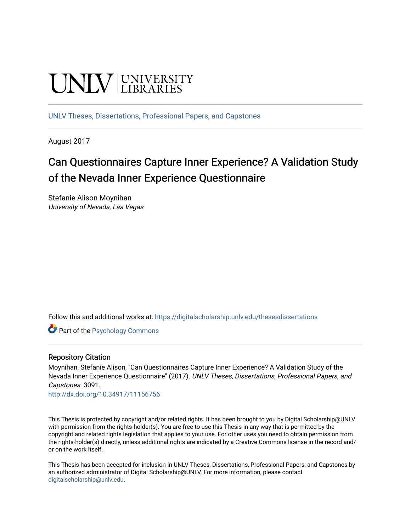# **UNIVERSITY**

[UNLV Theses, Dissertations, Professional Papers, and Capstones](https://digitalscholarship.unlv.edu/thesesdissertations)

August 2017

## Can Questionnaires Capture Inner Experience? A Validation Study of the Nevada Inner Experience Questionnaire

Stefanie Alison Moynihan University of Nevada, Las Vegas

Follow this and additional works at: [https://digitalscholarship.unlv.edu/thesesdissertations](https://digitalscholarship.unlv.edu/thesesdissertations?utm_source=digitalscholarship.unlv.edu%2Fthesesdissertations%2F3091&utm_medium=PDF&utm_campaign=PDFCoverPages)

**Part of the Psychology Commons** 

#### Repository Citation

Moynihan, Stefanie Alison, "Can Questionnaires Capture Inner Experience? A Validation Study of the Nevada Inner Experience Questionnaire" (2017). UNLV Theses, Dissertations, Professional Papers, and Capstones. 3091.

<http://dx.doi.org/10.34917/11156756>

This Thesis is protected by copyright and/or related rights. It has been brought to you by Digital Scholarship@UNLV with permission from the rights-holder(s). You are free to use this Thesis in any way that is permitted by the copyright and related rights legislation that applies to your use. For other uses you need to obtain permission from the rights-holder(s) directly, unless additional rights are indicated by a Creative Commons license in the record and/ or on the work itself.

This Thesis has been accepted for inclusion in UNLV Theses, Dissertations, Professional Papers, and Capstones by an authorized administrator of Digital Scholarship@UNLV. For more information, please contact [digitalscholarship@unlv.edu](mailto:digitalscholarship@unlv.edu).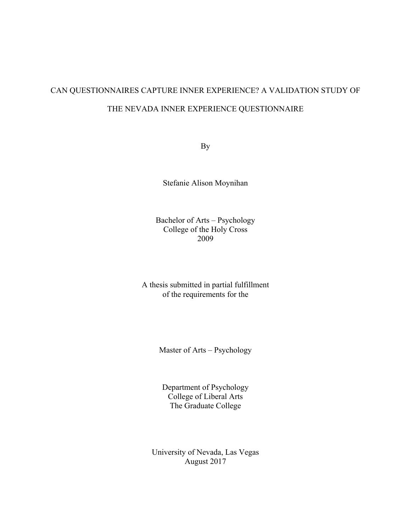## CAN QUESTIONNAIRES CAPTURE INNER EXPERIENCE? A VALIDATION STUDY OF THE NEVADA INNER EXPERIENCE QUESTIONNAIRE

By

Stefanie Alison Moynihan

Bachelor of Arts – Psychology College of the Holy Cross 2009

A thesis submitted in partial fulfillment of the requirements for the

Master of Arts – Psychology

Department of Psychology College of Liberal Arts The Graduate College

University of Nevada, Las Vegas August 2017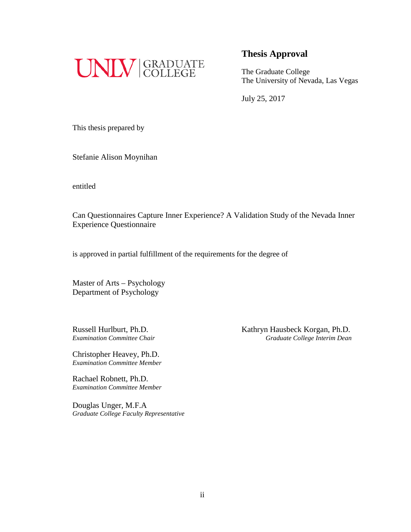

The Graduate College The University of Nevada, Las Vegas

July 25, 2017

This thesis prepared by

Stefanie Alison Moynihan

entitled

Can Questionnaires Capture Inner Experience? A Validation Study of the Nevada Inner Experience Questionnaire

is approved in partial fulfillment of the requirements for the degree of

Master of Arts – Psychology Department of Psychology

Christopher Heavey, Ph.D. *Examination Committee Member*

Rachael Robnett, Ph.D. *Examination Committee Member*

Douglas Unger, M.F.A *Graduate College Faculty Representative*

Russell Hurlburt, Ph.D.<br>
Examination Committee Chair<br>
Graduate College Interim Dean *Examination Committee Chair Graduate College Interim Dean*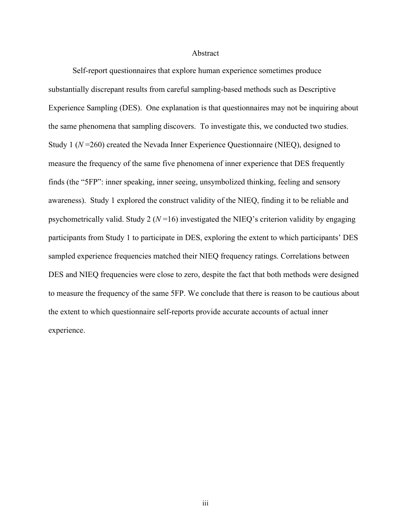#### Abstract

Self-report questionnaires that explore human experience sometimes produce substantially discrepant results from careful sampling-based methods such as Descriptive Experience Sampling (DES). One explanation is that questionnaires may not be inquiring about the same phenomena that sampling discovers. To investigate this, we conducted two studies. Study 1 (*N* =260) created the Nevada Inner Experience Questionnaire (NIEQ), designed to measure the frequency of the same five phenomena of inner experience that DES frequently finds (the "5FP": inner speaking, inner seeing, unsymbolized thinking, feeling and sensory awareness). Study 1 explored the construct validity of the NIEQ, finding it to be reliable and psychometrically valid. Study 2 ( $N=16$ ) investigated the NIEQ's criterion validity by engaging participants from Study 1 to participate in DES, exploring the extent to which participants' DES sampled experience frequencies matched their NIEQ frequency ratings. Correlations between DES and NIEQ frequencies were close to zero, despite the fact that both methods were designed to measure the frequency of the same 5FP. We conclude that there is reason to be cautious about the extent to which questionnaire self-reports provide accurate accounts of actual inner experience.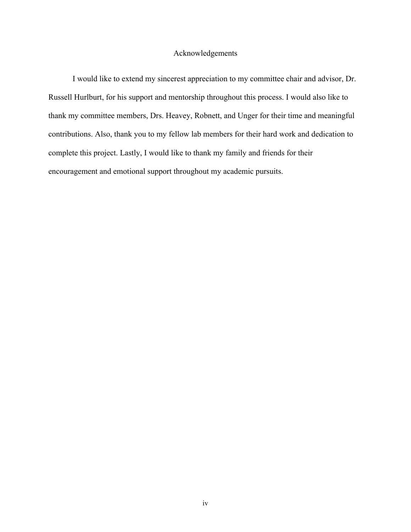#### Acknowledgements

I would like to extend my sincerest appreciation to my committee chair and advisor, Dr. Russell Hurlburt, for his support and mentorship throughout this process. I would also like to thank my committee members, Drs. Heavey, Robnett, and Unger for their time and meaningful contributions. Also, thank you to my fellow lab members for their hard work and dedication to complete this project. Lastly, I would like to thank my family and friends for their encouragement and emotional support throughout my academic pursuits.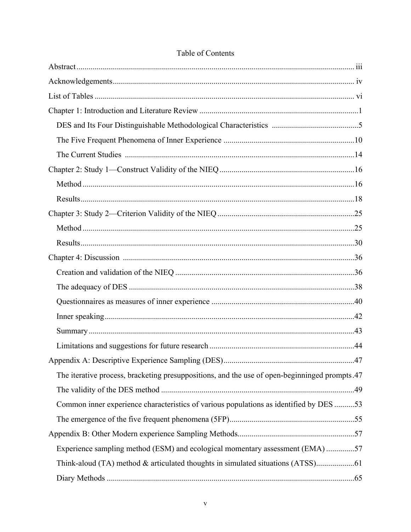| The iterative process, bracketing presuppositions, and the use of open-beginninged prompts.47 |  |
|-----------------------------------------------------------------------------------------------|--|
|                                                                                               |  |
| Common inner experience characteristics of various populations as identified by DES 53        |  |
|                                                                                               |  |
|                                                                                               |  |
| Experience sampling method (ESM) and ecological momentary assessment (EMA) 57                 |  |
|                                                                                               |  |
|                                                                                               |  |

#### Table of Contents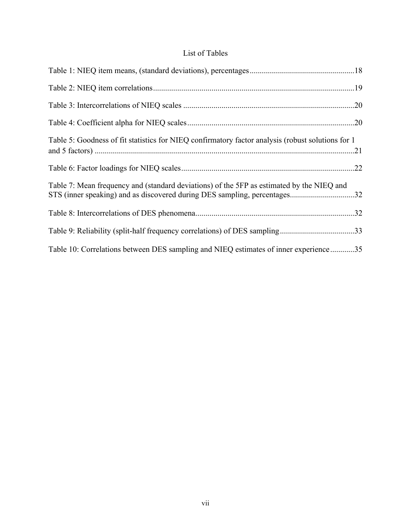#### List of Tables

| Table 5: Goodness of fit statistics for NIEQ confirmatory factor analysis (robust solutions for 1                                                                      |
|------------------------------------------------------------------------------------------------------------------------------------------------------------------------|
|                                                                                                                                                                        |
| Table 7: Mean frequency and (standard deviations) of the 5FP as estimated by the NIEQ and<br>STS (inner speaking) and as discovered during DES sampling, percentages32 |
|                                                                                                                                                                        |
|                                                                                                                                                                        |
| Table 10: Correlations between DES sampling and NIEQ estimates of inner experience35                                                                                   |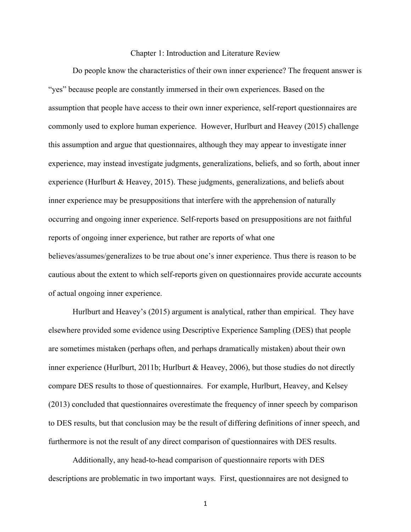#### Chapter 1: Introduction and Literature Review

Do people know the characteristics of their own inner experience? The frequent answer is "yes" because people are constantly immersed in their own experiences. Based on the assumption that people have access to their own inner experience, self-report questionnaires are commonly used to explore human experience. However, Hurlburt and Heavey (2015) challenge this assumption and argue that questionnaires, although they may appear to investigate inner experience, may instead investigate judgments, generalizations, beliefs, and so forth, about inner experience (Hurlburt & Heavey, 2015). These judgments, generalizations, and beliefs about inner experience may be presuppositions that interfere with the apprehension of naturally occurring and ongoing inner experience. Self-reports based on presuppositions are not faithful reports of ongoing inner experience, but rather are reports of what one believes/assumes/generalizes to be true about one's inner experience. Thus there is reason to be cautious about the extent to which self-reports given on questionnaires provide accurate accounts of actual ongoing inner experience.

Hurlburt and Heavey's (2015) argument is analytical, rather than empirical. They have elsewhere provided some evidence using Descriptive Experience Sampling (DES) that people are sometimes mistaken (perhaps often, and perhaps dramatically mistaken) about their own inner experience (Hurlburt, 2011b; Hurlburt & Heavey, 2006), but those studies do not directly compare DES results to those of questionnaires. For example, Hurlburt, Heavey, and Kelsey (2013) concluded that questionnaires overestimate the frequency of inner speech by comparison to DES results, but that conclusion may be the result of differing definitions of inner speech, and furthermore is not the result of any direct comparison of questionnaires with DES results.

Additionally, any head-to-head comparison of questionnaire reports with DES descriptions are problematic in two important ways. First, questionnaires are not designed to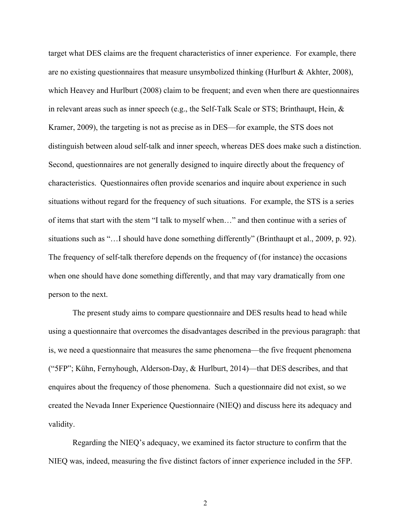target what DES claims are the frequent characteristics of inner experience. For example, there are no existing questionnaires that measure unsymbolized thinking (Hurlburt & Akhter, 2008), which Heavey and Hurlburt (2008) claim to be frequent; and even when there are questionnaires in relevant areas such as inner speech (e.g., the Self-Talk Scale or STS; Brinthaupt, Hein, & Kramer, 2009), the targeting is not as precise as in DES—for example, the STS does not distinguish between aloud self-talk and inner speech, whereas DES does make such a distinction. Second, questionnaires are not generally designed to inquire directly about the frequency of characteristics. Questionnaires often provide scenarios and inquire about experience in such situations without regard for the frequency of such situations. For example, the STS is a series of items that start with the stem "I talk to myself when…" and then continue with a series of situations such as "…I should have done something differently" (Brinthaupt et al., 2009, p. 92). The frequency of self-talk therefore depends on the frequency of (for instance) the occasions when one should have done something differently, and that may vary dramatically from one person to the next.

The present study aims to compare questionnaire and DES results head to head while using a questionnaire that overcomes the disadvantages described in the previous paragraph: that is, we need a questionnaire that measures the same phenomena—the five frequent phenomena ("5FP"; Kühn, Fernyhough, Alderson-Day, & Hurlburt, 2014)—that DES describes, and that enquires about the frequency of those phenomena. Such a questionnaire did not exist, so we created the Nevada Inner Experience Questionnaire (NIEQ) and discuss here its adequacy and validity.

Regarding the NIEQ's adequacy, we examined its factor structure to confirm that the NIEQ was, indeed, measuring the five distinct factors of inner experience included in the 5FP.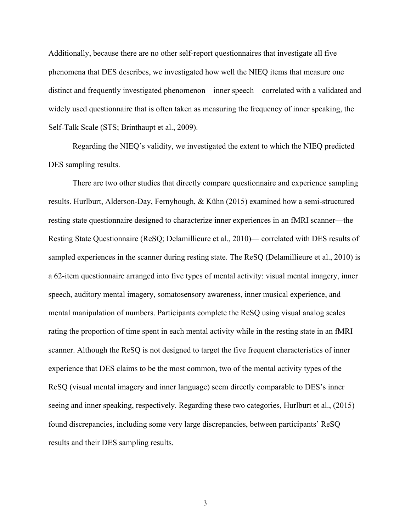Additionally, because there are no other self-report questionnaires that investigate all five phenomena that DES describes, we investigated how well the NIEQ items that measure one distinct and frequently investigated phenomenon—inner speech—correlated with a validated and widely used questionnaire that is often taken as measuring the frequency of inner speaking, the Self-Talk Scale (STS; Brinthaupt et al., 2009).

Regarding the NIEQ's validity, we investigated the extent to which the NIEQ predicted DES sampling results.

There are two other studies that directly compare questionnaire and experience sampling results. Hurlburt, Alderson-Day, Fernyhough, & Kühn (2015) examined how a semi-structured resting state questionnaire designed to characterize inner experiences in an fMRI scanner—the Resting State Questionnaire (ReSQ; Delamillieure et al., 2010)— correlated with DES results of sampled experiences in the scanner during resting state. The ReSQ (Delamillieure et al., 2010) is a 62-item questionnaire arranged into five types of mental activity: visual mental imagery, inner speech, auditory mental imagery, somatosensory awareness, inner musical experience, and mental manipulation of numbers. Participants complete the ReSQ using visual analog scales rating the proportion of time spent in each mental activity while in the resting state in an fMRI scanner. Although the ReSQ is not designed to target the five frequent characteristics of inner experience that DES claims to be the most common, two of the mental activity types of the ReSQ (visual mental imagery and inner language) seem directly comparable to DES's inner seeing and inner speaking, respectively. Regarding these two categories, Hurlburt et al., (2015) found discrepancies, including some very large discrepancies, between participants' ReSQ results and their DES sampling results.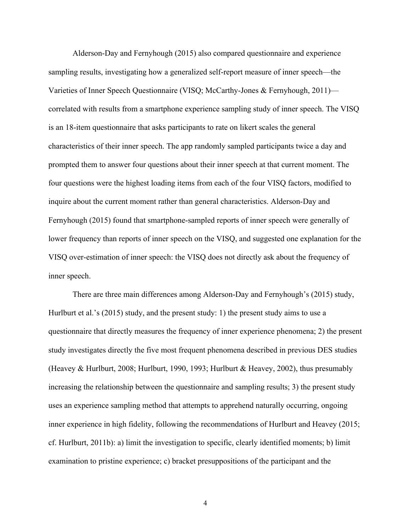Alderson-Day and Fernyhough (2015) also compared questionnaire and experience sampling results, investigating how a generalized self-report measure of inner speech—the Varieties of Inner Speech Questionnaire (VISQ; McCarthy-Jones & Fernyhough, 2011) correlated with results from a smartphone experience sampling study of inner speech. The VISQ is an 18-item questionnaire that asks participants to rate on likert scales the general characteristics of their inner speech. The app randomly sampled participants twice a day and prompted them to answer four questions about their inner speech at that current moment. The four questions were the highest loading items from each of the four VISQ factors, modified to inquire about the current moment rather than general characteristics. Alderson-Day and Fernyhough (2015) found that smartphone-sampled reports of inner speech were generally of lower frequency than reports of inner speech on the VISQ, and suggested one explanation for the VISQ over-estimation of inner speech: the VISQ does not directly ask about the frequency of inner speech.

There are three main differences among Alderson-Day and Fernyhough's (2015) study, Hurlburt et al.'s (2015) study, and the present study: 1) the present study aims to use a questionnaire that directly measures the frequency of inner experience phenomena; 2) the present study investigates directly the five most frequent phenomena described in previous DES studies (Heavey & Hurlburt, 2008; Hurlburt, 1990, 1993; Hurlburt & Heavey, 2002), thus presumably increasing the relationship between the questionnaire and sampling results; 3) the present study uses an experience sampling method that attempts to apprehend naturally occurring, ongoing inner experience in high fidelity, following the recommendations of Hurlburt and Heavey (2015; cf. Hurlburt, 2011b): a) limit the investigation to specific, clearly identified moments; b) limit examination to pristine experience; c) bracket presuppositions of the participant and the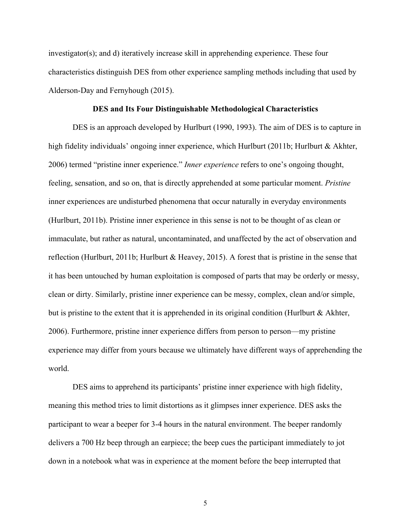investigator(s); and d) iteratively increase skill in apprehending experience. These four characteristics distinguish DES from other experience sampling methods including that used by Alderson-Day and Fernyhough (2015).

#### **DES and Its Four Distinguishable Methodological Characteristics**

DES is an approach developed by Hurlburt (1990, 1993). The aim of DES is to capture in high fidelity individuals' ongoing inner experience, which Hurlburt (2011b; Hurlburt & Akhter, 2006) termed "pristine inner experience." *Inner experience* refers to one's ongoing thought, feeling, sensation, and so on, that is directly apprehended at some particular moment. *Pristine* inner experiences are undisturbed phenomena that occur naturally in everyday environments (Hurlburt, 2011b). Pristine inner experience in this sense is not to be thought of as clean or immaculate, but rather as natural, uncontaminated, and unaffected by the act of observation and reflection (Hurlburt, 2011b; Hurlburt & Heavey, 2015). A forest that is pristine in the sense that it has been untouched by human exploitation is composed of parts that may be orderly or messy, clean or dirty. Similarly, pristine inner experience can be messy, complex, clean and/or simple, but is pristine to the extent that it is apprehended in its original condition (Hurlburt & Akhter, 2006). Furthermore, pristine inner experience differs from person to person—my pristine experience may differ from yours because we ultimately have different ways of apprehending the world.

DES aims to apprehend its participants' pristine inner experience with high fidelity, meaning this method tries to limit distortions as it glimpses inner experience. DES asks the participant to wear a beeper for 3-4 hours in the natural environment. The beeper randomly delivers a 700 Hz beep through an earpiece; the beep cues the participant immediately to jot down in a notebook what was in experience at the moment before the beep interrupted that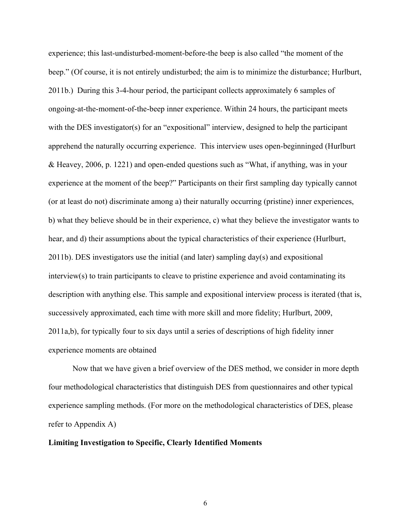experience; this last-undisturbed-moment-before-the beep is also called "the moment of the beep." (Of course, it is not entirely undisturbed; the aim is to minimize the disturbance; Hurlburt, 2011b.) During this 3-4-hour period, the participant collects approximately 6 samples of ongoing-at-the-moment-of-the-beep inner experience. Within 24 hours, the participant meets with the DES investigator(s) for an "expositional" interview, designed to help the participant apprehend the naturally occurring experience. This interview uses open-beginninged (Hurlburt & Heavey, 2006, p. 1221) and open-ended questions such as "What, if anything, was in your experience at the moment of the beep?" Participants on their first sampling day typically cannot (or at least do not) discriminate among a) their naturally occurring (pristine) inner experiences, b) what they believe should be in their experience, c) what they believe the investigator wants to hear, and d) their assumptions about the typical characteristics of their experience (Hurlburt, 2011b). DES investigators use the initial (and later) sampling day(s) and expositional interview(s) to train participants to cleave to pristine experience and avoid contaminating its description with anything else. This sample and expositional interview process is iterated (that is, successively approximated, each time with more skill and more fidelity; Hurlburt, 2009, 2011a,b), for typically four to six days until a series of descriptions of high fidelity inner experience moments are obtained

Now that we have given a brief overview of the DES method, we consider in more depth four methodological characteristics that distinguish DES from questionnaires and other typical experience sampling methods. (For more on the methodological characteristics of DES, please refer to Appendix A)

#### **Limiting Investigation to Specific, Clearly Identified Moments**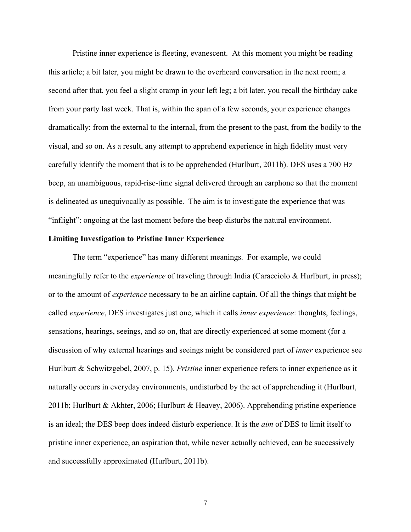Pristine inner experience is fleeting, evanescent. At this moment you might be reading this article; a bit later, you might be drawn to the overheard conversation in the next room; a second after that, you feel a slight cramp in your left leg; a bit later, you recall the birthday cake from your party last week. That is, within the span of a few seconds, your experience changes dramatically: from the external to the internal, from the present to the past, from the bodily to the visual, and so on. As a result, any attempt to apprehend experience in high fidelity must very carefully identify the moment that is to be apprehended (Hurlburt, 2011b). DES uses a 700 Hz beep, an unambiguous, rapid-rise-time signal delivered through an earphone so that the moment is delineated as unequivocally as possible. The aim is to investigate the experience that was "inflight": ongoing at the last moment before the beep disturbs the natural environment.

#### **Limiting Investigation to Pristine Inner Experience**

The term "experience" has many different meanings. For example, we could meaningfully refer to the *experience* of traveling through India (Caracciolo & Hurlburt, in press); or to the amount of *experience* necessary to be an airline captain. Of all the things that might be called *experience*, DES investigates just one, which it calls *inner experience*: thoughts, feelings, sensations, hearings, seeings, and so on, that are directly experienced at some moment (for a discussion of why external hearings and seeings might be considered part of *inner* experience see Hurlburt & Schwitzgebel, 2007, p. 15). *Pristine* inner experience refers to inner experience as it naturally occurs in everyday environments, undisturbed by the act of apprehending it (Hurlburt, 2011b; Hurlburt & Akhter, 2006; Hurlburt & Heavey, 2006). Apprehending pristine experience is an ideal; the DES beep does indeed disturb experience. It is the *aim* of DES to limit itself to pristine inner experience, an aspiration that, while never actually achieved, can be successively and successfully approximated (Hurlburt, 2011b).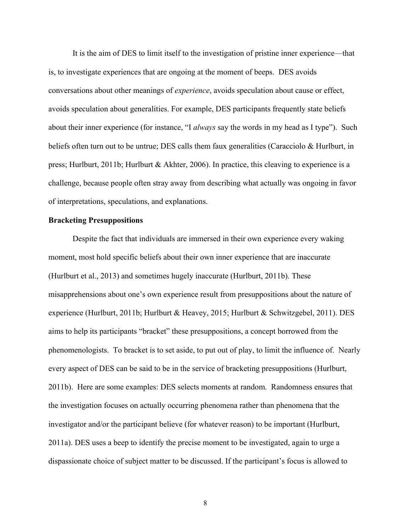It is the aim of DES to limit itself to the investigation of pristine inner experience—that is, to investigate experiences that are ongoing at the moment of beeps. DES avoids conversations about other meanings of *experience*, avoids speculation about cause or effect, avoids speculation about generalities. For example, DES participants frequently state beliefs about their inner experience (for instance, "I *always* say the words in my head as I type"). Such beliefs often turn out to be untrue; DES calls them faux generalities (Caracciolo & Hurlburt, in press; Hurlburt, 2011b; Hurlburt & Akhter, 2006). In practice, this cleaving to experience is a challenge, because people often stray away from describing what actually was ongoing in favor of interpretations, speculations, and explanations.

#### **Bracketing Presuppositions**

Despite the fact that individuals are immersed in their own experience every waking moment, most hold specific beliefs about their own inner experience that are inaccurate (Hurlburt et al., 2013) and sometimes hugely inaccurate (Hurlburt, 2011b). These misapprehensions about one's own experience result from presuppositions about the nature of experience (Hurlburt, 2011b; Hurlburt & Heavey, 2015; Hurlburt & Schwitzgebel, 2011). DES aims to help its participants "bracket" these presuppositions, a concept borrowed from the phenomenologists. To bracket is to set aside, to put out of play, to limit the influence of. Nearly every aspect of DES can be said to be in the service of bracketing presuppositions (Hurlburt, 2011b). Here are some examples: DES selects moments at random. Randomness ensures that the investigation focuses on actually occurring phenomena rather than phenomena that the investigator and/or the participant believe (for whatever reason) to be important (Hurlburt, 2011a). DES uses a beep to identify the precise moment to be investigated, again to urge a dispassionate choice of subject matter to be discussed. If the participant's focus is allowed to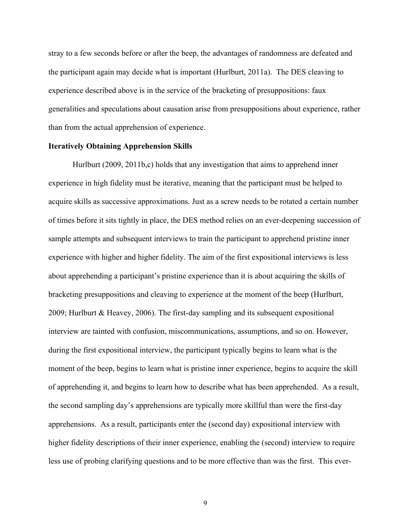stray to a few seconds before or after the beep, the advantages of randomness are defeated and the participant again may decide what is important (Hurlburt, 2011a). The DES cleaving to experience described above is in the service of the bracketing of presuppositions: faux generalities and speculations about causation arise from presuppositions about experience, rather than from the actual apprehension of experience.

#### **Iteratively Obtaining Apprehension Skills**

Hurlburt (2009, 2011b,c) holds that any investigation that aims to apprehend inner experience in high fidelity must be iterative, meaning that the participant must be helped to acquire skills as successive approximations. Just as a screw needs to be rotated a certain number of times before it sits tightly in place, the DES method relies on an ever-deepening succession of sample attempts and subsequent interviews to train the participant to apprehend pristine inner experience with higher and higher fidelity. The aim of the first expositional interviews is less about apprehending a participant's pristine experience than it is about acquiring the skills of bracketing presuppositions and cleaving to experience at the moment of the beep (Hurlburt, 2009; Hurlburt & Heavey, 2006). The first-day sampling and its subsequent expositional interview are tainted with confusion, miscommunications, assumptions, and so on. However, during the first expositional interview, the participant typically begins to learn what is the moment of the beep, begins to learn what is pristine inner experience, begins to acquire the skill of apprehending it, and begins to learn how to describe what has been apprehended. As a result, the second sampling day's apprehensions are typically more skillful than were the first-day apprehensions. As a result, participants enter the (second day) expositional interview with higher fidelity descriptions of their inner experience, enabling the (second) interview to require less use of probing clarifying questions and to be more effective than was the first. This ever-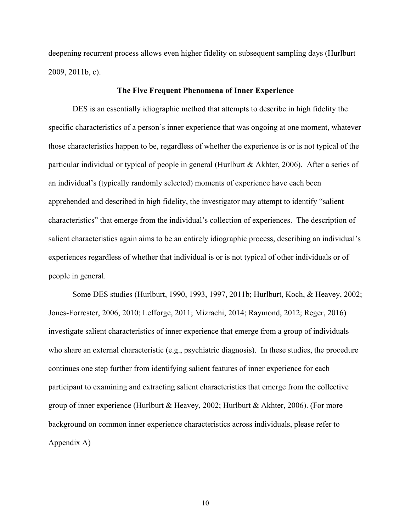deepening recurrent process allows even higher fidelity on subsequent sampling days (Hurlburt 2009, 2011b, c).

#### **The Five Frequent Phenomena of Inner Experience**

DES is an essentially idiographic method that attempts to describe in high fidelity the specific characteristics of a person's inner experience that was ongoing at one moment, whatever those characteristics happen to be, regardless of whether the experience is or is not typical of the particular individual or typical of people in general (Hurlburt & Akhter, 2006). After a series of an individual's (typically randomly selected) moments of experience have each been apprehended and described in high fidelity, the investigator may attempt to identify "salient characteristics" that emerge from the individual's collection of experiences. The description of salient characteristics again aims to be an entirely idiographic process, describing an individual's experiences regardless of whether that individual is or is not typical of other individuals or of people in general.

Some DES studies (Hurlburt, 1990, 1993, 1997, 2011b; Hurlburt, Koch, & Heavey, 2002; Jones-Forrester, 2006, 2010; Lefforge, 2011; Mizrachi, 2014; Raymond, 2012; Reger, 2016) investigate salient characteristics of inner experience that emerge from a group of individuals who share an external characteristic (e.g., psychiatric diagnosis). In these studies, the procedure continues one step further from identifying salient features of inner experience for each participant to examining and extracting salient characteristics that emerge from the collective group of inner experience (Hurlburt & Heavey, 2002; Hurlburt & Akhter, 2006). (For more background on common inner experience characteristics across individuals, please refer to Appendix A)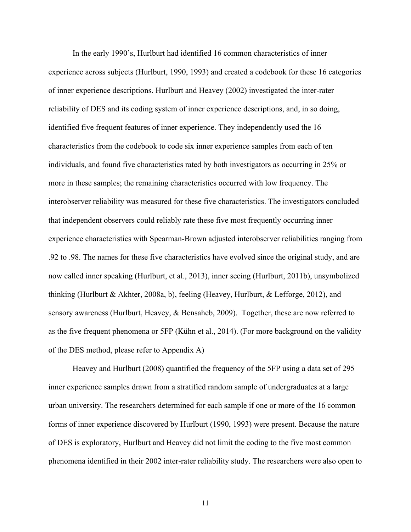In the early 1990's, Hurlburt had identified 16 common characteristics of inner experience across subjects (Hurlburt, 1990, 1993) and created a codebook for these 16 categories of inner experience descriptions. Hurlburt and Heavey (2002) investigated the inter-rater reliability of DES and its coding system of inner experience descriptions, and, in so doing, identified five frequent features of inner experience. They independently used the 16 characteristics from the codebook to code six inner experience samples from each of ten individuals, and found five characteristics rated by both investigators as occurring in 25% or more in these samples; the remaining characteristics occurred with low frequency. The interobserver reliability was measured for these five characteristics. The investigators concluded that independent observers could reliably rate these five most frequently occurring inner experience characteristics with Spearman-Brown adjusted interobserver reliabilities ranging from .92 to .98. The names for these five characteristics have evolved since the original study, and are now called inner speaking (Hurlburt, et al., 2013), inner seeing (Hurlburt, 2011b), unsymbolized thinking (Hurlburt & Akhter, 2008a, b), feeling (Heavey, Hurlburt, & Lefforge, 2012), and sensory awareness (Hurlburt, Heavey, & Bensaheb, 2009). Together, these are now referred to as the five frequent phenomena or 5FP (Kühn et al., 2014). (For more background on the validity of the DES method, please refer to Appendix A)

Heavey and Hurlburt (2008) quantified the frequency of the 5FP using a data set of 295 inner experience samples drawn from a stratified random sample of undergraduates at a large urban university. The researchers determined for each sample if one or more of the 16 common forms of inner experience discovered by Hurlburt (1990, 1993) were present. Because the nature of DES is exploratory, Hurlburt and Heavey did not limit the coding to the five most common phenomena identified in their 2002 inter-rater reliability study. The researchers were also open to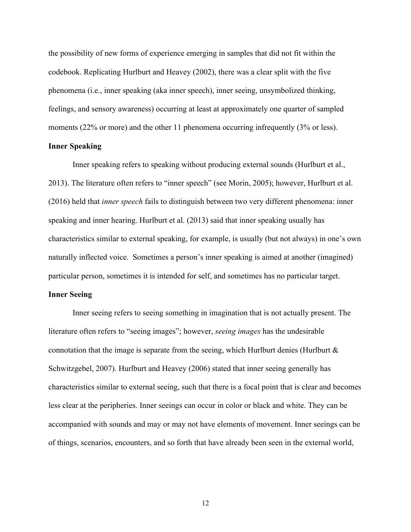the possibility of new forms of experience emerging in samples that did not fit within the codebook. Replicating Hurlburt and Heavey (2002), there was a clear split with the five phenomena (i.e., inner speaking (aka inner speech), inner seeing, unsymbolized thinking, feelings, and sensory awareness) occurring at least at approximately one quarter of sampled moments (22% or more) and the other 11 phenomena occurring infrequently (3% or less).

#### **Inner Speaking**

Inner speaking refers to speaking without producing external sounds (Hurlburt et al., 2013). The literature often refers to "inner speech" (see Morin, 2005); however, Hurlburt et al. (2016) held that *inner speech* fails to distinguish between two very different phenomena: inner speaking and inner hearing. Hurlburt et al. (2013) said that inner speaking usually has characteristics similar to external speaking, for example, is usually (but not always) in one's own naturally inflected voice. Sometimes a person's inner speaking is aimed at another (imagined) particular person, sometimes it is intended for self, and sometimes has no particular target.

#### **Inner Seeing**

Inner seeing refers to seeing something in imagination that is not actually present. The literature often refers to "seeing images"; however, *seeing images* has the undesirable connotation that the image is separate from the seeing, which Hurlburt denies (Hurlburt  $\&$ Schwitzgebel, 2007). Hurlburt and Heavey (2006) stated that inner seeing generally has characteristics similar to external seeing, such that there is a focal point that is clear and becomes less clear at the peripheries. Inner seeings can occur in color or black and white. They can be accompanied with sounds and may or may not have elements of movement. Inner seeings can be of things, scenarios, encounters, and so forth that have already been seen in the external world,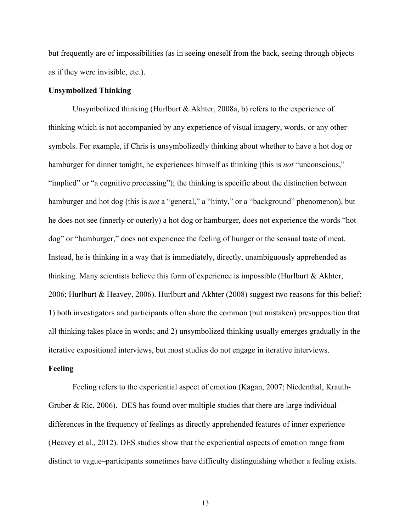but frequently are of impossibilities (as in seeing oneself from the back, seeing through objects as if they were invisible, etc.).

#### **Unsymbolized Thinking**

Unsymbolized thinking (Hurlburt & Akhter, 2008a, b) refers to the experience of thinking which is not accompanied by any experience of visual imagery, words, or any other symbols. For example, if Chris is unsymbolizedly thinking about whether to have a hot dog or hamburger for dinner tonight, he experiences himself as thinking (this is *not* "unconscious," "implied" or "a cognitive processing"); the thinking is specific about the distinction between hamburger and hot dog (this is *not* a "general," a "hinty," or a "background" phenomenon), but he does not see (innerly or outerly) a hot dog or hamburger, does not experience the words "hot dog" or "hamburger," does not experience the feeling of hunger or the sensual taste of meat. Instead, he is thinking in a way that is immediately, directly, unambiguously apprehended as thinking. Many scientists believe this form of experience is impossible (Hurlburt  $\&$  Akhter, 2006; Hurlburt & Heavey, 2006). Hurlburt and Akhter (2008) suggest two reasons for this belief: 1) both investigators and participants often share the common (but mistaken) presupposition that all thinking takes place in words; and 2) unsymbolized thinking usually emerges gradually in the iterative expositional interviews, but most studies do not engage in iterative interviews.

#### **Feeling**

Feeling refers to the experiential aspect of emotion (Kagan, 2007; Niedenthal, Krauth-Gruber & Ric, 2006). DES has found over multiple studies that there are large individual differences in the frequency of feelings as directly apprehended features of inner experience (Heavey et al., 2012). DES studies show that the experiential aspects of emotion range from distinct to vague–participants sometimes have difficulty distinguishing whether a feeling exists.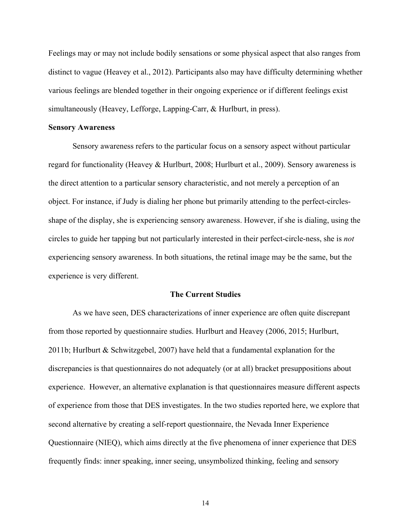Feelings may or may not include bodily sensations or some physical aspect that also ranges from distinct to vague (Heavey et al., 2012). Participants also may have difficulty determining whether various feelings are blended together in their ongoing experience or if different feelings exist simultaneously (Heavey, Lefforge, Lapping-Carr, & Hurlburt, in press).

#### **Sensory Awareness**

Sensory awareness refers to the particular focus on a sensory aspect without particular regard for functionality (Heavey & Hurlburt, 2008; Hurlburt et al., 2009). Sensory awareness is the direct attention to a particular sensory characteristic, and not merely a perception of an object. For instance, if Judy is dialing her phone but primarily attending to the perfect-circlesshape of the display, she is experiencing sensory awareness. However, if she is dialing, using the circles to guide her tapping but not particularly interested in their perfect-circle-ness, she is *not* experiencing sensory awareness. In both situations, the retinal image may be the same, but the experience is very different.

#### **The Current Studies**

As we have seen, DES characterizations of inner experience are often quite discrepant from those reported by questionnaire studies. Hurlburt and Heavey (2006, 2015; Hurlburt, 2011b; Hurlburt & Schwitzgebel, 2007) have held that a fundamental explanation for the discrepancies is that questionnaires do not adequately (or at all) bracket presuppositions about experience. However, an alternative explanation is that questionnaires measure different aspects of experience from those that DES investigates. In the two studies reported here, we explore that second alternative by creating a self-report questionnaire, the Nevada Inner Experience Questionnaire (NIEQ), which aims directly at the five phenomena of inner experience that DES frequently finds: inner speaking, inner seeing, unsymbolized thinking, feeling and sensory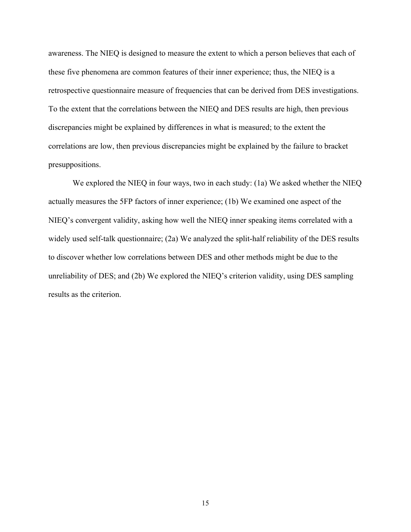awareness. The NIEQ is designed to measure the extent to which a person believes that each of these five phenomena are common features of their inner experience; thus, the NIEQ is a retrospective questionnaire measure of frequencies that can be derived from DES investigations. To the extent that the correlations between the NIEQ and DES results are high, then previous discrepancies might be explained by differences in what is measured; to the extent the correlations are low, then previous discrepancies might be explained by the failure to bracket presuppositions.

We explored the NIEQ in four ways, two in each study: (1a) We asked whether the NIEQ actually measures the 5FP factors of inner experience; (1b) We examined one aspect of the NIEQ's convergent validity, asking how well the NIEQ inner speaking items correlated with a widely used self-talk questionnaire; (2a) We analyzed the split-half reliability of the DES results to discover whether low correlations between DES and other methods might be due to the unreliability of DES; and (2b) We explored the NIEQ's criterion validity, using DES sampling results as the criterion.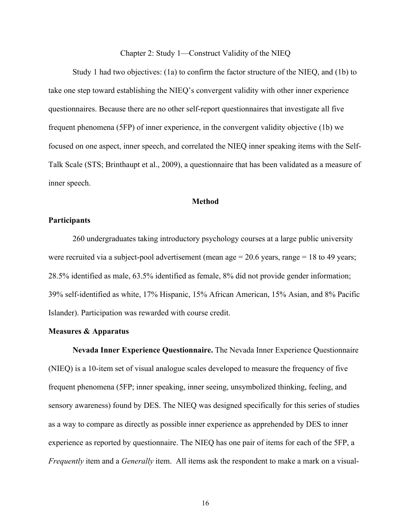#### Chapter 2: Study 1—Construct Validity of the NIEQ

Study 1 had two objectives: (1a) to confirm the factor structure of the NIEQ, and (1b) to take one step toward establishing the NIEQ's convergent validity with other inner experience questionnaires. Because there are no other self-report questionnaires that investigate all five frequent phenomena (5FP) of inner experience, in the convergent validity objective (1b) we focused on one aspect, inner speech, and correlated the NIEQ inner speaking items with the Self-Talk Scale (STS; Brinthaupt et al., 2009), a questionnaire that has been validated as a measure of inner speech.

#### **Method**

#### **Participants**

260 undergraduates taking introductory psychology courses at a large public university were recruited via a subject-pool advertisement (mean age = 20.6 years, range = 18 to 49 years; 28.5% identified as male, 63.5% identified as female, 8% did not provide gender information; 39% self-identified as white, 17% Hispanic, 15% African American, 15% Asian, and 8% Pacific Islander). Participation was rewarded with course credit.

#### **Measures & Apparatus**

**Nevada Inner Experience Questionnaire.** The Nevada Inner Experience Questionnaire (NIEQ) is a 10-item set of visual analogue scales developed to measure the frequency of five frequent phenomena (5FP; inner speaking, inner seeing, unsymbolized thinking, feeling, and sensory awareness) found by DES. The NIEQ was designed specifically for this series of studies as a way to compare as directly as possible inner experience as apprehended by DES to inner experience as reported by questionnaire. The NIEQ has one pair of items for each of the 5FP, a *Frequently* item and a *Generally* item. All items ask the respondent to make a mark on a visual-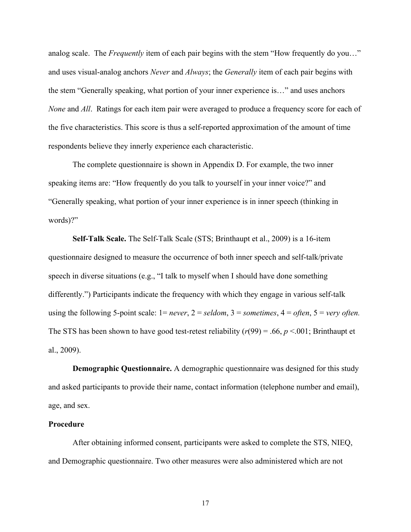analog scale. The *Frequently* item of each pair begins with the stem "How frequently do you…" and uses visual-analog anchors *Never* and *Always*; the *Generally* item of each pair begins with the stem "Generally speaking, what portion of your inner experience is…" and uses anchors *None* and *All*. Ratings for each item pair were averaged to produce a frequency score for each of the five characteristics. This score is thus a self-reported approximation of the amount of time respondents believe they innerly experience each characteristic.

The complete questionnaire is shown in Appendix D. For example, the two inner speaking items are: "How frequently do you talk to yourself in your inner voice?" and "Generally speaking, what portion of your inner experience is in inner speech (thinking in words)?"

**Self-Talk Scale.** The Self-Talk Scale (STS; Brinthaupt et al., 2009) is a 16-item questionnaire designed to measure the occurrence of both inner speech and self-talk/private speech in diverse situations (e.g., "I talk to myself when I should have done something differently.") Participants indicate the frequency with which they engage in various self-talk using the following 5-point scale:  $1 = never$ ,  $2 = seldom$ ,  $3 = sometimes$ ,  $4 = often$ ,  $5 = very$  *often*. The STS has been shown to have good test-retest reliability  $(r(99) = .66, p < .001$ ; Brinthaupt et al., 2009).

**Demographic Questionnaire.** A demographic questionnaire was designed for this study and asked participants to provide their name, contact information (telephone number and email), age, and sex.

#### **Procedure**

After obtaining informed consent, participants were asked to complete the STS, NIEQ, and Demographic questionnaire. Two other measures were also administered which are not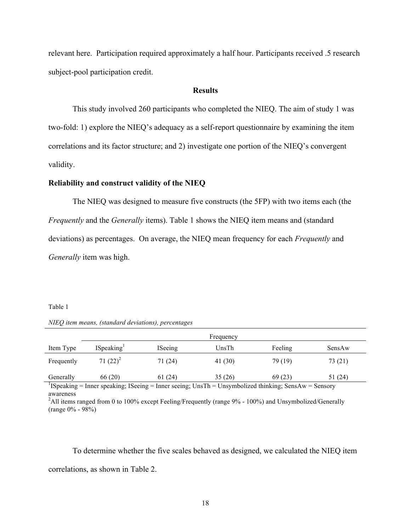relevant here. Participation required approximately a half hour. Participants received .5 research subject-pool participation credit.

#### **Results**

This study involved 260 participants who completed the NIEQ. The aim of study 1 was two-fold: 1) explore the NIEQ's adequacy as a self-report questionnaire by examining the item correlations and its factor structure; and 2) investigate one portion of the NIEQ's convergent validity.

#### **Reliability and construct validity of the NIEQ**

The NIEQ was designed to measure five constructs (the 5FP) with two items each (the *Frequently* and the *Generally* items). Table 1 shows the NIEQ item means and (standard deviations) as percentages. On average, the NIEQ mean frequency for each *Frequently* and *Generally* item was high.

#### Table 1

| NIEQ item means, (standard deviations), percentages |  |
|-----------------------------------------------------|--|
|                                                     |  |

|                        |                | Frequency |         |         |
|------------------------|----------------|-----------|---------|---------|
| ISpeaking <sup>1</sup> | <b>ISeeing</b> | UnsTh     | Feeling | SensAw  |
| 71 $(22)^2$            | 71(24)         | 41 (30)   | 79 (19) | 73 (21) |
| 66(20)                 | 61(24)         | 35(26)    | 69(23)  | 51 (24) |
|                        |                |           |         |         |

<sup>1</sup>ISpeaking = Inner speaking; ISeeing = Inner seeing; UnsTh = Unsymbolized thinking; SensAw = Sensory awareness<br><sup>2</sup>All items ranged from 0 to 100% except Feeling/Frequently (range 9% - 100%) and Unsymbolized/Generally

(range 0% - 98%)

To determine whether the five scales behaved as designed, we calculated the NIEQ item correlations, as shown in Table 2.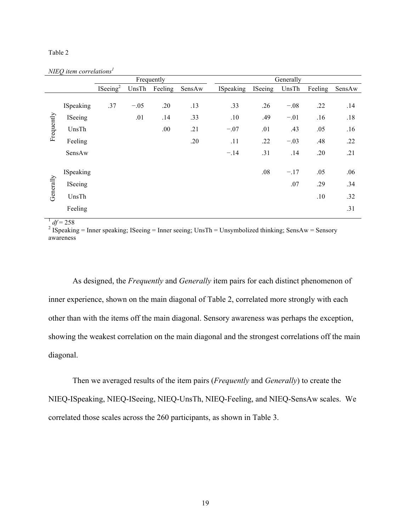#### Table 2

*NIEQ item correlations<sup>1</sup>*

|            |           |                      |        | Frequently |        |           |         | Generally |         |        |
|------------|-----------|----------------------|--------|------------|--------|-----------|---------|-----------|---------|--------|
|            |           | ISeeing <sup>2</sup> | UnsTh  | Feeling    | SensAw | ISpeaking | ISeeing | UnsTh     | Feeling | SensAw |
|            |           |                      |        |            |        |           |         |           |         |        |
|            | ISpeaking | .37                  | $-.05$ | .20        | .13    | .33       | .26     | $-.08$    | .22     | .14    |
|            | ISeeing   |                      | .01    | .14        | .33    | .10       | .49     | $-.01$    | .16     | .18    |
| Frequently | UnsTh     |                      |        | .00        | .21    | $-.07$    | .01     | .43       | .05     | .16    |
|            | Feeling   |                      |        |            | .20    | .11       | .22     | $-.03$    | .48     | .22    |
|            | SensAw    |                      |        |            |        | $-.14$    | .31     | .14       | .20     | .21    |
|            |           |                      |        |            |        |           |         |           |         |        |
|            | ISpeaking |                      |        |            |        |           | .08     | $-.17$    | .05     | .06    |
| Generally  | ISeeing   |                      |        |            |        |           |         | .07       | .29     | .34    |
|            | UnsTh     |                      |        |            |        |           |         |           | .10     | .32    |
|            | Feeling   |                      |        |            |        |           |         |           |         | .31    |

 $\frac{1}{2} df = 258$ <br><sup>2</sup> ISpeaking = Inner speaking; ISeeing = Inner seeing; UnsTh = Unsymbolized thinking; SensAw = Sensory awareness

As designed, the *Frequently* and *Generally* item pairs for each distinct phenomenon of inner experience, shown on the main diagonal of Table 2, correlated more strongly with each other than with the items off the main diagonal. Sensory awareness was perhaps the exception, showing the weakest correlation on the main diagonal and the strongest correlations off the main diagonal.

Then we averaged results of the item pairs (*Frequently* and *Generally*) to create the NIEQ-ISpeaking, NIEQ-ISeeing, NIEQ-UnsTh, NIEQ-Feeling, and NIEQ-SensAw scales. We correlated those scales across the 260 participants, as shown in Table 3.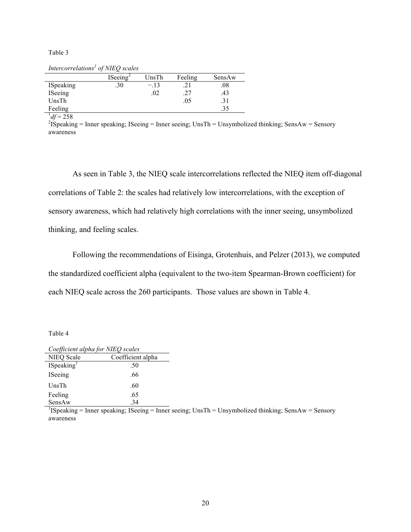Table 3

*Intercorrelations<sup>1</sup> of NIEQ scales*

|           | ISeeing <sup>2</sup> | UnsTh  | Feeling | SensAw |
|-----------|----------------------|--------|---------|--------|
| ISpeaking | .30                  | $-.13$ | . 41    | .08    |
| ISeeing   |                      | .02    | .27     | .43    |
| UnsTh     |                      |        | .05     | .31    |
| Feeling   |                      |        |         | .35    |

 $^{1}df = 258$ 

<sup>1</sup>df = 258<br><sup>2</sup>ISpeaking = Inner speaking; ISeeing = Inner seeing; UnsTh = Unsymbolized thinking; SensAw = Sensory awareness

As seen in Table 3, the NIEQ scale intercorrelations reflected the NIEQ item off-diagonal correlations of Table 2: the scales had relatively low intercorrelations, with the exception of sensory awareness, which had relatively high correlations with the inner seeing, unsymbolized thinking, and feeling scales.

Following the recommendations of Eisinga, Grotenhuis, and Pelzer (2013), we computed the standardized coefficient alpha (equivalent to the two-item Spearman-Brown coefficient) for each NIEQ scale across the 260 participants. Those values are shown in Table 4.

Table 4

| Coefficient alpha for NIEQ scales |                   |  |  |  |
|-----------------------------------|-------------------|--|--|--|
| <b>NIEQ Scale</b>                 | Coefficient alpha |  |  |  |
| ISpeaking <sup>1</sup>            | .50               |  |  |  |
| ISeeing                           | .66               |  |  |  |
| UnsTh                             | .60               |  |  |  |
| Feeling                           | .65               |  |  |  |
| SensAw                            | -34               |  |  |  |

SensAw .34<br><sup>1</sup>ISpeaking = Inner speaking; ISeeing = Inner seeing; UnsTh = Unsymbolized thinking; SensAw = Sensory awareness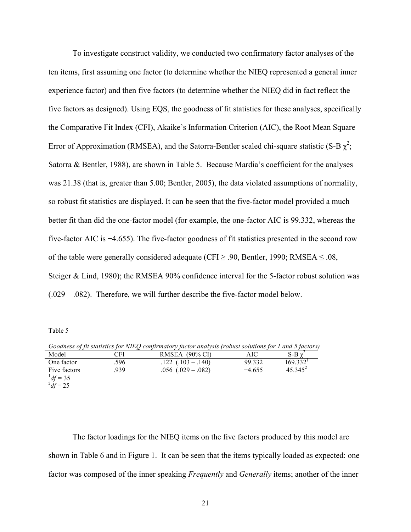To investigate construct validity, we conducted two confirmatory factor analyses of the ten items, first assuming one factor (to determine whether the NIEQ represented a general inner experience factor) and then five factors (to determine whether the NIEQ did in fact reflect the five factors as designed). Using EQS, the goodness of fit statistics for these analyses, specifically the Comparative Fit Index (CFI), Akaike's Information Criterion (AIC), the Root Mean Square Error of Approximation (RMSEA), and the Satorra-Bentler scaled chi-square statistic (S-B  $\chi^2$ ; Satorra & Bentler, 1988), are shown in Table 5. Because Mardia's coefficient for the analyses was 21.38 (that is, greater than 5.00; Bentler, 2005), the data violated assumptions of normality, so robust fit statistics are displayed. It can be seen that the five-factor model provided a much better fit than did the one-factor model (for example, the one-factor AIC is 99.332, whereas the five-factor AIC is −4.655). The five-factor goodness of fit statistics presented in the second row of the table were generally considered adequate (CFI  $\geq$  .90, Bentler, 1990; RMSEA  $\leq$  .08, Steiger & Lind, 1980); the RMSEA 90% confidence interval for the 5-factor robust solution was (.029 – .082). Therefore, we will further describe the five-factor model below.

Table 5

|              |      | Goodness of fit statistics for NIEQ confirmatory factor analysis (robust solutions for 1 and 5 factors) |         |                      |
|--------------|------|---------------------------------------------------------------------------------------------------------|---------|----------------------|
| Model        | CFI  | RMSEA $(90\%$ CI)                                                                                       | AIC     | $S-B \gamma^2$       |
| One factor   | .596 | $.122$ $(.103 - .140)$                                                                                  | 99.332  | 169.332 <sup>1</sup> |
| Five factors | 939  | $.056$ $(.029 - .082)$                                                                                  | $-4655$ | $45.345^2$           |
| $4f-25$      |      |                                                                                                         |         |                      |

 $\frac{1}{2} df = 35$ <br> $\frac{2}{4} df = 25$ 

The factor loadings for the NIEQ items on the five factors produced by this model are shown in Table 6 and in Figure 1. It can be seen that the items typically loaded as expected: one factor was composed of the inner speaking *Frequently* and *Generally* items; another of the inner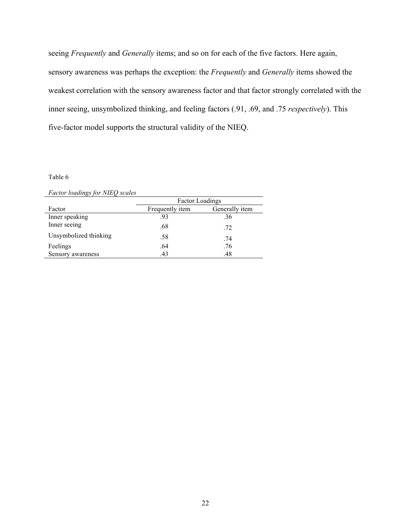seeing *Frequently* and *Generally* items; and so on for each of the five factors. Here again, sensory awareness was perhaps the exception: the *Frequently* and *Generally* items showed the weakest correlation with the sensory awareness factor and that factor strongly correlated with the inner seeing, unsymbolized thinking, and feeling factors (.91, .69, and .75 *respectively*). This five-factor model supports the structural validity of the NIEQ.

#### Table 6

*Factor loadings for NIEQ scales*

|                       | Factor Loadings                   |     |  |  |
|-----------------------|-----------------------------------|-----|--|--|
| Factor                | Generally item<br>Frequently item |     |  |  |
| Inner speaking        | .93                               | .36 |  |  |
| Inner seeing          | .68                               | .72 |  |  |
| Unsymbolized thinking | .58                               | .74 |  |  |
| Feelings              | .64                               | .76 |  |  |
| Sensory awareness     | .43                               | .48 |  |  |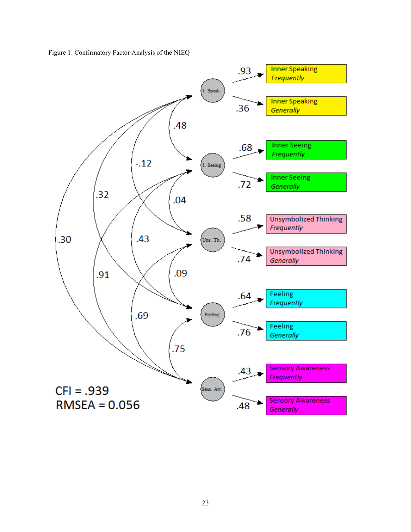Figure 1: Confirmatory Factor Analysis of the NIEQ

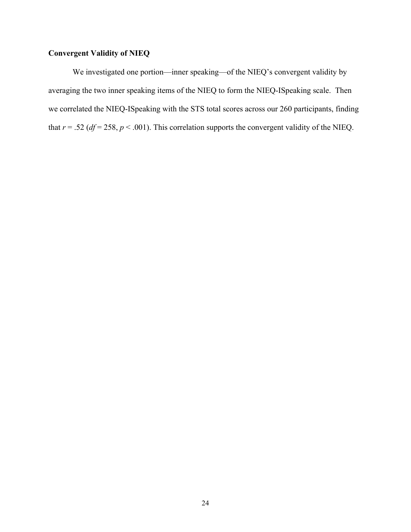### **Convergent Validity of NIEQ**

We investigated one portion—inner speaking—of the NIEQ's convergent validity by averaging the two inner speaking items of the NIEQ to form the NIEQ-ISpeaking scale. Then we correlated the NIEQ-ISpeaking with the STS total scores across our 260 participants, finding that  $r = .52$  ( $df = 258$ ,  $p < .001$ ). This correlation supports the convergent validity of the NIEQ.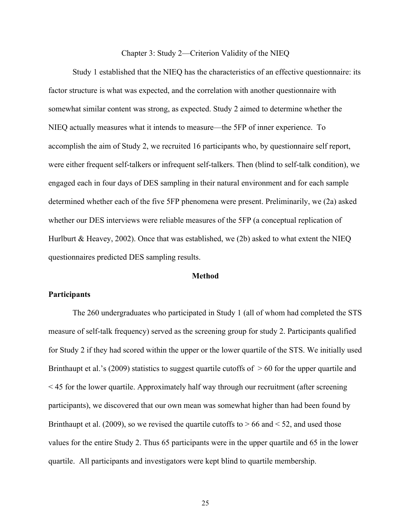#### Chapter 3: Study 2—Criterion Validity of the NIEQ

Study 1 established that the NIEQ has the characteristics of an effective questionnaire: its factor structure is what was expected, and the correlation with another questionnaire with somewhat similar content was strong, as expected. Study 2 aimed to determine whether the NIEQ actually measures what it intends to measure—the 5FP of inner experience. To accomplish the aim of Study 2, we recruited 16 participants who, by questionnaire self report, were either frequent self-talkers or infrequent self-talkers. Then (blind to self-talk condition), we engaged each in four days of DES sampling in their natural environment and for each sample determined whether each of the five 5FP phenomena were present. Preliminarily, we (2a) asked whether our DES interviews were reliable measures of the 5FP (a conceptual replication of Hurlburt & Heavey, 2002). Once that was established, we (2b) asked to what extent the NIEQ questionnaires predicted DES sampling results.

#### **Method**

#### **Participants**

The 260 undergraduates who participated in Study 1 (all of whom had completed the STS measure of self-talk frequency) served as the screening group for study 2. Participants qualified for Study 2 if they had scored within the upper or the lower quartile of the STS. We initially used Brinthaupt et al.'s (2009) statistics to suggest quartile cutoffs of  $> 60$  for the upper quartile and  $\leq$  45 for the lower quartile. Approximately half way through our recruitment (after screening participants), we discovered that our own mean was somewhat higher than had been found by Brinthaupt et al. (2009), so we revised the quartile cutoffs to  $> 66$  and  $< 52$ , and used those values for the entire Study 2. Thus 65 participants were in the upper quartile and 65 in the lower quartile. All participants and investigators were kept blind to quartile membership.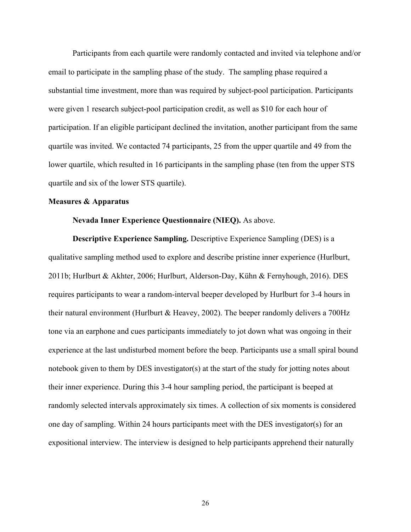Participants from each quartile were randomly contacted and invited via telephone and/or email to participate in the sampling phase of the study. The sampling phase required a substantial time investment, more than was required by subject-pool participation. Participants were given 1 research subject-pool participation credit, as well as \$10 for each hour of participation. If an eligible participant declined the invitation, another participant from the same quartile was invited. We contacted 74 participants, 25 from the upper quartile and 49 from the lower quartile, which resulted in 16 participants in the sampling phase (ten from the upper STS quartile and six of the lower STS quartile).

#### **Measures & Apparatus**

#### **Nevada Inner Experience Questionnaire (NIEQ).** As above.

**Descriptive Experience Sampling.** Descriptive Experience Sampling (DES) is a qualitative sampling method used to explore and describe pristine inner experience (Hurlburt, 2011b; Hurlburt & Akhter, 2006; Hurlburt, Alderson-Day, Kühn & Fernyhough, 2016). DES requires participants to wear a random-interval beeper developed by Hurlburt for 3-4 hours in their natural environment (Hurlburt & Heavey, 2002). The beeper randomly delivers a 700Hz tone via an earphone and cues participants immediately to jot down what was ongoing in their experience at the last undisturbed moment before the beep. Participants use a small spiral bound notebook given to them by DES investigator(s) at the start of the study for jotting notes about their inner experience. During this 3-4 hour sampling period, the participant is beeped at randomly selected intervals approximately six times. A collection of six moments is considered one day of sampling. Within 24 hours participants meet with the DES investigator(s) for an expositional interview. The interview is designed to help participants apprehend their naturally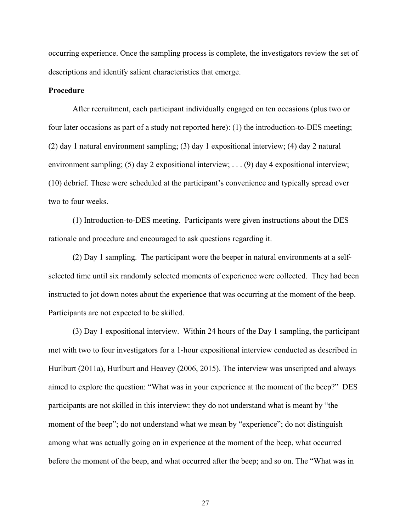occurring experience. Once the sampling process is complete, the investigators review the set of descriptions and identify salient characteristics that emerge.

#### **Procedure**

After recruitment, each participant individually engaged on ten occasions (plus two or four later occasions as part of a study not reported here): (1) the introduction-to-DES meeting; (2) day 1 natural environment sampling; (3) day 1 expositional interview; (4) day 2 natural environment sampling; (5) day 2 expositional interview; . . . (9) day 4 expositional interview; (10) debrief. These were scheduled at the participant's convenience and typically spread over two to four weeks.

(1) Introduction-to-DES meeting. Participants were given instructions about the DES rationale and procedure and encouraged to ask questions regarding it.

(2) Day 1 sampling. The participant wore the beeper in natural environments at a selfselected time until six randomly selected moments of experience were collected. They had been instructed to jot down notes about the experience that was occurring at the moment of the beep. Participants are not expected to be skilled.

(3) Day 1 expositional interview. Within 24 hours of the Day 1 sampling, the participant met with two to four investigators for a 1-hour expositional interview conducted as described in Hurlburt (2011a), Hurlburt and Heavey (2006, 2015). The interview was unscripted and always aimed to explore the question: "What was in your experience at the moment of the beep?" DES participants are not skilled in this interview: they do not understand what is meant by "the moment of the beep"; do not understand what we mean by "experience"; do not distinguish among what was actually going on in experience at the moment of the beep, what occurred before the moment of the beep, and what occurred after the beep; and so on. The "What was in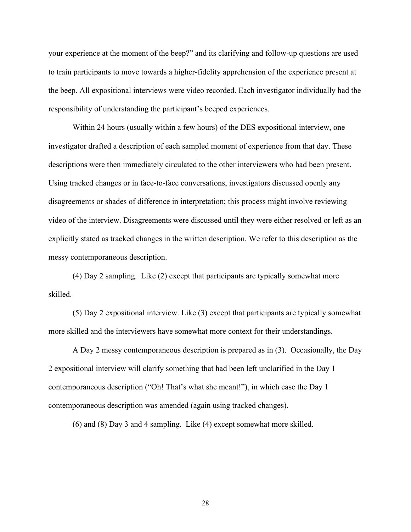your experience at the moment of the beep?" and its clarifying and follow-up questions are used to train participants to move towards a higher-fidelity apprehension of the experience present at the beep. All expositional interviews were video recorded. Each investigator individually had the responsibility of understanding the participant's beeped experiences.

Within 24 hours (usually within a few hours) of the DES expositional interview, one investigator drafted a description of each sampled moment of experience from that day. These descriptions were then immediately circulated to the other interviewers who had been present. Using tracked changes or in face-to-face conversations, investigators discussed openly any disagreements or shades of difference in interpretation; this process might involve reviewing video of the interview. Disagreements were discussed until they were either resolved or left as an explicitly stated as tracked changes in the written description. We refer to this description as the messy contemporaneous description.

(4) Day 2 sampling. Like (2) except that participants are typically somewhat more skilled.

(5) Day 2 expositional interview. Like (3) except that participants are typically somewhat more skilled and the interviewers have somewhat more context for their understandings.

A Day 2 messy contemporaneous description is prepared as in (3). Occasionally, the Day 2 expositional interview will clarify something that had been left unclarified in the Day 1 contemporaneous description ("Oh! That's what she meant!"), in which case the Day 1 contemporaneous description was amended (again using tracked changes).

(6) and (8) Day 3 and 4 sampling. Like (4) except somewhat more skilled.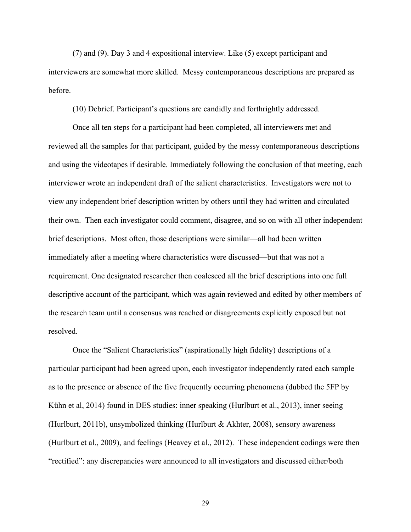(7) and (9). Day 3 and 4 expositional interview. Like (5) except participant and interviewers are somewhat more skilled. Messy contemporaneous descriptions are prepared as before.

(10) Debrief. Participant's questions are candidly and forthrightly addressed.

Once all ten steps for a participant had been completed, all interviewers met and reviewed all the samples for that participant, guided by the messy contemporaneous descriptions and using the videotapes if desirable. Immediately following the conclusion of that meeting, each interviewer wrote an independent draft of the salient characteristics. Investigators were not to view any independent brief description written by others until they had written and circulated their own. Then each investigator could comment, disagree, and so on with all other independent brief descriptions. Most often, those descriptions were similar—all had been written immediately after a meeting where characteristics were discussed—but that was not a requirement. One designated researcher then coalesced all the brief descriptions into one full descriptive account of the participant, which was again reviewed and edited by other members of the research team until a consensus was reached or disagreements explicitly exposed but not resolved.

Once the "Salient Characteristics" (aspirationally high fidelity) descriptions of a particular participant had been agreed upon, each investigator independently rated each sample as to the presence or absence of the five frequently occurring phenomena (dubbed the 5FP by Kühn et al, 2014) found in DES studies: inner speaking (Hurlburt et al., 2013), inner seeing (Hurlburt, 2011b), unsymbolized thinking (Hurlburt & Akhter, 2008), sensory awareness (Hurlburt et al., 2009), and feelings (Heavey et al., 2012). These independent codings were then "rectified": any discrepancies were announced to all investigators and discussed either/both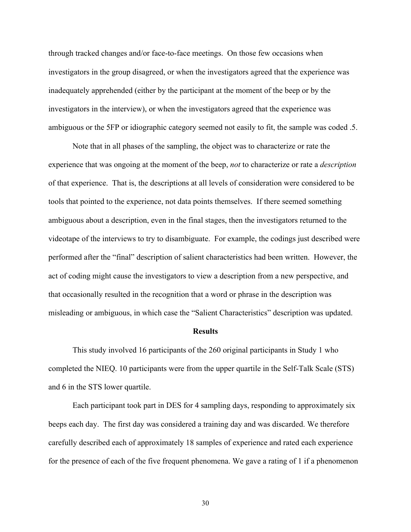through tracked changes and/or face-to-face meetings. On those few occasions when investigators in the group disagreed, or when the investigators agreed that the experience was inadequately apprehended (either by the participant at the moment of the beep or by the investigators in the interview), or when the investigators agreed that the experience was ambiguous or the 5FP or idiographic category seemed not easily to fit, the sample was coded .5.

Note that in all phases of the sampling, the object was to characterize or rate the experience that was ongoing at the moment of the beep, *not* to characterize or rate a *description* of that experience. That is, the descriptions at all levels of consideration were considered to be tools that pointed to the experience, not data points themselves. If there seemed something ambiguous about a description, even in the final stages, then the investigators returned to the videotape of the interviews to try to disambiguate. For example, the codings just described were performed after the "final" description of salient characteristics had been written. However, the act of coding might cause the investigators to view a description from a new perspective, and that occasionally resulted in the recognition that a word or phrase in the description was misleading or ambiguous, in which case the "Salient Characteristics" description was updated.

## **Results**

This study involved 16 participants of the 260 original participants in Study 1 who completed the NIEQ. 10 participants were from the upper quartile in the Self-Talk Scale (STS) and 6 in the STS lower quartile.

Each participant took part in DES for 4 sampling days, responding to approximately six beeps each day. The first day was considered a training day and was discarded. We therefore carefully described each of approximately 18 samples of experience and rated each experience for the presence of each of the five frequent phenomena. We gave a rating of 1 if a phenomenon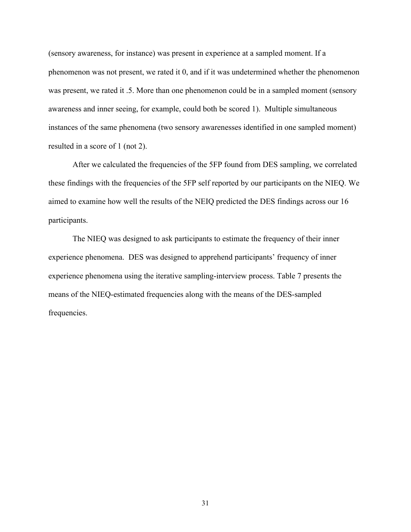(sensory awareness, for instance) was present in experience at a sampled moment. If a phenomenon was not present, we rated it 0, and if it was undetermined whether the phenomenon was present, we rated it .5. More than one phenomenon could be in a sampled moment (sensory awareness and inner seeing, for example, could both be scored 1). Multiple simultaneous instances of the same phenomena (two sensory awarenesses identified in one sampled moment) resulted in a score of 1 (not 2).

After we calculated the frequencies of the 5FP found from DES sampling, we correlated these findings with the frequencies of the 5FP self reported by our participants on the NIEQ. We aimed to examine how well the results of the NEIQ predicted the DES findings across our 16 participants.

The NIEQ was designed to ask participants to estimate the frequency of their inner experience phenomena. DES was designed to apprehend participants' frequency of inner experience phenomena using the iterative sampling-interview process. Table 7 presents the means of the NIEQ-estimated frequencies along with the means of the DES-sampled frequencies.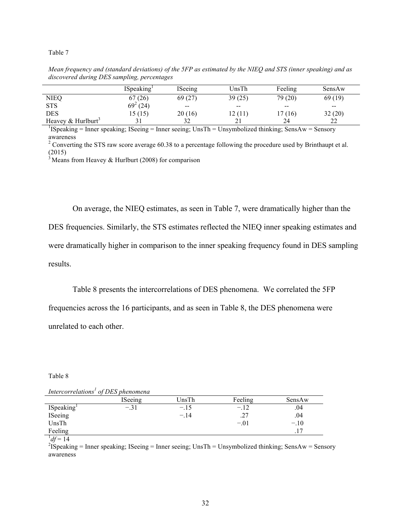# Table 7

|                                  | ISpeaking <sup>T</sup> | <b>ISeeing</b> | UnsTh                    | Feeling       | SensAw  |
|----------------------------------|------------------------|----------------|--------------------------|---------------|---------|
| <b>NIEQ</b>                      | 67(26)                 | 69 (27)        | 39(25)                   | 79 (20)       | 69 (19) |
| <b>STS</b>                       | $69^2(24)$             | $\sim$ $\sim$  | $\overline{\phantom{m}}$ | $\sim$ $\sim$ | $- -$   |
| <b>DES</b>                       | 15(15)                 | 20(16)         | 12 (11)                  | 17 (16)       | 32(20)  |
| Heavey $&$ Hurlburt <sup>3</sup> |                        | 32             |                          | 24            | 22      |

*Mean frequency and (standard deviations) of the 5FP as estimated by the NIEQ and STS (inner speaking) and as discovered during DES sampling, percentages*

<sup>1</sup>ISpeaking = Inner speaking; ISeeing = Inner seeing; UnsTh = Unsymbolized thinking; SensAw = Sensory awareness

<sup>2</sup> Converting the STS raw score average 60.38 to a percentage following the procedure used by Brinthaupt et al. (2015)

 $3$  Means from Heavey & Hurlburt (2008) for comparison

On average, the NIEQ estimates, as seen in Table 7, were dramatically higher than the

DES frequencies. Similarly, the STS estimates reflected the NIEQ inner speaking estimates and were dramatically higher in comparison to the inner speaking frequency found in DES sampling results.

Table 8 presents the intercorrelations of DES phenomena. We correlated the 5FP frequencies across the 16 participants, and as seen in Table 8, the DES phenomena were unrelated to each other.

Table 8

| Intercorrelations <sup>1</sup> of DES phenomena |  |
|-------------------------------------------------|--|
|-------------------------------------------------|--|

|                        | ISeeing | UnsTh  | Feeling   | SensAw |
|------------------------|---------|--------|-----------|--------|
| ISpeaking <sup>1</sup> | $-.31$  | $-.15$ | $-.12$    | .04    |
| ISeeing                |         | $-.14$ | າາ<br>ا گ | .04    |
| UnsTh                  |         |        | $-.01$    | $-.10$ |
| Feeling                |         |        |           |        |
| المتحال                |         |        |           |        |

 $\frac{1}{2}df = 14$ 

<sup>2</sup>ISpeaking = Inner speaking; ISeeing = Inner seeing; UnsTh = Unsymbolized thinking; SensAw = Sensory awareness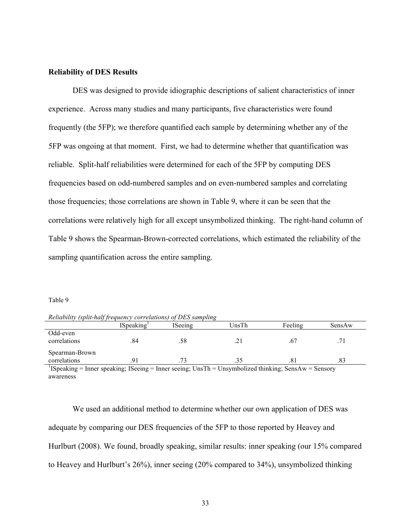# **Reliability of DES Results**

DES was designed to provide idiographic descriptions of salient characteristics of inner experience. Across many studies and many participants, five characteristics were found frequently (the 5FP); we therefore quantified each sample by determining whether any of the 5FP was ongoing at that moment. First, we had to determine whether that quantification was reliable. Split-half reliabilities were determined for each of the 5FP by computing DES frequencies based on odd-numbered samples and on even-numbered samples and correlating those frequencies; those correlations are shown in Table 9, where it can be seen that the correlations were relatively high for all except unsymbolized thinking. The right-hand column of Table 9 shows the Spearman-Brown-corrected correlations, which estimated the reliability of the sampling quantification across the entire sampling.

#### Table 9

| Reliability (split-half frequency correlations) of DES sampling |                        |                |           |                                |        |
|-----------------------------------------------------------------|------------------------|----------------|-----------|--------------------------------|--------|
|                                                                 | ISpeaking <sup>1</sup> | <b>ISeeing</b> | UnsTh     | Feeling                        | SensAw |
| Odd-even<br>correlations                                        | .84                    | .58            |           |                                |        |
| Spearman-Brown<br>correlations                                  |                        | .73            | .35       |                                | .83    |
| .                                                               | . .<br>$ -$            | - -<br>$-$     | .<br>$ -$ | --<br>$\overline{\phantom{a}}$ |        |

*Reliability (split-half frequency correlations) of DES sampling*

<sup>1</sup>ISpeaking = Inner speaking; ISeeing = Inner seeing; UnsTh = Unsymbolized thinking; SensAw = Sensory awareness

We used an additional method to determine whether our own application of DES was adequate by comparing our DES frequencies of the 5FP to those reported by Heavey and Hurlburt (2008). We found, broadly speaking, similar results: inner speaking (our 15% compared to Heavey and Hurlburt's 26%), inner seeing (20% compared to 34%), unsymbolized thinking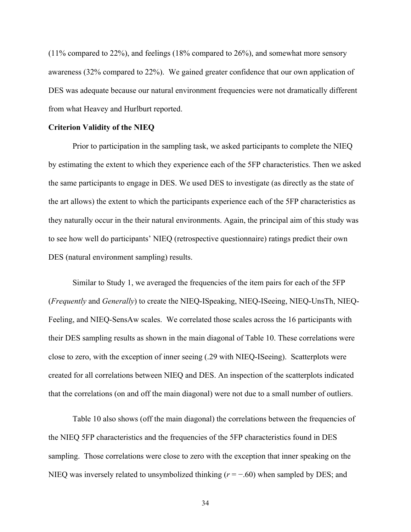(11% compared to 22%), and feelings (18% compared to 26%), and somewhat more sensory awareness (32% compared to 22%). We gained greater confidence that our own application of DES was adequate because our natural environment frequencies were not dramatically different from what Heavey and Hurlburt reported.

# **Criterion Validity of the NIEQ**

Prior to participation in the sampling task, we asked participants to complete the NIEQ by estimating the extent to which they experience each of the 5FP characteristics. Then we asked the same participants to engage in DES. We used DES to investigate (as directly as the state of the art allows) the extent to which the participants experience each of the 5FP characteristics as they naturally occur in the their natural environments. Again, the principal aim of this study was to see how well do participants' NIEQ (retrospective questionnaire) ratings predict their own DES (natural environment sampling) results.

Similar to Study 1, we averaged the frequencies of the item pairs for each of the 5FP (*Frequently* and *Generally*) to create the NIEQ-ISpeaking, NIEQ-ISeeing, NIEQ-UnsTh, NIEQ-Feeling, and NIEQ-SensAw scales. We correlated those scales across the 16 participants with their DES sampling results as shown in the main diagonal of Table 10. These correlations were close to zero, with the exception of inner seeing (.29 with NIEQ-ISeeing). Scatterplots were created for all correlations between NIEQ and DES. An inspection of the scatterplots indicated that the correlations (on and off the main diagonal) were not due to a small number of outliers.

Table 10 also shows (off the main diagonal) the correlations between the frequencies of the NIEQ 5FP characteristics and the frequencies of the 5FP characteristics found in DES sampling. Those correlations were close to zero with the exception that inner speaking on the NIEQ was inversely related to unsymbolized thinking ( $r = −.60$ ) when sampled by DES; and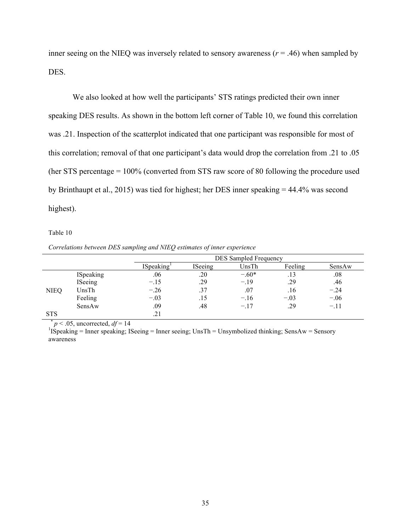inner seeing on the NIEQ was inversely related to sensory awareness  $(r = .46)$  when sampled by DES.

We also looked at how well the participants' STS ratings predicted their own inner speaking DES results. As shown in the bottom left corner of Table 10, we found this correlation was .21. Inspection of the scatterplot indicated that one participant was responsible for most of this correlation; removal of that one participant's data would drop the correlation from .21 to .05 (her STS percentage = 100% (converted from STS raw score of 80 following the procedure used by Brinthaupt et al., 2015) was tied for highest; her DES inner speaking = 44.4% was second highest).

#### Table 10

*Correlations between DES sampling and NIEQ estimates of inner experience*

|             |           | <b>DES</b> Sampled Frequency |         |         |         |        |
|-------------|-----------|------------------------------|---------|---------|---------|--------|
|             |           | ISpeaking <sup>1</sup>       | ISeeing | UnsTh   | Feeling | SensAw |
|             | ISpeaking | .06                          | .20     | $-.60*$ | .13     | .08    |
| <b>NIEQ</b> | ISeeing   | $-.15$                       | .29     | $-.19$  | .29     | .46    |
|             | UnsTh     | $-.26$                       | .37     | .07     | .16     | $-.24$ |
|             | Feeling   | $-.03$                       | .15     | $-.16$  | $-.03$  | $-.06$ |
|             | SensAw    | .09                          | .48     | $-.17$  | .29     | $-.11$ |
| <b>STS</b>  |           | .21                          |         |         |         |        |

 $p < .05$ , uncorrected,  $df = 14$ <br><sup>1</sup> ISpeaking = Inner speaking; ISeeing = Inner seeing; UnsTh = Unsymbolized thinking; SensAw = Sensory awareness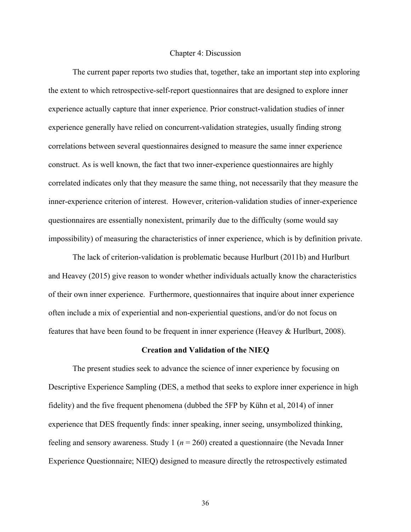# Chapter 4: Discussion

The current paper reports two studies that, together, take an important step into exploring the extent to which retrospective-self-report questionnaires that are designed to explore inner experience actually capture that inner experience. Prior construct-validation studies of inner experience generally have relied on concurrent-validation strategies, usually finding strong correlations between several questionnaires designed to measure the same inner experience construct. As is well known, the fact that two inner-experience questionnaires are highly correlated indicates only that they measure the same thing, not necessarily that they measure the inner-experience criterion of interest. However, criterion-validation studies of inner-experience questionnaires are essentially nonexistent, primarily due to the difficulty (some would say impossibility) of measuring the characteristics of inner experience, which is by definition private.

The lack of criterion-validation is problematic because Hurlburt (2011b) and Hurlburt and Heavey (2015) give reason to wonder whether individuals actually know the characteristics of their own inner experience. Furthermore, questionnaires that inquire about inner experience often include a mix of experiential and non-experiential questions, and/or do not focus on features that have been found to be frequent in inner experience (Heavey & Hurlburt, 2008).

#### **Creation and Validation of the NIEQ**

The present studies seek to advance the science of inner experience by focusing on Descriptive Experience Sampling (DES, a method that seeks to explore inner experience in high fidelity) and the five frequent phenomena (dubbed the 5FP by Kühn et al, 2014) of inner experience that DES frequently finds: inner speaking, inner seeing, unsymbolized thinking, feeling and sensory awareness. Study 1 ( $n = 260$ ) created a questionnaire (the Nevada Inner Experience Questionnaire; NIEQ) designed to measure directly the retrospectively estimated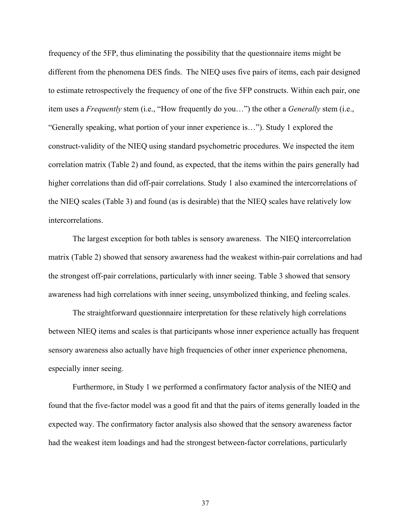frequency of the 5FP, thus eliminating the possibility that the questionnaire items might be different from the phenomena DES finds. The NIEQ uses five pairs of items, each pair designed to estimate retrospectively the frequency of one of the five 5FP constructs. Within each pair, one item uses a *Frequently* stem (i.e., "How frequently do you…") the other a *Generally* stem (i.e., "Generally speaking, what portion of your inner experience is…"). Study 1 explored the construct-validity of the NIEQ using standard psychometric procedures. We inspected the item correlation matrix (Table 2) and found, as expected, that the items within the pairs generally had higher correlations than did off-pair correlations. Study 1 also examined the intercorrelations of the NIEQ scales (Table 3) and found (as is desirable) that the NIEQ scales have relatively low intercorrelations.

The largest exception for both tables is sensory awareness. The NIEQ intercorrelation matrix (Table 2) showed that sensory awareness had the weakest within-pair correlations and had the strongest off-pair correlations, particularly with inner seeing. Table 3 showed that sensory awareness had high correlations with inner seeing, unsymbolized thinking, and feeling scales.

The straightforward questionnaire interpretation for these relatively high correlations between NIEQ items and scales is that participants whose inner experience actually has frequent sensory awareness also actually have high frequencies of other inner experience phenomena, especially inner seeing.

Furthermore, in Study 1 we performed a confirmatory factor analysis of the NIEQ and found that the five-factor model was a good fit and that the pairs of items generally loaded in the expected way. The confirmatory factor analysis also showed that the sensory awareness factor had the weakest item loadings and had the strongest between-factor correlations, particularly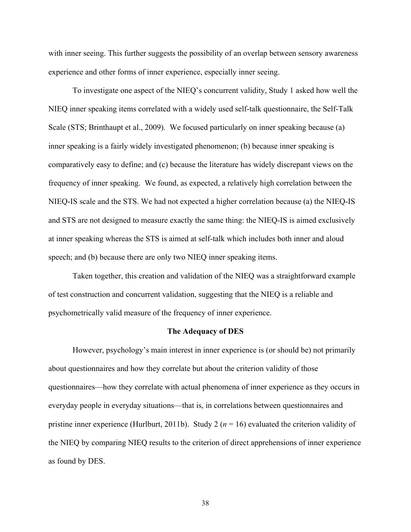with inner seeing. This further suggests the possibility of an overlap between sensory awareness experience and other forms of inner experience, especially inner seeing.

To investigate one aspect of the NIEQ's concurrent validity, Study 1 asked how well the NIEQ inner speaking items correlated with a widely used self-talk questionnaire, the Self-Talk Scale (STS; Brinthaupt et al., 2009). We focused particularly on inner speaking because (a) inner speaking is a fairly widely investigated phenomenon; (b) because inner speaking is comparatively easy to define; and (c) because the literature has widely discrepant views on the frequency of inner speaking. We found, as expected, a relatively high correlation between the NIEQ-IS scale and the STS. We had not expected a higher correlation because (a) the NIEQ-IS and STS are not designed to measure exactly the same thing: the NIEQ-IS is aimed exclusively at inner speaking whereas the STS is aimed at self-talk which includes both inner and aloud speech; and (b) because there are only two NIEQ inner speaking items.

Taken together, this creation and validation of the NIEQ was a straightforward example of test construction and concurrent validation, suggesting that the NIEQ is a reliable and psychometrically valid measure of the frequency of inner experience.

## **The Adequacy of DES**

However, psychology's main interest in inner experience is (or should be) not primarily about questionnaires and how they correlate but about the criterion validity of those questionnaires—how they correlate with actual phenomena of inner experience as they occurs in everyday people in everyday situations—that is, in correlations between questionnaires and pristine inner experience (Hurlburt, 2011b). Study 2 ( $n = 16$ ) evaluated the criterion validity of the NIEQ by comparing NIEQ results to the criterion of direct apprehensions of inner experience as found by DES.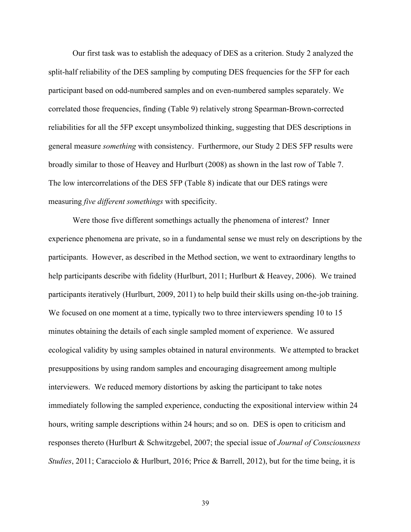Our first task was to establish the adequacy of DES as a criterion. Study 2 analyzed the split-half reliability of the DES sampling by computing DES frequencies for the 5FP for each participant based on odd-numbered samples and on even-numbered samples separately. We correlated those frequencies, finding (Table 9) relatively strong Spearman-Brown-corrected reliabilities for all the 5FP except unsymbolized thinking, suggesting that DES descriptions in general measure *something* with consistency. Furthermore, our Study 2 DES 5FP results were broadly similar to those of Heavey and Hurlburt (2008) as shown in the last row of Table 7. The low intercorrelations of the DES 5FP (Table 8) indicate that our DES ratings were measuring *five different somethings* with specificity.

Were those five different somethings actually the phenomena of interest? Inner experience phenomena are private, so in a fundamental sense we must rely on descriptions by the participants. However, as described in the Method section, we went to extraordinary lengths to help participants describe with fidelity (Hurlburt, 2011; Hurlburt & Heavey, 2006). We trained participants iteratively (Hurlburt, 2009, 2011) to help build their skills using on-the-job training. We focused on one moment at a time, typically two to three interviewers spending 10 to 15 minutes obtaining the details of each single sampled moment of experience. We assured ecological validity by using samples obtained in natural environments. We attempted to bracket presuppositions by using random samples and encouraging disagreement among multiple interviewers. We reduced memory distortions by asking the participant to take notes immediately following the sampled experience, conducting the expositional interview within 24 hours, writing sample descriptions within 24 hours; and so on. DES is open to criticism and responses thereto (Hurlburt & Schwitzgebel, 2007; the special issue of *Journal of Consciousness Studies*, 2011; Caracciolo & Hurlburt, 2016; Price & Barrell, 2012), but for the time being, it is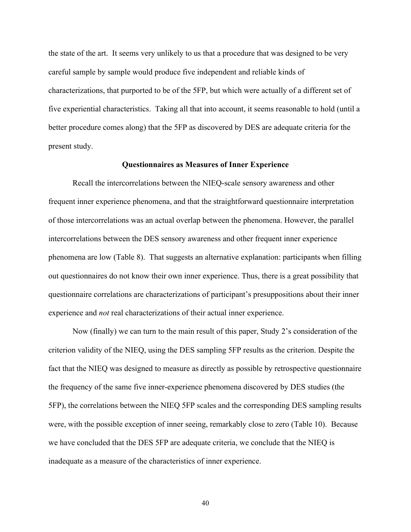the state of the art. It seems very unlikely to us that a procedure that was designed to be very careful sample by sample would produce five independent and reliable kinds of characterizations, that purported to be of the 5FP, but which were actually of a different set of five experiential characteristics. Taking all that into account, it seems reasonable to hold (until a better procedure comes along) that the 5FP as discovered by DES are adequate criteria for the present study.

# **Questionnaires as Measures of Inner Experience**

Recall the intercorrelations between the NIEQ-scale sensory awareness and other frequent inner experience phenomena, and that the straightforward questionnaire interpretation of those intercorrelations was an actual overlap between the phenomena. However, the parallel intercorrelations between the DES sensory awareness and other frequent inner experience phenomena are low (Table 8). That suggests an alternative explanation: participants when filling out questionnaires do not know their own inner experience. Thus, there is a great possibility that questionnaire correlations are characterizations of participant's presuppositions about their inner experience and *not* real characterizations of their actual inner experience.

Now (finally) we can turn to the main result of this paper, Study 2's consideration of the criterion validity of the NIEQ, using the DES sampling 5FP results as the criterion. Despite the fact that the NIEQ was designed to measure as directly as possible by retrospective questionnaire the frequency of the same five inner-experience phenomena discovered by DES studies (the 5FP), the correlations between the NIEQ 5FP scales and the corresponding DES sampling results were, with the possible exception of inner seeing, remarkably close to zero (Table 10). Because we have concluded that the DES 5FP are adequate criteria, we conclude that the NIEQ is inadequate as a measure of the characteristics of inner experience.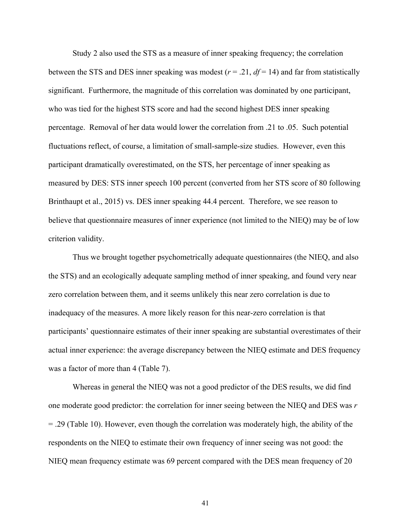Study 2 also used the STS as a measure of inner speaking frequency; the correlation between the STS and DES inner speaking was modest  $(r = .21, df = 14)$  and far from statistically significant. Furthermore, the magnitude of this correlation was dominated by one participant, who was tied for the highest STS score and had the second highest DES inner speaking percentage. Removal of her data would lower the correlation from .21 to .05. Such potential fluctuations reflect, of course, a limitation of small-sample-size studies. However, even this participant dramatically overestimated, on the STS, her percentage of inner speaking as measured by DES: STS inner speech 100 percent (converted from her STS score of 80 following Brinthaupt et al., 2015) vs. DES inner speaking 44.4 percent. Therefore, we see reason to believe that questionnaire measures of inner experience (not limited to the NIEQ) may be of low criterion validity.

Thus we brought together psychometrically adequate questionnaires (the NIEQ, and also the STS) and an ecologically adequate sampling method of inner speaking, and found very near zero correlation between them, and it seems unlikely this near zero correlation is due to inadequacy of the measures. A more likely reason for this near-zero correlation is that participants' questionnaire estimates of their inner speaking are substantial overestimates of their actual inner experience: the average discrepancy between the NIEQ estimate and DES frequency was a factor of more than 4 (Table 7).

Whereas in general the NIEQ was not a good predictor of the DES results, we did find one moderate good predictor: the correlation for inner seeing between the NIEQ and DES was *r* = .29 (Table 10). However, even though the correlation was moderately high, the ability of the respondents on the NIEQ to estimate their own frequency of inner seeing was not good: the NIEQ mean frequency estimate was 69 percent compared with the DES mean frequency of 20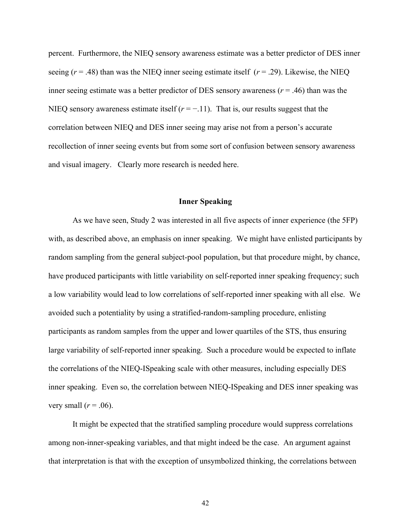percent. Furthermore, the NIEQ sensory awareness estimate was a better predictor of DES inner seeing  $(r = .48)$  than was the NIEQ inner seeing estimate itself  $(r = .29)$ . Likewise, the NIEQ inner seeing estimate was a better predictor of DES sensory awareness ( $r = .46$ ) than was the NIEQ sensory awareness estimate itself  $(r = -11)$ . That is, our results suggest that the correlation between NIEQ and DES inner seeing may arise not from a person's accurate recollection of inner seeing events but from some sort of confusion between sensory awareness and visual imagery. Clearly more research is needed here.

# **Inner Speaking**

As we have seen, Study 2 was interested in all five aspects of inner experience (the 5FP) with, as described above, an emphasis on inner speaking. We might have enlisted participants by random sampling from the general subject-pool population, but that procedure might, by chance, have produced participants with little variability on self-reported inner speaking frequency; such a low variability would lead to low correlations of self-reported inner speaking with all else. We avoided such a potentiality by using a stratified-random-sampling procedure, enlisting participants as random samples from the upper and lower quartiles of the STS, thus ensuring large variability of self-reported inner speaking. Such a procedure would be expected to inflate the correlations of the NIEQ-ISpeaking scale with other measures, including especially DES inner speaking. Even so, the correlation between NIEQ-ISpeaking and DES inner speaking was very small  $(r = .06)$ .

It might be expected that the stratified sampling procedure would suppress correlations among non-inner-speaking variables, and that might indeed be the case. An argument against that interpretation is that with the exception of unsymbolized thinking, the correlations between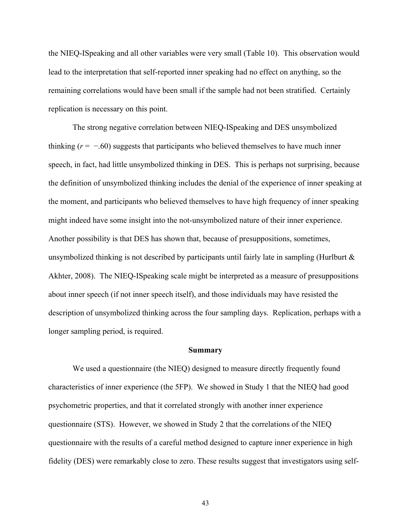the NIEQ-ISpeaking and all other variables were very small (Table 10). This observation would lead to the interpretation that self-reported inner speaking had no effect on anything, so the remaining correlations would have been small if the sample had not been stratified. Certainly replication is necessary on this point.

The strong negative correlation between NIEQ-ISpeaking and DES unsymbolized thinking  $(r = -0.60)$  suggests that participants who believed themselves to have much inner speech, in fact, had little unsymbolized thinking in DES. This is perhaps not surprising, because the definition of unsymbolized thinking includes the denial of the experience of inner speaking at the moment, and participants who believed themselves to have high frequency of inner speaking might indeed have some insight into the not-unsymbolized nature of their inner experience. Another possibility is that DES has shown that, because of presuppositions, sometimes, unsymbolized thinking is not described by participants until fairly late in sampling (Hurlburt  $\&$ Akhter, 2008). The NIEQ-ISpeaking scale might be interpreted as a measure of presuppositions about inner speech (if not inner speech itself), and those individuals may have resisted the description of unsymbolized thinking across the four sampling days. Replication, perhaps with a longer sampling period, is required.

# **Summary**

We used a questionnaire (the NIEQ) designed to measure directly frequently found characteristics of inner experience (the 5FP). We showed in Study 1 that the NIEQ had good psychometric properties, and that it correlated strongly with another inner experience questionnaire (STS). However, we showed in Study 2 that the correlations of the NIEQ questionnaire with the results of a careful method designed to capture inner experience in high fidelity (DES) were remarkably close to zero. These results suggest that investigators using self-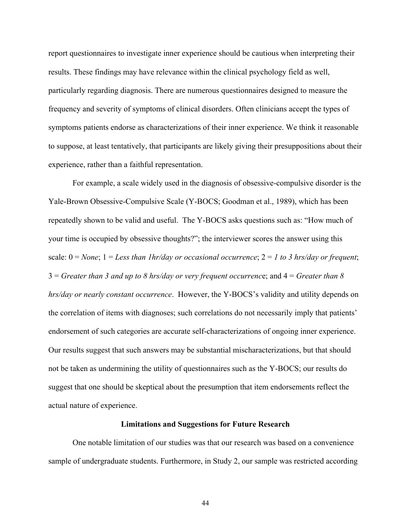report questionnaires to investigate inner experience should be cautious when interpreting their results. These findings may have relevance within the clinical psychology field as well, particularly regarding diagnosis. There are numerous questionnaires designed to measure the frequency and severity of symptoms of clinical disorders. Often clinicians accept the types of symptoms patients endorse as characterizations of their inner experience. We think it reasonable to suppose, at least tentatively, that participants are likely giving their presuppositions about their experience, rather than a faithful representation.

For example, a scale widely used in the diagnosis of obsessive-compulsive disorder is the Yale-Brown Obsessive-Compulsive Scale (Y-BOCS; Goodman et al., 1989), which has been repeatedly shown to be valid and useful. The Y-BOCS asks questions such as: "How much of your time is occupied by obsessive thoughts?"; the interviewer scores the answer using this scale: 0 = *None*; 1 = *Less than 1hr/day or occasional occurrence*; 2 = *1 to 3 hrs/day or frequent*; 3 = *Greater than 3 and up to 8 hrs/day or very frequent occurrenc*e; and 4 = *Greater than 8 hrs/day or nearly constant occurrence*. However, the Y-BOCS's validity and utility depends on the correlation of items with diagnoses; such correlations do not necessarily imply that patients' endorsement of such categories are accurate self-characterizations of ongoing inner experience. Our results suggest that such answers may be substantial mischaracterizations, but that should not be taken as undermining the utility of questionnaires such as the Y-BOCS; our results do suggest that one should be skeptical about the presumption that item endorsements reflect the actual nature of experience.

#### **Limitations and Suggestions for Future Research**

One notable limitation of our studies was that our research was based on a convenience sample of undergraduate students. Furthermore, in Study 2, our sample was restricted according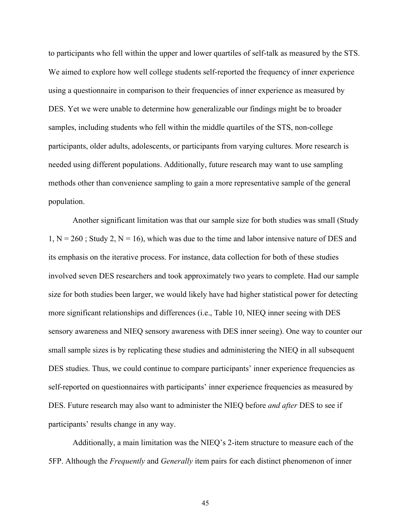to participants who fell within the upper and lower quartiles of self-talk as measured by the STS. We aimed to explore how well college students self-reported the frequency of inner experience using a questionnaire in comparison to their frequencies of inner experience as measured by DES. Yet we were unable to determine how generalizable our findings might be to broader samples, including students who fell within the middle quartiles of the STS, non-college participants, older adults, adolescents, or participants from varying cultures. More research is needed using different populations. Additionally, future research may want to use sampling methods other than convenience sampling to gain a more representative sample of the general population.

Another significant limitation was that our sample size for both studies was small (Study  $1, N = 260$ ; Study 2, N = 16), which was due to the time and labor intensive nature of DES and its emphasis on the iterative process. For instance, data collection for both of these studies involved seven DES researchers and took approximately two years to complete. Had our sample size for both studies been larger, we would likely have had higher statistical power for detecting more significant relationships and differences (i.e., Table 10, NIEQ inner seeing with DES sensory awareness and NIEQ sensory awareness with DES inner seeing). One way to counter our small sample sizes is by replicating these studies and administering the NIEQ in all subsequent DES studies. Thus, we could continue to compare participants' inner experience frequencies as self-reported on questionnaires with participants' inner experience frequencies as measured by DES. Future research may also want to administer the NIEQ before *and after* DES to see if participants' results change in any way.

Additionally, a main limitation was the NIEQ's 2-item structure to measure each of the 5FP. Although the *Frequently* and *Generally* item pairs for each distinct phenomenon of inner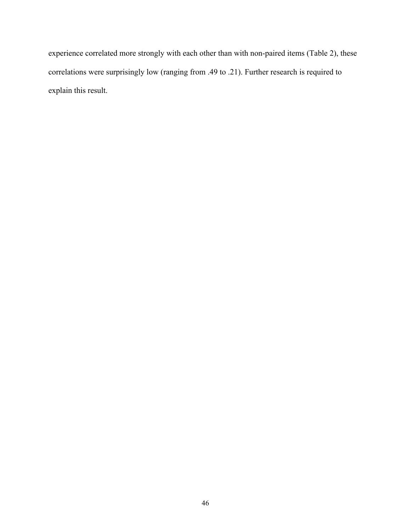experience correlated more strongly with each other than with non-paired items (Table 2), these correlations were surprisingly low (ranging from .49 to .21). Further research is required to explain this result.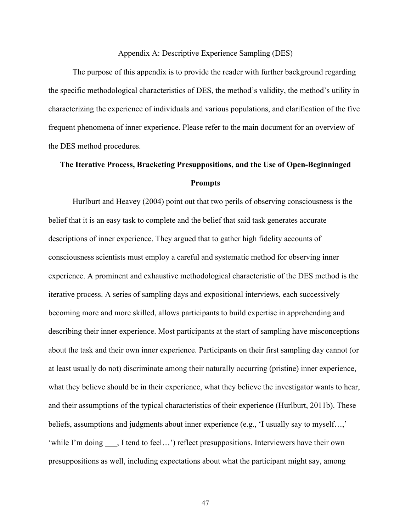# Appendix A: Descriptive Experience Sampling (DES)

The purpose of this appendix is to provide the reader with further background regarding the specific methodological characteristics of DES, the method's validity, the method's utility in characterizing the experience of individuals and various populations, and clarification of the five frequent phenomena of inner experience. Please refer to the main document for an overview of the DES method procedures.

# **The Iterative Process, Bracketing Presuppositions, and the Use of Open-Beginninged Prompts**

Hurlburt and Heavey (2004) point out that two perils of observing consciousness is the belief that it is an easy task to complete and the belief that said task generates accurate descriptions of inner experience. They argued that to gather high fidelity accounts of consciousness scientists must employ a careful and systematic method for observing inner experience. A prominent and exhaustive methodological characteristic of the DES method is the iterative process. A series of sampling days and expositional interviews, each successively becoming more and more skilled, allows participants to build expertise in apprehending and describing their inner experience. Most participants at the start of sampling have misconceptions about the task and their own inner experience. Participants on their first sampling day cannot (or at least usually do not) discriminate among their naturally occurring (pristine) inner experience, what they believe should be in their experience, what they believe the investigator wants to hear, and their assumptions of the typical characteristics of their experience (Hurlburt, 2011b). These beliefs, assumptions and judgments about inner experience (e.g., 'I usually say to myself…,' 'while I'm doing \_\_\_, I tend to feel…') reflect presuppositions. Interviewers have their own presuppositions as well, including expectations about what the participant might say, among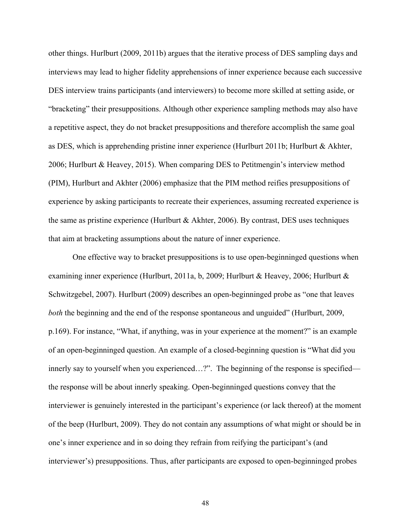other things. Hurlburt (2009, 2011b) argues that the iterative process of DES sampling days and interviews may lead to higher fidelity apprehensions of inner experience because each successive DES interview trains participants (and interviewers) to become more skilled at setting aside, or "bracketing" their presuppositions. Although other experience sampling methods may also have a repetitive aspect, they do not bracket presuppositions and therefore accomplish the same goal as DES, which is apprehending pristine inner experience (Hurlburt 2011b; Hurlburt & Akhter, 2006; Hurlburt & Heavey, 2015). When comparing DES to Petitmengin's interview method (PIM), Hurlburt and Akhter (2006) emphasize that the PIM method reifies presuppositions of experience by asking participants to recreate their experiences, assuming recreated experience is the same as pristine experience (Hurlburt & Akhter, 2006). By contrast, DES uses techniques that aim at bracketing assumptions about the nature of inner experience.

One effective way to bracket presuppositions is to use open-beginninged questions when examining inner experience (Hurlburt, 2011a, b, 2009; Hurlburt & Heavey, 2006; Hurlburt & Schwitzgebel, 2007). Hurlburt (2009) describes an open-beginninged probe as "one that leaves *both* the beginning and the end of the response spontaneous and unguided" (Hurlburt, 2009, p.169). For instance, "What, if anything, was in your experience at the moment?" is an example of an open-beginninged question. An example of a closed-beginning question is "What did you innerly say to yourself when you experienced…?". The beginning of the response is specified the response will be about innerly speaking. Open-beginninged questions convey that the interviewer is genuinely interested in the participant's experience (or lack thereof) at the moment of the beep (Hurlburt, 2009). They do not contain any assumptions of what might or should be in one's inner experience and in so doing they refrain from reifying the participant's (and interviewer's) presuppositions. Thus, after participants are exposed to open-beginninged probes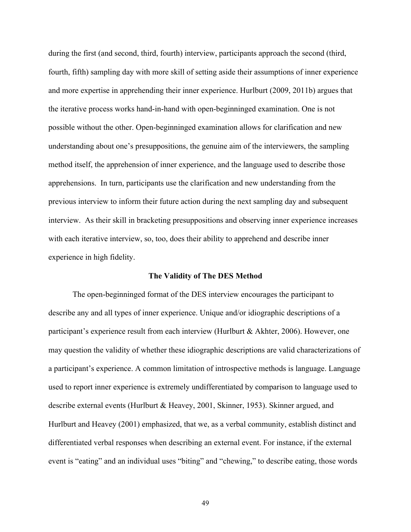during the first (and second, third, fourth) interview, participants approach the second (third, fourth, fifth) sampling day with more skill of setting aside their assumptions of inner experience and more expertise in apprehending their inner experience. Hurlburt (2009, 2011b) argues that the iterative process works hand-in-hand with open-beginninged examination. One is not possible without the other. Open-beginninged examination allows for clarification and new understanding about one's presuppositions, the genuine aim of the interviewers, the sampling method itself, the apprehension of inner experience, and the language used to describe those apprehensions. In turn, participants use the clarification and new understanding from the previous interview to inform their future action during the next sampling day and subsequent interview. As their skill in bracketing presuppositions and observing inner experience increases with each iterative interview, so, too, does their ability to apprehend and describe inner experience in high fidelity.

# **The Validity of The DES Method**

The open-beginninged format of the DES interview encourages the participant to describe any and all types of inner experience. Unique and/or idiographic descriptions of a participant's experience result from each interview (Hurlburt & Akhter, 2006). However, one may question the validity of whether these idiographic descriptions are valid characterizations of a participant's experience. A common limitation of introspective methods is language. Language used to report inner experience is extremely undifferentiated by comparison to language used to describe external events (Hurlburt & Heavey, 2001, Skinner, 1953). Skinner argued, and Hurlburt and Heavey (2001) emphasized, that we, as a verbal community, establish distinct and differentiated verbal responses when describing an external event. For instance, if the external event is "eating" and an individual uses "biting" and "chewing," to describe eating, those words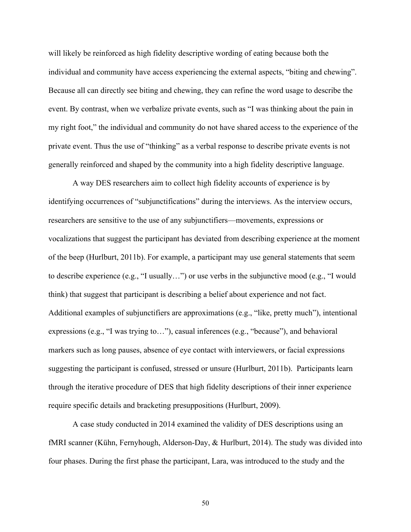will likely be reinforced as high fidelity descriptive wording of eating because both the individual and community have access experiencing the external aspects, "biting and chewing". Because all can directly see biting and chewing, they can refine the word usage to describe the event. By contrast, when we verbalize private events, such as "I was thinking about the pain in my right foot," the individual and community do not have shared access to the experience of the private event. Thus the use of "thinking" as a verbal response to describe private events is not generally reinforced and shaped by the community into a high fidelity descriptive language.

A way DES researchers aim to collect high fidelity accounts of experience is by identifying occurrences of "subjunctifications" during the interviews. As the interview occurs, researchers are sensitive to the use of any subjunctifiers—movements, expressions or vocalizations that suggest the participant has deviated from describing experience at the moment of the beep (Hurlburt, 2011b). For example, a participant may use general statements that seem to describe experience (e.g., "I usually…") or use verbs in the subjunctive mood (e.g., "I would think) that suggest that participant is describing a belief about experience and not fact. Additional examples of subjunctifiers are approximations (e.g., "like, pretty much"), intentional expressions (e.g., "I was trying to…"), casual inferences (e.g., "because"), and behavioral markers such as long pauses, absence of eye contact with interviewers, or facial expressions suggesting the participant is confused, stressed or unsure (Hurlburt, 2011b). Participants learn through the iterative procedure of DES that high fidelity descriptions of their inner experience require specific details and bracketing presuppositions (Hurlburt, 2009).

A case study conducted in 2014 examined the validity of DES descriptions using an fMRI scanner (Kühn, Fernyhough, Alderson-Day, & Hurlburt, 2014). The study was divided into four phases. During the first phase the participant, Lara, was introduced to the study and the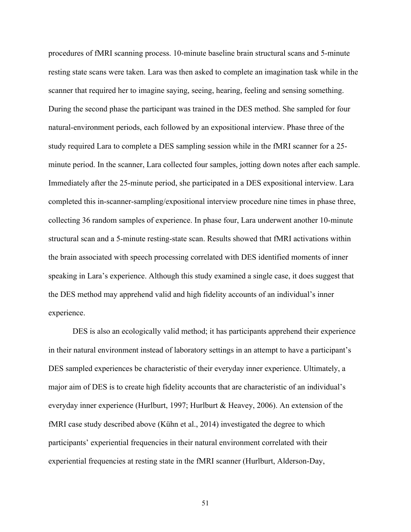procedures of fMRI scanning process. 10-minute baseline brain structural scans and 5-minute resting state scans were taken. Lara was then asked to complete an imagination task while in the scanner that required her to imagine saying, seeing, hearing, feeling and sensing something. During the second phase the participant was trained in the DES method. She sampled for four natural-environment periods, each followed by an expositional interview. Phase three of the study required Lara to complete a DES sampling session while in the fMRI scanner for a 25 minute period. In the scanner, Lara collected four samples, jotting down notes after each sample. Immediately after the 25-minute period, she participated in a DES expositional interview. Lara completed this in-scanner-sampling/expositional interview procedure nine times in phase three, collecting 36 random samples of experience. In phase four, Lara underwent another 10-minute structural scan and a 5-minute resting-state scan. Results showed that fMRI activations within the brain associated with speech processing correlated with DES identified moments of inner speaking in Lara's experience. Although this study examined a single case, it does suggest that the DES method may apprehend valid and high fidelity accounts of an individual's inner experience.

DES is also an ecologically valid method; it has participants apprehend their experience in their natural environment instead of laboratory settings in an attempt to have a participant's DES sampled experiences be characteristic of their everyday inner experience. Ultimately, a major aim of DES is to create high fidelity accounts that are characteristic of an individual's everyday inner experience (Hurlburt, 1997; Hurlburt & Heavey, 2006). An extension of the fMRI case study described above (Kühn et al., 2014) investigated the degree to which participants' experiential frequencies in their natural environment correlated with their experiential frequencies at resting state in the fMRI scanner (Hurlburt, Alderson-Day,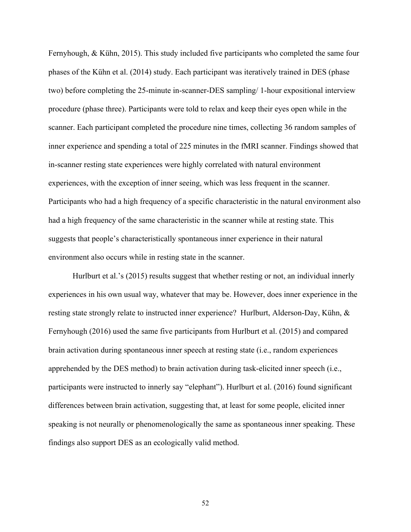Fernyhough, & Kühn, 2015). This study included five participants who completed the same four phases of the Kühn et al. (2014) study. Each participant was iteratively trained in DES (phase two) before completing the 25-minute in-scanner-DES sampling/ 1-hour expositional interview procedure (phase three). Participants were told to relax and keep their eyes open while in the scanner. Each participant completed the procedure nine times, collecting 36 random samples of inner experience and spending a total of 225 minutes in the fMRI scanner. Findings showed that in-scanner resting state experiences were highly correlated with natural environment experiences, with the exception of inner seeing, which was less frequent in the scanner. Participants who had a high frequency of a specific characteristic in the natural environment also had a high frequency of the same characteristic in the scanner while at resting state. This suggests that people's characteristically spontaneous inner experience in their natural environment also occurs while in resting state in the scanner.

Hurlburt et al.'s (2015) results suggest that whether resting or not, an individual innerly experiences in his own usual way, whatever that may be. However, does inner experience in the resting state strongly relate to instructed inner experience? Hurlburt, Alderson-Day, Kühn, & Fernyhough (2016) used the same five participants from Hurlburt et al. (2015) and compared brain activation during spontaneous inner speech at resting state (i.e., random experiences apprehended by the DES method) to brain activation during task-elicited inner speech (i.e., participants were instructed to innerly say "elephant"). Hurlburt et al. (2016) found significant differences between brain activation, suggesting that, at least for some people, elicited inner speaking is not neurally or phenomenologically the same as spontaneous inner speaking. These findings also support DES as an ecologically valid method.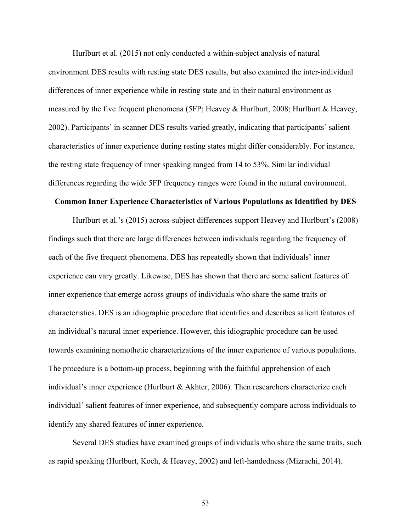Hurlburt et al. (2015) not only conducted a within-subject analysis of natural environment DES results with resting state DES results, but also examined the inter-individual differences of inner experience while in resting state and in their natural environment as measured by the five frequent phenomena (5FP; Heavey & Hurlburt, 2008; Hurlburt & Heavey, 2002). Participants' in-scanner DES results varied greatly, indicating that participants' salient characteristics of inner experience during resting states might differ considerably. For instance, the resting state frequency of inner speaking ranged from 14 to 53%. Similar individual differences regarding the wide 5FP frequency ranges were found in the natural environment.

# **Common Inner Experience Characteristics of Various Populations as Identified by DES**

Hurlburt et al.'s (2015) across-subject differences support Heavey and Hurlburt's (2008) findings such that there are large differences between individuals regarding the frequency of each of the five frequent phenomena. DES has repeatedly shown that individuals' inner experience can vary greatly. Likewise, DES has shown that there are some salient features of inner experience that emerge across groups of individuals who share the same traits or characteristics. DES is an idiographic procedure that identifies and describes salient features of an individual's natural inner experience. However, this idiographic procedure can be used towards examining nomothetic characterizations of the inner experience of various populations. The procedure is a bottom-up process, beginning with the faithful apprehension of each individual's inner experience (Hurlburt & Akhter, 2006). Then researchers characterize each individual' salient features of inner experience, and subsequently compare across individuals to identify any shared features of inner experience.

Several DES studies have examined groups of individuals who share the same traits, such as rapid speaking (Hurlburt, Koch, & Heavey, 2002) and left-handedness (Mizrachi, 2014).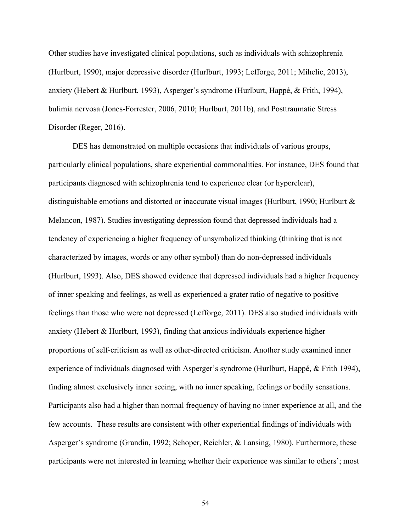Other studies have investigated clinical populations, such as individuals with schizophrenia (Hurlburt, 1990), major depressive disorder (Hurlburt, 1993; Lefforge, 2011; Mihelic, 2013), anxiety (Hebert & Hurlburt, 1993), Asperger's syndrome (Hurlburt, Happé, & Frith, 1994), bulimia nervosa (Jones-Forrester, 2006, 2010; Hurlburt, 2011b), and Posttraumatic Stress Disorder (Reger, 2016).

DES has demonstrated on multiple occasions that individuals of various groups, particularly clinical populations, share experiential commonalities. For instance, DES found that participants diagnosed with schizophrenia tend to experience clear (or hyperclear), distinguishable emotions and distorted or inaccurate visual images (Hurlburt, 1990; Hurlburt & Melancon, 1987). Studies investigating depression found that depressed individuals had a tendency of experiencing a higher frequency of unsymbolized thinking (thinking that is not characterized by images, words or any other symbol) than do non-depressed individuals (Hurlburt, 1993). Also, DES showed evidence that depressed individuals had a higher frequency of inner speaking and feelings, as well as experienced a grater ratio of negative to positive feelings than those who were not depressed (Lefforge, 2011). DES also studied individuals with anxiety (Hebert & Hurlburt, 1993), finding that anxious individuals experience higher proportions of self-criticism as well as other-directed criticism. Another study examined inner experience of individuals diagnosed with Asperger's syndrome (Hurlburt, Happé, & Frith 1994), finding almost exclusively inner seeing, with no inner speaking, feelings or bodily sensations. Participants also had a higher than normal frequency of having no inner experience at all, and the few accounts. These results are consistent with other experiential findings of individuals with Asperger's syndrome (Grandin, 1992; Schoper, Reichler, & Lansing, 1980). Furthermore, these participants were not interested in learning whether their experience was similar to others'; most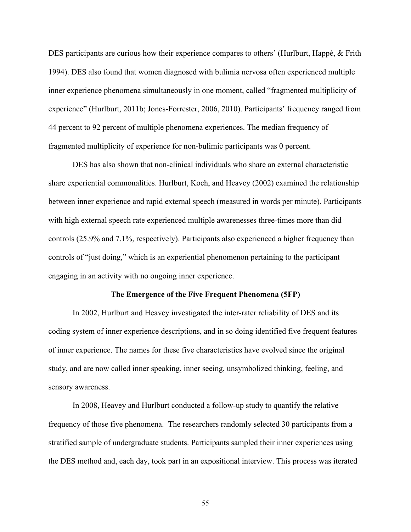DES participants are curious how their experience compares to others' (Hurlburt, Happé, & Frith 1994). DES also found that women diagnosed with bulimia nervosa often experienced multiple inner experience phenomena simultaneously in one moment, called "fragmented multiplicity of experience" (Hurlburt, 2011b; Jones-Forrester, 2006, 2010). Participants' frequency ranged from 44 percent to 92 percent of multiple phenomena experiences. The median frequency of fragmented multiplicity of experience for non-bulimic participants was 0 percent.

DES has also shown that non-clinical individuals who share an external characteristic share experiential commonalities. Hurlburt, Koch, and Heavey (2002) examined the relationship between inner experience and rapid external speech (measured in words per minute). Participants with high external speech rate experienced multiple awarenesses three-times more than did controls (25.9% and 7.1%, respectively). Participants also experienced a higher frequency than controls of "just doing," which is an experiential phenomenon pertaining to the participant engaging in an activity with no ongoing inner experience.

# **The Emergence of the Five Frequent Phenomena (5FP)**

In 2002, Hurlburt and Heavey investigated the inter-rater reliability of DES and its coding system of inner experience descriptions, and in so doing identified five frequent features of inner experience. The names for these five characteristics have evolved since the original study, and are now called inner speaking, inner seeing, unsymbolized thinking, feeling, and sensory awareness.

In 2008, Heavey and Hurlburt conducted a follow-up study to quantify the relative frequency of those five phenomena. The researchers randomly selected 30 participants from a stratified sample of undergraduate students. Participants sampled their inner experiences using the DES method and, each day, took part in an expositional interview. This process was iterated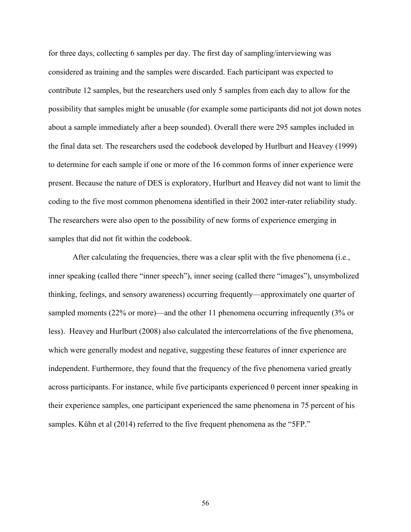for three days, collecting 6 samples per day. The first day of sampling/interviewing was considered as training and the samples were discarded. Each participant was expected to contribute 12 samples, but the researchers used only 5 samples from each day to allow for the possibility that samples might be unusable (for example some participants did not jot down notes about a sample immediately after a beep sounded). Overall there were 295 samples included in the final data set. The researchers used the codebook developed by Hurlburt and Heavey (1999) to determine for each sample if one or more of the 16 common forms of inner experience were present. Because the nature of DES is exploratory, Hurlburt and Heavey did not want to limit the coding to the five most common phenomena identified in their 2002 inter-rater reliability study. The researchers were also open to the possibility of new forms of experience emerging in samples that did not fit within the codebook.

After calculating the frequencies, there was a clear split with the five phenomena (i.e., inner speaking (called there "inner speech"), inner seeing (called there "images"), unsymbolized thinking, feelings, and sensory awareness) occurring frequently—approximately one quarter of sampled moments (22% or more)—and the other 11 phenomena occurring infrequently (3% or less). Heavey and Hurlburt (2008) also calculated the intercorrelations of the five phenomena, which were generally modest and negative, suggesting these features of inner experience are independent. Furthermore, they found that the frequency of the five phenomena varied greatly across participants. For instance, while five participants experienced 0 percent inner speaking in their experience samples, one participant experienced the same phenomena in 75 percent of his samples. Kühn et al (2014) referred to the five frequent phenomena as the "5FP."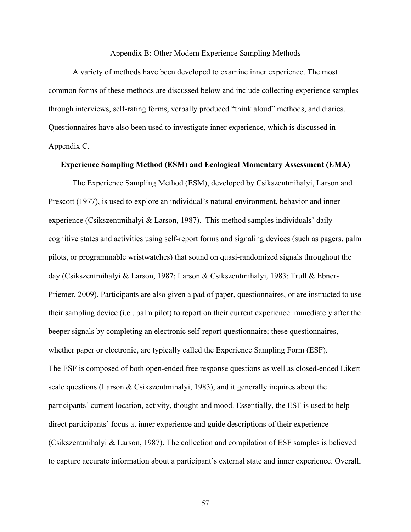# Appendix B: Other Modern Experience Sampling Methods

A variety of methods have been developed to examine inner experience. The most common forms of these methods are discussed below and include collecting experience samples through interviews, self-rating forms, verbally produced "think aloud" methods, and diaries. Questionnaires have also been used to investigate inner experience, which is discussed in Appendix C.

# **Experience Sampling Method (ESM) and Ecological Momentary Assessment (EMA)**

The Experience Sampling Method (ESM), developed by Csikszentmihalyi, Larson and Prescott (1977), is used to explore an individual's natural environment, behavior and inner experience (Csikszentmihalyi & Larson, 1987). This method samples individuals' daily cognitive states and activities using self-report forms and signaling devices (such as pagers, palm pilots, or programmable wristwatches) that sound on quasi-randomized signals throughout the day (Csikszentmihalyi & Larson, 1987; Larson & Csikszentmihalyi, 1983; Trull & Ebner-Priemer, 2009). Participants are also given a pad of paper, questionnaires, or are instructed to use their sampling device (i.e., palm pilot) to report on their current experience immediately after the beeper signals by completing an electronic self-report questionnaire; these questionnaires, whether paper or electronic, are typically called the Experience Sampling Form (ESF). The ESF is composed of both open-ended free response questions as well as closed-ended Likert scale questions (Larson & Csikszentmihalyi, 1983), and it generally inquires about the participants' current location, activity, thought and mood. Essentially, the ESF is used to help direct participants' focus at inner experience and guide descriptions of their experience (Csikszentmihalyi & Larson, 1987). The collection and compilation of ESF samples is believed to capture accurate information about a participant's external state and inner experience. Overall,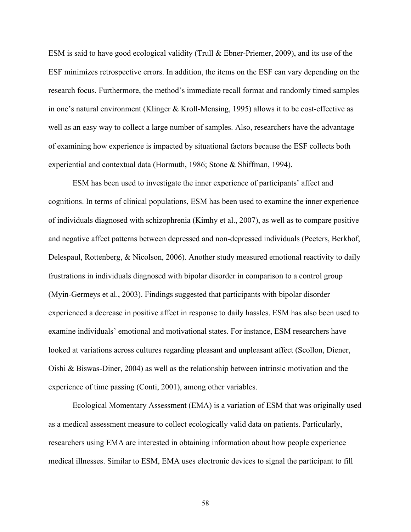ESM is said to have good ecological validity (Trull & Ebner-Priemer, 2009), and its use of the ESF minimizes retrospective errors. In addition, the items on the ESF can vary depending on the research focus. Furthermore, the method's immediate recall format and randomly timed samples in one's natural environment (Klinger & Kroll-Mensing, 1995) allows it to be cost-effective as well as an easy way to collect a large number of samples. Also, researchers have the advantage of examining how experience is impacted by situational factors because the ESF collects both experiential and contextual data (Hormuth, 1986; Stone & Shiffman, 1994).

ESM has been used to investigate the inner experience of participants' affect and cognitions. In terms of clinical populations, ESM has been used to examine the inner experience of individuals diagnosed with schizophrenia (Kimhy et al., 2007), as well as to compare positive and negative affect patterns between depressed and non-depressed individuals (Peeters, Berkhof, Delespaul, Rottenberg, & Nicolson, 2006). Another study measured emotional reactivity to daily frustrations in individuals diagnosed with bipolar disorder in comparison to a control group (Myin-Germeys et al., 2003). Findings suggested that participants with bipolar disorder experienced a decrease in positive affect in response to daily hassles. ESM has also been used to examine individuals' emotional and motivational states. For instance, ESM researchers have looked at variations across cultures regarding pleasant and unpleasant affect (Scollon, Diener, Oishi & Biswas-Diner, 2004) as well as the relationship between intrinsic motivation and the experience of time passing (Conti, 2001), among other variables.

Ecological Momentary Assessment (EMA) is a variation of ESM that was originally used as a medical assessment measure to collect ecologically valid data on patients. Particularly, researchers using EMA are interested in obtaining information about how people experience medical illnesses. Similar to ESM, EMA uses electronic devices to signal the participant to fill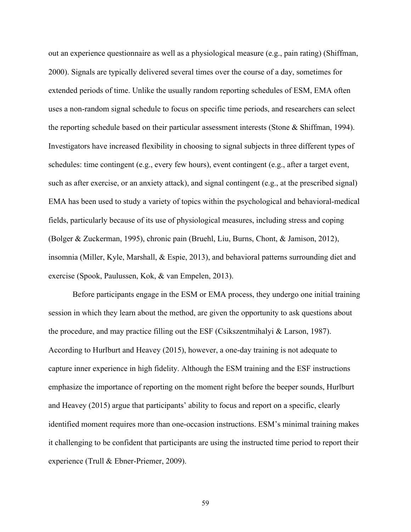out an experience questionnaire as well as a physiological measure (e.g., pain rating) (Shiffman, 2000). Signals are typically delivered several times over the course of a day, sometimes for extended periods of time. Unlike the usually random reporting schedules of ESM, EMA often uses a non-random signal schedule to focus on specific time periods, and researchers can select the reporting schedule based on their particular assessment interests (Stone & Shiffman, 1994). Investigators have increased flexibility in choosing to signal subjects in three different types of schedules: time contingent (e.g., every few hours), event contingent (e.g., after a target event, such as after exercise, or an anxiety attack), and signal contingent (e.g., at the prescribed signal) EMA has been used to study a variety of topics within the psychological and behavioral-medical fields, particularly because of its use of physiological measures, including stress and coping (Bolger & Zuckerman, 1995), chronic pain (Bruehl, Liu, Burns, Chont, & Jamison, 2012), insomnia (Miller, Kyle, Marshall, & Espie, 2013), and behavioral patterns surrounding diet and exercise (Spook, Paulussen, Kok, & van Empelen, 2013).

Before participants engage in the ESM or EMA process, they undergo one initial training session in which they learn about the method, are given the opportunity to ask questions about the procedure, and may practice filling out the ESF (Csikszentmihalyi & Larson, 1987). According to Hurlburt and Heavey (2015), however, a one-day training is not adequate to capture inner experience in high fidelity. Although the ESM training and the ESF instructions emphasize the importance of reporting on the moment right before the beeper sounds, Hurlburt and Heavey (2015) argue that participants' ability to focus and report on a specific, clearly identified moment requires more than one-occasion instructions. ESM's minimal training makes it challenging to be confident that participants are using the instructed time period to report their experience (Trull & Ebner-Priemer, 2009).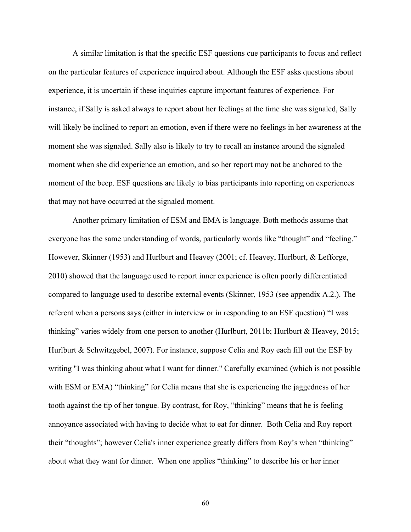A similar limitation is that the specific ESF questions cue participants to focus and reflect on the particular features of experience inquired about. Although the ESF asks questions about experience, it is uncertain if these inquiries capture important features of experience. For instance, if Sally is asked always to report about her feelings at the time she was signaled, Sally will likely be inclined to report an emotion, even if there were no feelings in her awareness at the moment she was signaled. Sally also is likely to try to recall an instance around the signaled moment when she did experience an emotion, and so her report may not be anchored to the moment of the beep. ESF questions are likely to bias participants into reporting on experiences that may not have occurred at the signaled moment.

Another primary limitation of ESM and EMA is language. Both methods assume that everyone has the same understanding of words, particularly words like "thought" and "feeling." However, Skinner (1953) and Hurlburt and Heavey (2001; cf. Heavey, Hurlburt, & Lefforge, 2010) showed that the language used to report inner experience is often poorly differentiated compared to language used to describe external events (Skinner, 1953 (see appendix A.2.). The referent when a persons says (either in interview or in responding to an ESF question) "I was thinking" varies widely from one person to another (Hurlburt, 2011b; Hurlburt & Heavey, 2015; Hurlburt & Schwitzgebel, 2007). For instance, suppose Celia and Roy each fill out the ESF by writing "I was thinking about what I want for dinner." Carefully examined (which is not possible with ESM or EMA) "thinking" for Celia means that she is experiencing the jaggedness of her tooth against the tip of her tongue. By contrast, for Roy, "thinking" means that he is feeling annoyance associated with having to decide what to eat for dinner. Both Celia and Roy report their "thoughts"; however Celia's inner experience greatly differs from Roy's when "thinking" about what they want for dinner. When one applies "thinking" to describe his or her inner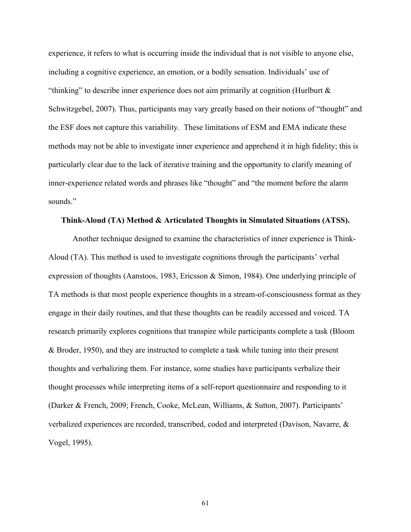experience, it refers to what is occurring inside the individual that is not visible to anyone else, including a cognitive experience, an emotion, or a bodily sensation. Individuals' use of "thinking" to describe inner experience does not aim primarily at cognition (Hurlburt  $\&$ Schwitzgebel, 2007). Thus, participants may vary greatly based on their notions of "thought" and the ESF does not capture this variability. These limitations of ESM and EMA indicate these methods may not be able to investigate inner experience and apprehend it in high fidelity; this is particularly clear due to the lack of iterative training and the opportunity to clarify meaning of inner-experience related words and phrases like "thought" and "the moment before the alarm sounds."

# **Think-Aloud (TA) Method & Articulated Thoughts in Simulated Situations (ATSS).**

Another technique designed to examine the characteristics of inner experience is Think-Aloud (TA). This method is used to investigate cognitions through the participants' verbal expression of thoughts (Aanstoos, 1983, Ericsson & Simon, 1984). One underlying principle of TA methods is that most people experience thoughts in a stream-of-consciousness format as they engage in their daily routines, and that these thoughts can be readily accessed and voiced. TA research primarily explores cognitions that transpire while participants complete a task (Bloom & Broder, 1950), and they are instructed to complete a task while tuning into their present thoughts and verbalizing them. For instance, some studies have participants verbalize their thought processes while interpreting items of a self-report questionnaire and responding to it (Darker & French, 2009; French, Cooke, McLean, Williams, & Sutton, 2007). Participants' verbalized experiences are recorded, transcribed, coded and interpreted (Davison, Navarre, & Vogel, 1995).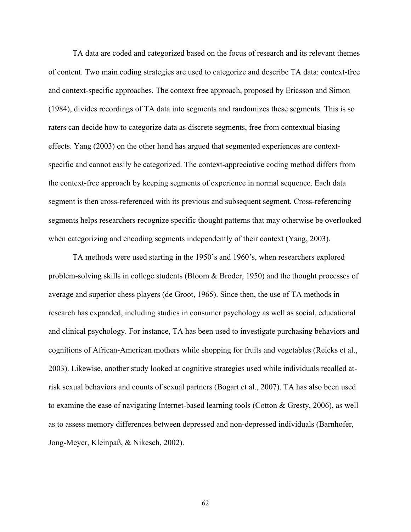TA data are coded and categorized based on the focus of research and its relevant themes of content. Two main coding strategies are used to categorize and describe TA data: context-free and context-specific approaches. The context free approach, proposed by Ericsson and Simon (1984), divides recordings of TA data into segments and randomizes these segments. This is so raters can decide how to categorize data as discrete segments, free from contextual biasing effects. Yang (2003) on the other hand has argued that segmented experiences are contextspecific and cannot easily be categorized. The context-appreciative coding method differs from the context-free approach by keeping segments of experience in normal sequence. Each data segment is then cross-referenced with its previous and subsequent segment. Cross-referencing segments helps researchers recognize specific thought patterns that may otherwise be overlooked when categorizing and encoding segments independently of their context (Yang, 2003).

TA methods were used starting in the 1950's and 1960's, when researchers explored problem-solving skills in college students (Bloom & Broder, 1950) and the thought processes of average and superior chess players (de Groot, 1965). Since then, the use of TA methods in research has expanded, including studies in consumer psychology as well as social, educational and clinical psychology. For instance, TA has been used to investigate purchasing behaviors and cognitions of African-American mothers while shopping for fruits and vegetables (Reicks et al., 2003). Likewise, another study looked at cognitive strategies used while individuals recalled atrisk sexual behaviors and counts of sexual partners (Bogart et al., 2007). TA has also been used to examine the ease of navigating Internet-based learning tools (Cotton & Gresty, 2006), as well as to assess memory differences between depressed and non-depressed individuals (Barnhofer, Jong-Meyer, Kleinpaß, & Nikesch, 2002).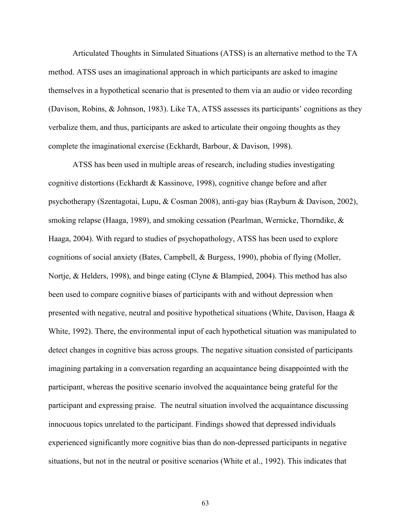Articulated Thoughts in Simulated Situations (ATSS) is an alternative method to the TA method. ATSS uses an imaginational approach in which participants are asked to imagine themselves in a hypothetical scenario that is presented to them via an audio or video recording (Davison, Robins, & Johnson, 1983). Like TA, ATSS assesses its participants' cognitions as they verbalize them, and thus, participants are asked to articulate their ongoing thoughts as they complete the imaginational exercise (Eckhardt, Barbour, & Davison, 1998).

ATSS has been used in multiple areas of research, including studies investigating cognitive distortions (Eckhardt & Kassinove, 1998), cognitive change before and after psychotherapy (Szentagotai, Lupu, & Cosman 2008), anti-gay bias (Rayburn & Davison, 2002), smoking relapse (Haaga, 1989), and smoking cessation (Pearlman, Wernicke, Thorndike, & Haaga, 2004). With regard to studies of psychopathology, ATSS has been used to explore cognitions of social anxiety (Bates, Campbell, & Burgess, 1990), phobia of flying (Moller, Nortje, & Helders, 1998), and binge eating (Clyne & Blampied, 2004). This method has also been used to compare cognitive biases of participants with and without depression when presented with negative, neutral and positive hypothetical situations (White, Davison, Haaga & White, 1992). There, the environmental input of each hypothetical situation was manipulated to detect changes in cognitive bias across groups. The negative situation consisted of participants imagining partaking in a conversation regarding an acquaintance being disappointed with the participant, whereas the positive scenario involved the acquaintance being grateful for the participant and expressing praise. The neutral situation involved the acquaintance discussing innocuous topics unrelated to the participant. Findings showed that depressed individuals experienced significantly more cognitive bias than do non-depressed participants in negative situations, but not in the neutral or positive scenarios (White et al., 1992). This indicates that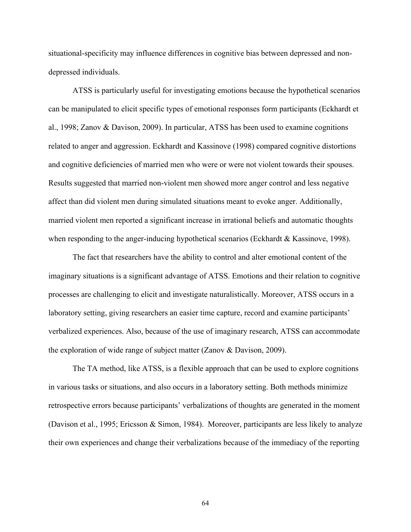situational-specificity may influence differences in cognitive bias between depressed and nondepressed individuals.

ATSS is particularly useful for investigating emotions because the hypothetical scenarios can be manipulated to elicit specific types of emotional responses form participants (Eckhardt et al., 1998; Zanov & Davison, 2009). In particular, ATSS has been used to examine cognitions related to anger and aggression. Eckhardt and Kassinove (1998) compared cognitive distortions and cognitive deficiencies of married men who were or were not violent towards their spouses. Results suggested that married non-violent men showed more anger control and less negative affect than did violent men during simulated situations meant to evoke anger. Additionally, married violent men reported a significant increase in irrational beliefs and automatic thoughts when responding to the anger-inducing hypothetical scenarios (Eckhardt & Kassinove, 1998).

The fact that researchers have the ability to control and alter emotional content of the imaginary situations is a significant advantage of ATSS. Emotions and their relation to cognitive processes are challenging to elicit and investigate naturalistically. Moreover, ATSS occurs in a laboratory setting, giving researchers an easier time capture, record and examine participants' verbalized experiences. Also, because of the use of imaginary research, ATSS can accommodate the exploration of wide range of subject matter (Zanov & Davison, 2009).

The TA method, like ATSS, is a flexible approach that can be used to explore cognitions in various tasks or situations, and also occurs in a laboratory setting. Both methods minimize retrospective errors because participants' verbalizations of thoughts are generated in the moment (Davison et al., 1995; Ericsson & Simon, 1984). Moreover, participants are less likely to analyze their own experiences and change their verbalizations because of the immediacy of the reporting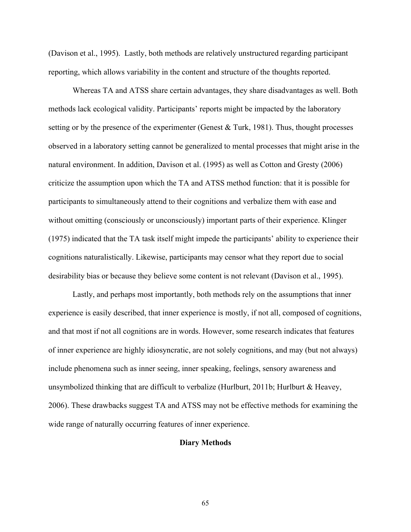(Davison et al., 1995). Lastly, both methods are relatively unstructured regarding participant reporting, which allows variability in the content and structure of the thoughts reported.

Whereas TA and ATSS share certain advantages, they share disadvantages as well. Both methods lack ecological validity. Participants' reports might be impacted by the laboratory setting or by the presence of the experimenter (Genest  $&$  Turk, 1981). Thus, thought processes observed in a laboratory setting cannot be generalized to mental processes that might arise in the natural environment. In addition, Davison et al. (1995) as well as Cotton and Gresty (2006) criticize the assumption upon which the TA and ATSS method function: that it is possible for participants to simultaneously attend to their cognitions and verbalize them with ease and without omitting (consciously or unconsciously) important parts of their experience. Klinger (1975) indicated that the TA task itself might impede the participants' ability to experience their cognitions naturalistically. Likewise, participants may censor what they report due to social desirability bias or because they believe some content is not relevant (Davison et al., 1995).

Lastly, and perhaps most importantly, both methods rely on the assumptions that inner experience is easily described, that inner experience is mostly, if not all, composed of cognitions, and that most if not all cognitions are in words. However, some research indicates that features of inner experience are highly idiosyncratic, are not solely cognitions, and may (but not always) include phenomena such as inner seeing, inner speaking, feelings, sensory awareness and unsymbolized thinking that are difficult to verbalize (Hurlburt, 2011b; Hurlburt & Heavey, 2006). These drawbacks suggest TA and ATSS may not be effective methods for examining the wide range of naturally occurring features of inner experience.

#### **Diary Methods**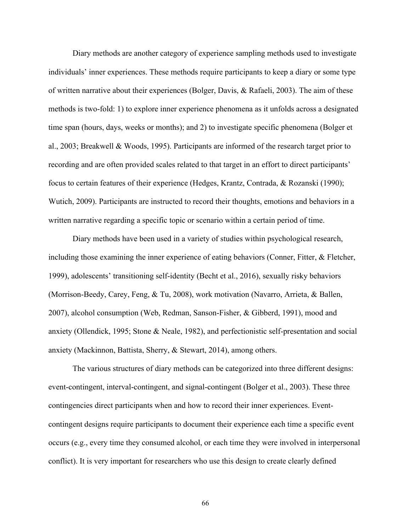Diary methods are another category of experience sampling methods used to investigate individuals' inner experiences. These methods require participants to keep a diary or some type of written narrative about their experiences (Bolger, Davis, & Rafaeli, 2003). The aim of these methods is two-fold: 1) to explore inner experience phenomena as it unfolds across a designated time span (hours, days, weeks or months); and 2) to investigate specific phenomena (Bolger et al., 2003; Breakwell & Woods, 1995). Participants are informed of the research target prior to recording and are often provided scales related to that target in an effort to direct participants' focus to certain features of their experience (Hedges, Krantz, Contrada, & Rozanski (1990); Wutich, 2009). Participants are instructed to record their thoughts, emotions and behaviors in a written narrative regarding a specific topic or scenario within a certain period of time.

Diary methods have been used in a variety of studies within psychological research, including those examining the inner experience of eating behaviors (Conner, Fitter, & Fletcher, 1999), adolescents' transitioning self-identity (Becht et al., 2016), sexually risky behaviors (Morrison-Beedy, Carey, Feng, & Tu, 2008), work motivation (Navarro, Arrieta, & Ballen, 2007), alcohol consumption (Web, Redman, Sanson-Fisher, & Gibberd, 1991), mood and anxiety (Ollendick, 1995; Stone & Neale, 1982), and perfectionistic self-presentation and social anxiety (Mackinnon, Battista, Sherry, & Stewart, 2014), among others.

The various structures of diary methods can be categorized into three different designs: event-contingent, interval-contingent, and signal-contingent (Bolger et al., 2003). These three contingencies direct participants when and how to record their inner experiences. Eventcontingent designs require participants to document their experience each time a specific event occurs (e.g., every time they consumed alcohol, or each time they were involved in interpersonal conflict). It is very important for researchers who use this design to create clearly defined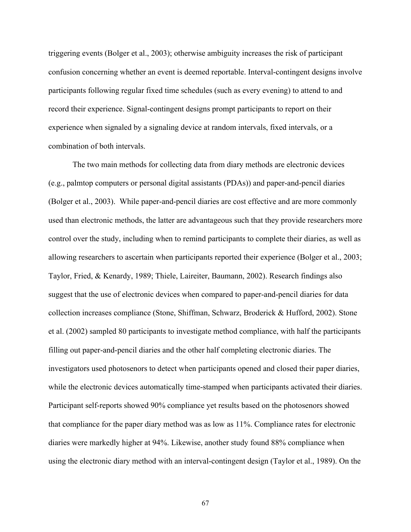triggering events (Bolger et al., 2003); otherwise ambiguity increases the risk of participant confusion concerning whether an event is deemed reportable. Interval-contingent designs involve participants following regular fixed time schedules (such as every evening) to attend to and record their experience. Signal-contingent designs prompt participants to report on their experience when signaled by a signaling device at random intervals, fixed intervals, or a combination of both intervals.

The two main methods for collecting data from diary methods are electronic devices (e.g., palmtop computers or personal digital assistants (PDAs)) and paper-and-pencil diaries (Bolger et al., 2003). While paper-and-pencil diaries are cost effective and are more commonly used than electronic methods, the latter are advantageous such that they provide researchers more control over the study, including when to remind participants to complete their diaries, as well as allowing researchers to ascertain when participants reported their experience (Bolger et al., 2003; Taylor, Fried, & Kenardy, 1989; Thiele, Laireiter, Baumann, 2002). Research findings also suggest that the use of electronic devices when compared to paper-and-pencil diaries for data collection increases compliance (Stone, Shiffman, Schwarz, Broderick & Hufford, 2002). Stone et al. (2002) sampled 80 participants to investigate method compliance, with half the participants filling out paper-and-pencil diaries and the other half completing electronic diaries. The investigators used photosenors to detect when participants opened and closed their paper diaries, while the electronic devices automatically time-stamped when participants activated their diaries. Participant self-reports showed 90% compliance yet results based on the photosenors showed that compliance for the paper diary method was as low as 11%. Compliance rates for electronic diaries were markedly higher at 94%. Likewise, another study found 88% compliance when using the electronic diary method with an interval-contingent design (Taylor et al., 1989). On the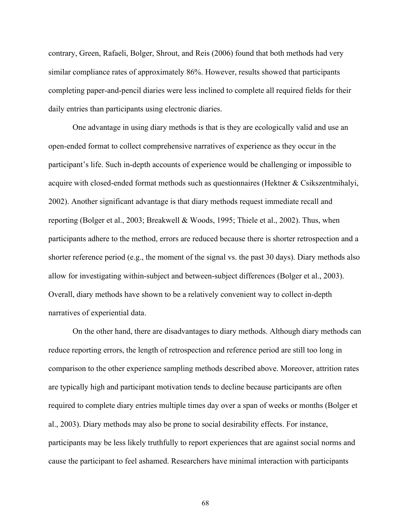contrary, Green, Rafaeli, Bolger, Shrout, and Reis (2006) found that both methods had very similar compliance rates of approximately 86%. However, results showed that participants completing paper-and-pencil diaries were less inclined to complete all required fields for their daily entries than participants using electronic diaries.

One advantage in using diary methods is that is they are ecologically valid and use an open-ended format to collect comprehensive narratives of experience as they occur in the participant's life. Such in-depth accounts of experience would be challenging or impossible to acquire with closed-ended format methods such as questionnaires (Hektner & Csikszentmihalyi, 2002). Another significant advantage is that diary methods request immediate recall and reporting (Bolger et al., 2003; Breakwell & Woods, 1995; Thiele et al., 2002). Thus, when participants adhere to the method, errors are reduced because there is shorter retrospection and a shorter reference period (e.g., the moment of the signal vs. the past 30 days). Diary methods also allow for investigating within-subject and between-subject differences (Bolger et al., 2003). Overall, diary methods have shown to be a relatively convenient way to collect in-depth narratives of experiential data.

On the other hand, there are disadvantages to diary methods. Although diary methods can reduce reporting errors, the length of retrospection and reference period are still too long in comparison to the other experience sampling methods described above. Moreover, attrition rates are typically high and participant motivation tends to decline because participants are often required to complete diary entries multiple times day over a span of weeks or months (Bolger et al., 2003). Diary methods may also be prone to social desirability effects. For instance, participants may be less likely truthfully to report experiences that are against social norms and cause the participant to feel ashamed. Researchers have minimal interaction with participants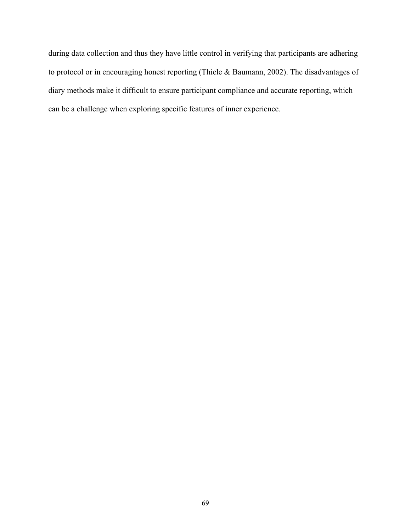during data collection and thus they have little control in verifying that participants are adhering to protocol or in encouraging honest reporting (Thiele & Baumann, 2002). The disadvantages of diary methods make it difficult to ensure participant compliance and accurate reporting, which can be a challenge when exploring specific features of inner experience.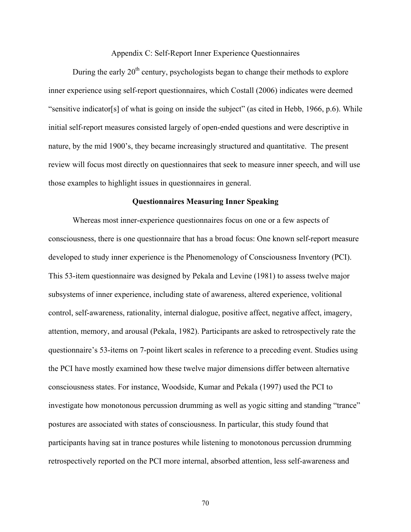#### Appendix C: Self-Report Inner Experience Questionnaires

During the early  $20<sup>th</sup>$  century, psychologists began to change their methods to explore inner experience using self-report questionnaires, which Costall (2006) indicates were deemed "sensitive indicator[s] of what is going on inside the subject" (as cited in Hebb, 1966, p.6). While initial self-report measures consisted largely of open-ended questions and were descriptive in nature, by the mid 1900's, they became increasingly structured and quantitative. The present review will focus most directly on questionnaires that seek to measure inner speech, and will use those examples to highlight issues in questionnaires in general.

#### **Questionnaires Measuring Inner Speaking**

Whereas most inner-experience questionnaires focus on one or a few aspects of consciousness, there is one questionnaire that has a broad focus: One known self-report measure developed to study inner experience is the Phenomenology of Consciousness Inventory (PCI). This 53-item questionnaire was designed by Pekala and Levine (1981) to assess twelve major subsystems of inner experience, including state of awareness, altered experience, volitional control, self-awareness, rationality, internal dialogue, positive affect, negative affect, imagery, attention, memory, and arousal (Pekala, 1982). Participants are asked to retrospectively rate the questionnaire's 53-items on 7-point likert scales in reference to a preceding event. Studies using the PCI have mostly examined how these twelve major dimensions differ between alternative consciousness states. For instance, Woodside, Kumar and Pekala (1997) used the PCI to investigate how monotonous percussion drumming as well as yogic sitting and standing "trance" postures are associated with states of consciousness. In particular, this study found that participants having sat in trance postures while listening to monotonous percussion drumming retrospectively reported on the PCI more internal, absorbed attention, less self-awareness and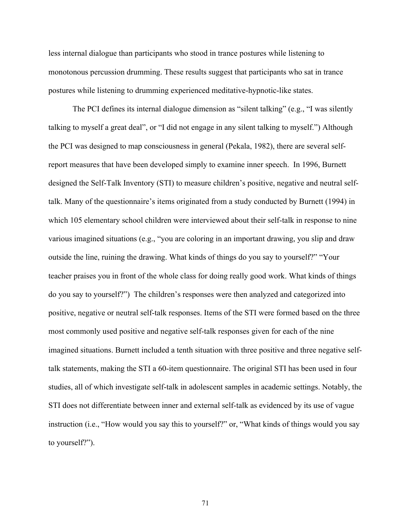less internal dialogue than participants who stood in trance postures while listening to monotonous percussion drumming. These results suggest that participants who sat in trance postures while listening to drumming experienced meditative-hypnotic-like states.

The PCI defines its internal dialogue dimension as "silent talking" (e.g., "I was silently talking to myself a great deal", or "I did not engage in any silent talking to myself.") Although the PCI was designed to map consciousness in general (Pekala, 1982), there are several selfreport measures that have been developed simply to examine inner speech. In 1996, Burnett designed the Self-Talk Inventory (STI) to measure children's positive, negative and neutral selftalk. Many of the questionnaire's items originated from a study conducted by Burnett (1994) in which 105 elementary school children were interviewed about their self-talk in response to nine various imagined situations (e.g., "you are coloring in an important drawing, you slip and draw outside the line, ruining the drawing. What kinds of things do you say to yourself?" "Your teacher praises you in front of the whole class for doing really good work. What kinds of things do you say to yourself?") The children's responses were then analyzed and categorized into positive, negative or neutral self-talk responses. Items of the STI were formed based on the three most commonly used positive and negative self-talk responses given for each of the nine imagined situations. Burnett included a tenth situation with three positive and three negative selftalk statements, making the STI a 60-item questionnaire. The original STI has been used in four studies, all of which investigate self-talk in adolescent samples in academic settings. Notably, the STI does not differentiate between inner and external self-talk as evidenced by its use of vague instruction (i.e., "How would you say this to yourself?" or, "What kinds of things would you say to yourself?").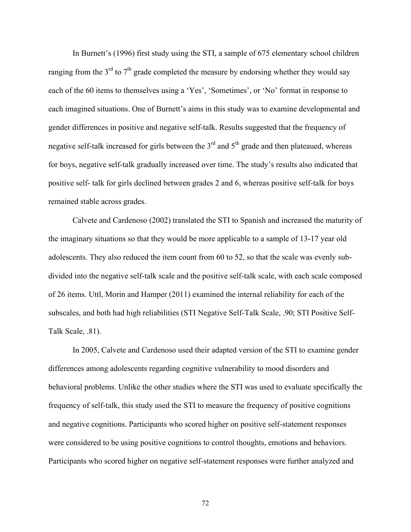In Burnett's (1996) first study using the STI, a sample of 675 elementary school children ranging from the  $3<sup>rd</sup>$  to  $7<sup>th</sup>$  grade completed the measure by endorsing whether they would say each of the 60 items to themselves using a 'Yes', 'Sometimes', or 'No' format in response to each imagined situations. One of Burnett's aims in this study was to examine developmental and gender differences in positive and negative self-talk. Results suggested that the frequency of negative self-talk increased for girls between the  $3<sup>rd</sup>$  and  $5<sup>th</sup>$  grade and then plateaued, whereas for boys, negative self-talk gradually increased over time. The study's results also indicated that positive self- talk for girls declined between grades 2 and 6, whereas positive self-talk for boys remained stable across grades.

Calvete and Cardenoso (2002) translated the STI to Spanish and increased the maturity of the imaginary situations so that they would be more applicable to a sample of 13-17 year old adolescents. They also reduced the item count from 60 to 52, so that the scale was evenly subdivided into the negative self-talk scale and the positive self-talk scale, with each scale composed of 26 items. Uttl, Morin and Hamper (2011) examined the internal reliability for each of the subscales, and both had high reliabilities (STI Negative Self-Talk Scale, .90; STI Positive Self-Talk Scale, .81).

In 2005, Calvete and Cardenoso used their adapted version of the STI to examine gender differences among adolescents regarding cognitive vulnerability to mood disorders and behavioral problems. Unlike the other studies where the STI was used to evaluate specifically the frequency of self-talk, this study used the STI to measure the frequency of positive cognitions and negative cognitions. Participants who scored higher on positive self-statement responses were considered to be using positive cognitions to control thoughts, emotions and behaviors. Participants who scored higher on negative self-statement responses were further analyzed and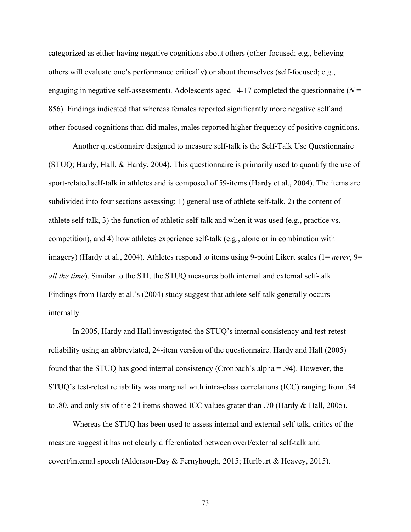categorized as either having negative cognitions about others (other-focused; e.g., believing others will evaluate one's performance critically) or about themselves (self-focused; e.g., engaging in negative self-assessment). Adolescents aged 14-17 completed the questionnaire ( $N =$ 856). Findings indicated that whereas females reported significantly more negative self and other-focused cognitions than did males, males reported higher frequency of positive cognitions.

Another questionnaire designed to measure self-talk is the Self-Talk Use Questionnaire (STUQ; Hardy, Hall, & Hardy, 2004). This questionnaire is primarily used to quantify the use of sport-related self-talk in athletes and is composed of 59-items (Hardy et al., 2004). The items are subdivided into four sections assessing: 1) general use of athlete self-talk, 2) the content of athlete self-talk, 3) the function of athletic self-talk and when it was used (e.g., practice vs. competition), and 4) how athletes experience self-talk (e.g., alone or in combination with imagery) (Hardy et al., 2004). Athletes respond to items using 9-point Likert scales (1= *never*, 9= *all the time*). Similar to the STI, the STUQ measures both internal and external self-talk. Findings from Hardy et al.'s (2004) study suggest that athlete self-talk generally occurs internally.

In 2005, Hardy and Hall investigated the STUQ's internal consistency and test-retest reliability using an abbreviated, 24-item version of the questionnaire. Hardy and Hall (2005) found that the STUQ has good internal consistency (Cronbach's alpha = .94). However, the STUQ's test-retest reliability was marginal with intra-class correlations (ICC) ranging from .54 to .80, and only six of the 24 items showed ICC values grater than .70 (Hardy & Hall, 2005).

Whereas the STUQ has been used to assess internal and external self-talk, critics of the measure suggest it has not clearly differentiated between overt/external self-talk and covert/internal speech (Alderson-Day & Fernyhough, 2015; Hurlburt & Heavey, 2015).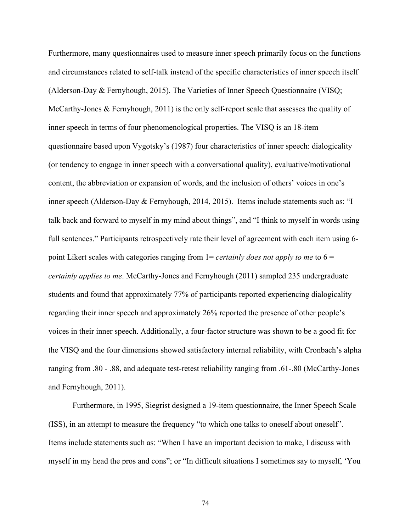Furthermore, many questionnaires used to measure inner speech primarily focus on the functions and circumstances related to self-talk instead of the specific characteristics of inner speech itself (Alderson-Day & Fernyhough, 2015). The Varieties of Inner Speech Questionnaire (VISQ; McCarthy-Jones & Fernyhough, 2011) is the only self-report scale that assesses the quality of inner speech in terms of four phenomenological properties. The VISQ is an 18-item questionnaire based upon Vygotsky's (1987) four characteristics of inner speech: dialogicality (or tendency to engage in inner speech with a conversational quality), evaluative/motivational content, the abbreviation or expansion of words, and the inclusion of others' voices in one's inner speech (Alderson-Day & Fernyhough, 2014, 2015). Items include statements such as: "I talk back and forward to myself in my mind about things", and "I think to myself in words using full sentences." Participants retrospectively rate their level of agreement with each item using 6 point Likert scales with categories ranging from 1= *certainly does not apply to me* to 6 = *certainly applies to me*. McCarthy-Jones and Fernyhough (2011) sampled 235 undergraduate students and found that approximately 77% of participants reported experiencing dialogicality regarding their inner speech and approximately 26% reported the presence of other people's voices in their inner speech. Additionally, a four-factor structure was shown to be a good fit for the VISQ and the four dimensions showed satisfactory internal reliability, with Cronbach's alpha ranging from .80 - .88, and adequate test-retest reliability ranging from .61-.80 (McCarthy-Jones and Fernyhough, 2011).

Furthermore, in 1995, Siegrist designed a 19-item questionnaire, the Inner Speech Scale (ISS), in an attempt to measure the frequency "to which one talks to oneself about oneself". Items include statements such as: "When I have an important decision to make, I discuss with myself in my head the pros and cons"; or "In difficult situations I sometimes say to myself, 'You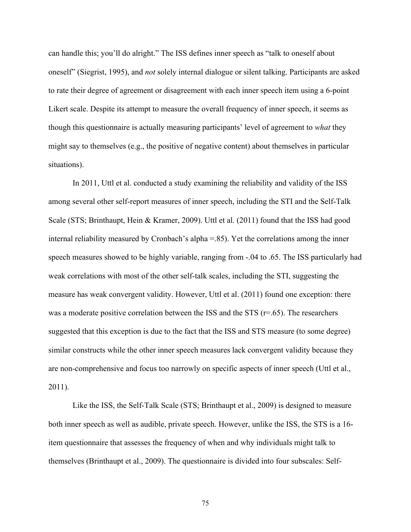can handle this; you'll do alright." The ISS defines inner speech as "talk to oneself about oneself" (Siegrist, 1995), and *not* solely internal dialogue or silent talking. Participants are asked to rate their degree of agreement or disagreement with each inner speech item using a 6-point Likert scale. Despite its attempt to measure the overall frequency of inner speech, it seems as though this questionnaire is actually measuring participants' level of agreement to *what* they might say to themselves (e.g., the positive of negative content) about themselves in particular situations).

In 2011, Uttl et al. conducted a study examining the reliability and validity of the ISS among several other self-report measures of inner speech, including the STI and the Self-Talk Scale (STS; Brinthaupt, Hein & Kramer, 2009). Uttl et al. (2011) found that the ISS had good internal reliability measured by Cronbach's alpha =.85). Yet the correlations among the inner speech measures showed to be highly variable, ranging from -.04 to .65. The ISS particularly had weak correlations with most of the other self-talk scales, including the STI, suggesting the measure has weak convergent validity. However, Uttl et al. (2011) found one exception: there was a moderate positive correlation between the ISS and the STS  $(r=.65)$ . The researchers suggested that this exception is due to the fact that the ISS and STS measure (to some degree) similar constructs while the other inner speech measures lack convergent validity because they are non-comprehensive and focus too narrowly on specific aspects of inner speech (Uttl et al., 2011).

Like the ISS, the Self-Talk Scale (STS; Brinthaupt et al., 2009) is designed to measure both inner speech as well as audible, private speech. However, unlike the ISS, the STS is a 16 item questionnaire that assesses the frequency of when and why individuals might talk to themselves (Brinthaupt et al., 2009). The questionnaire is divided into four subscales: Self-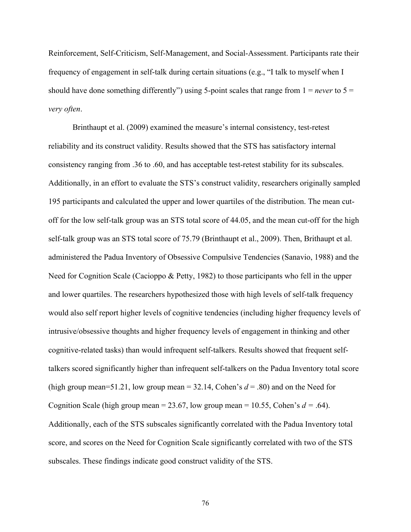Reinforcement, Self-Criticism, Self-Management, and Social-Assessment. Participants rate their frequency of engagement in self-talk during certain situations (e.g., "I talk to myself when I should have done something differently") using 5-point scales that range from  $1 = never$  to  $5 =$ *very often*.

Brinthaupt et al. (2009) examined the measure's internal consistency, test-retest reliability and its construct validity. Results showed that the STS has satisfactory internal consistency ranging from .36 to .60, and has acceptable test-retest stability for its subscales. Additionally, in an effort to evaluate the STS's construct validity, researchers originally sampled 195 participants and calculated the upper and lower quartiles of the distribution. The mean cutoff for the low self-talk group was an STS total score of 44.05, and the mean cut-off for the high self-talk group was an STS total score of 75.79 (Brinthaupt et al., 2009). Then, Brithaupt et al. administered the Padua Inventory of Obsessive Compulsive Tendencies (Sanavio, 1988) and the Need for Cognition Scale (Cacioppo & Petty, 1982) to those participants who fell in the upper and lower quartiles. The researchers hypothesized those with high levels of self-talk frequency would also self report higher levels of cognitive tendencies (including higher frequency levels of intrusive/obsessive thoughts and higher frequency levels of engagement in thinking and other cognitive-related tasks) than would infrequent self-talkers. Results showed that frequent selftalkers scored significantly higher than infrequent self-talkers on the Padua Inventory total score (high group mean=51.21, low group mean =  $32.14$ , Cohen's  $d = .80$ ) and on the Need for Cognition Scale (high group mean = 23.67, low group mean = 10.55, Cohen's  $d = .64$ ). Additionally, each of the STS subscales significantly correlated with the Padua Inventory total score, and scores on the Need for Cognition Scale significantly correlated with two of the STS subscales. These findings indicate good construct validity of the STS.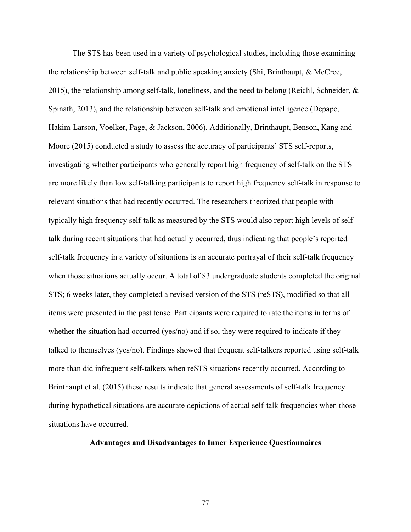The STS has been used in a variety of psychological studies, including those examining the relationship between self-talk and public speaking anxiety (Shi, Brinthaupt, & McCree, 2015), the relationship among self-talk, loneliness, and the need to belong (Reichl, Schneider, & Spinath, 2013), and the relationship between self-talk and emotional intelligence (Depape, Hakim-Larson, Voelker, Page, & Jackson, 2006). Additionally, Brinthaupt, Benson, Kang and Moore (2015) conducted a study to assess the accuracy of participants' STS self-reports, investigating whether participants who generally report high frequency of self-talk on the STS are more likely than low self-talking participants to report high frequency self-talk in response to relevant situations that had recently occurred. The researchers theorized that people with typically high frequency self-talk as measured by the STS would also report high levels of selftalk during recent situations that had actually occurred, thus indicating that people's reported self-talk frequency in a variety of situations is an accurate portrayal of their self-talk frequency when those situations actually occur. A total of 83 undergraduate students completed the original STS; 6 weeks later, they completed a revised version of the STS (reSTS), modified so that all items were presented in the past tense. Participants were required to rate the items in terms of whether the situation had occurred (yes/no) and if so, they were required to indicate if they talked to themselves (yes/no). Findings showed that frequent self-talkers reported using self-talk more than did infrequent self-talkers when reSTS situations recently occurred. According to Brinthaupt et al. (2015) these results indicate that general assessments of self-talk frequency during hypothetical situations are accurate depictions of actual self-talk frequencies when those situations have occurred.

### **Advantages and Disadvantages to Inner Experience Questionnaires**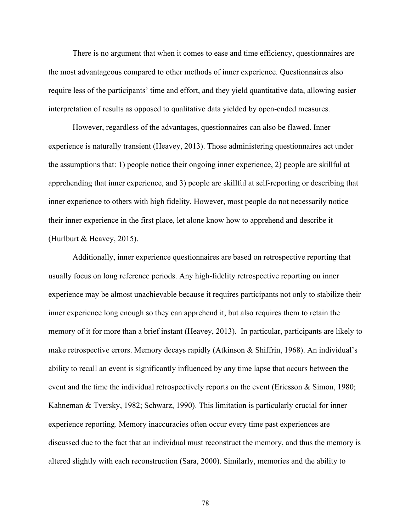There is no argument that when it comes to ease and time efficiency, questionnaires are the most advantageous compared to other methods of inner experience. Questionnaires also require less of the participants' time and effort, and they yield quantitative data, allowing easier interpretation of results as opposed to qualitative data yielded by open-ended measures.

However, regardless of the advantages, questionnaires can also be flawed. Inner experience is naturally transient (Heavey, 2013). Those administering questionnaires act under the assumptions that: 1) people notice their ongoing inner experience, 2) people are skillful at apprehending that inner experience, and 3) people are skillful at self-reporting or describing that inner experience to others with high fidelity. However, most people do not necessarily notice their inner experience in the first place, let alone know how to apprehend and describe it (Hurlburt & Heavey, 2015).

Additionally, inner experience questionnaires are based on retrospective reporting that usually focus on long reference periods. Any high-fidelity retrospective reporting on inner experience may be almost unachievable because it requires participants not only to stabilize their inner experience long enough so they can apprehend it, but also requires them to retain the memory of it for more than a brief instant (Heavey, 2013). In particular, participants are likely to make retrospective errors. Memory decays rapidly (Atkinson & Shiffrin, 1968). An individual's ability to recall an event is significantly influenced by any time lapse that occurs between the event and the time the individual retrospectively reports on the event (Ericsson & Simon, 1980; Kahneman & Tversky, 1982; Schwarz, 1990). This limitation is particularly crucial for inner experience reporting. Memory inaccuracies often occur every time past experiences are discussed due to the fact that an individual must reconstruct the memory, and thus the memory is altered slightly with each reconstruction (Sara, 2000). Similarly, memories and the ability to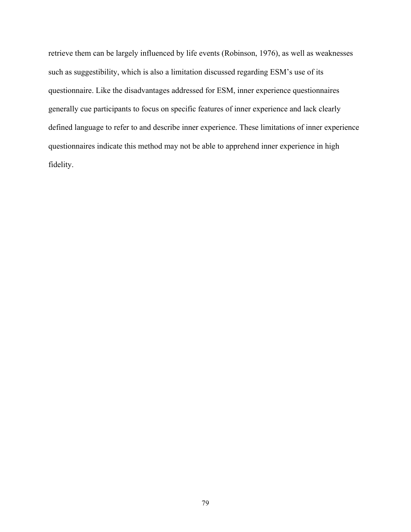retrieve them can be largely influenced by life events (Robinson, 1976), as well as weaknesses such as suggestibility, which is also a limitation discussed regarding ESM's use of its questionnaire. Like the disadvantages addressed for ESM, inner experience questionnaires generally cue participants to focus on specific features of inner experience and lack clearly defined language to refer to and describe inner experience. These limitations of inner experience questionnaires indicate this method may not be able to apprehend inner experience in high fidelity.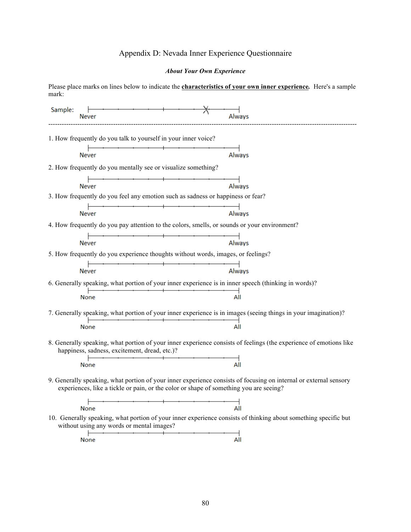# Appendix D: Nevada Inner Experience Questionnaire

## *About Your Own Experience*

| mark:                                                                                                                                                        | Please place marks on lines below to indicate the <i>characteristics</i> of your own inner experience. Here's a sample                                                                                      |  |        |  |
|--------------------------------------------------------------------------------------------------------------------------------------------------------------|-------------------------------------------------------------------------------------------------------------------------------------------------------------------------------------------------------------|--|--------|--|
| Sample:                                                                                                                                                      | Never                                                                                                                                                                                                       |  | Always |  |
|                                                                                                                                                              | 1. How frequently do you talk to yourself in your inner voice?                                                                                                                                              |  |        |  |
|                                                                                                                                                              | <b>Never</b>                                                                                                                                                                                                |  | Always |  |
|                                                                                                                                                              | 2. How frequently do you mentally see or visualize something?                                                                                                                                               |  |        |  |
|                                                                                                                                                              | <b>Never</b>                                                                                                                                                                                                |  | Always |  |
| 3. How frequently do you feel any emotion such as sadness or happiness or fear?                                                                              |                                                                                                                                                                                                             |  |        |  |
|                                                                                                                                                              | <b>Never</b>                                                                                                                                                                                                |  | Always |  |
|                                                                                                                                                              | 4. How frequently do you pay attention to the colors, smells, or sounds or your environment?                                                                                                                |  |        |  |
|                                                                                                                                                              | <b>Never</b>                                                                                                                                                                                                |  | Always |  |
|                                                                                                                                                              | 5. How frequently do you experience thoughts without words, images, or feelings?                                                                                                                            |  |        |  |
|                                                                                                                                                              | <b>Never</b>                                                                                                                                                                                                |  | Always |  |
|                                                                                                                                                              | 6. Generally speaking, what portion of your inner experience is in inner speech (thinking in words)?<br>⊢                                                                                                   |  |        |  |
|                                                                                                                                                              | None                                                                                                                                                                                                        |  | All    |  |
| 7. Generally speaking, what portion of your inner experience is in images (seeing things in your imagination)?                                               |                                                                                                                                                                                                             |  |        |  |
|                                                                                                                                                              | <b>None</b>                                                                                                                                                                                                 |  | AII    |  |
|                                                                                                                                                              | 8. Generally speaking, what portion of your inner experience consists of feelings (the experience of emotions like<br>happiness, sadness, excitement, dread, etc.)?                                         |  |        |  |
|                                                                                                                                                              | <b>None</b>                                                                                                                                                                                                 |  | All    |  |
|                                                                                                                                                              | 9. Generally speaking, what portion of your inner experience consists of focusing on internal or external sensory<br>experiences, like a tickle or pain, or the color or shape of something you are seeing? |  |        |  |
|                                                                                                                                                              | $\overline{\phantom{a}}$ . The contract of $\overline{\phantom{a}}$<br>None                                                                                                                                 |  | All    |  |
| 10. Generally speaking, what portion of your inner experience consists of thinking about something specific but<br>without using any words or mental images? |                                                                                                                                                                                                             |  |        |  |
|                                                                                                                                                              | None                                                                                                                                                                                                        |  | All    |  |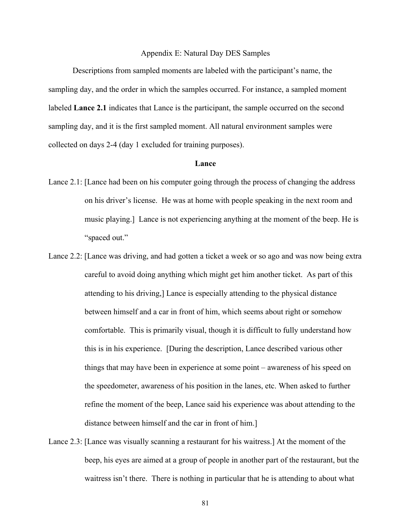#### Appendix E: Natural Day DES Samples

Descriptions from sampled moments are labeled with the participant's name, the sampling day, and the order in which the samples occurred. For instance, a sampled moment labeled **Lance 2.1** indicates that Lance is the participant, the sample occurred on the second sampling day, and it is the first sampled moment. All natural environment samples were collected on days 2-4 (day 1 excluded for training purposes).

#### **Lance**

- Lance 2.1: [Lance had been on his computer going through the process of changing the address on his driver's license. He was at home with people speaking in the next room and music playing.] Lance is not experiencing anything at the moment of the beep. He is "spaced out."
- Lance 2.2: [Lance was driving, and had gotten a ticket a week or so ago and was now being extra careful to avoid doing anything which might get him another ticket. As part of this attending to his driving,] Lance is especially attending to the physical distance between himself and a car in front of him, which seems about right or somehow comfortable. This is primarily visual, though it is difficult to fully understand how this is in his experience. [During the description, Lance described various other things that may have been in experience at some point – awareness of his speed on the speedometer, awareness of his position in the lanes, etc. When asked to further refine the moment of the beep, Lance said his experience was about attending to the distance between himself and the car in front of him.]
- Lance 2.3: [Lance was visually scanning a restaurant for his waitress.] At the moment of the beep, his eyes are aimed at a group of people in another part of the restaurant, but the waitress isn't there. There is nothing in particular that he is attending to about what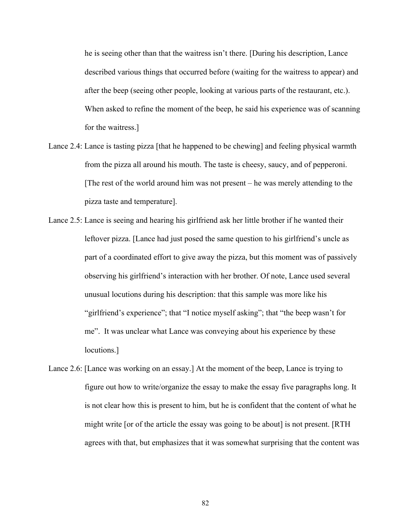he is seeing other than that the waitress isn't there. [During his description, Lance described various things that occurred before (waiting for the waitress to appear) and after the beep (seeing other people, looking at various parts of the restaurant, etc.). When asked to refine the moment of the beep, he said his experience was of scanning for the waitress.]

- Lance 2.4: Lance is tasting pizza [that he happened to be chewing] and feeling physical warmth from the pizza all around his mouth. The taste is cheesy, saucy, and of pepperoni. [The rest of the world around him was not present – he was merely attending to the pizza taste and temperature].
- Lance 2.5: Lance is seeing and hearing his girlfriend ask her little brother if he wanted their leftover pizza. [Lance had just posed the same question to his girlfriend's uncle as part of a coordinated effort to give away the pizza, but this moment was of passively observing his girlfriend's interaction with her brother. Of note, Lance used several unusual locutions during his description: that this sample was more like his "girlfriend's experience"; that "I notice myself asking"; that "the beep wasn't for me". It was unclear what Lance was conveying about his experience by these locutions.]
- Lance 2.6: [Lance was working on an essay.] At the moment of the beep, Lance is trying to figure out how to write/organize the essay to make the essay five paragraphs long. It is not clear how this is present to him, but he is confident that the content of what he might write [or of the article the essay was going to be about] is not present. [RTH agrees with that, but emphasizes that it was somewhat surprising that the content was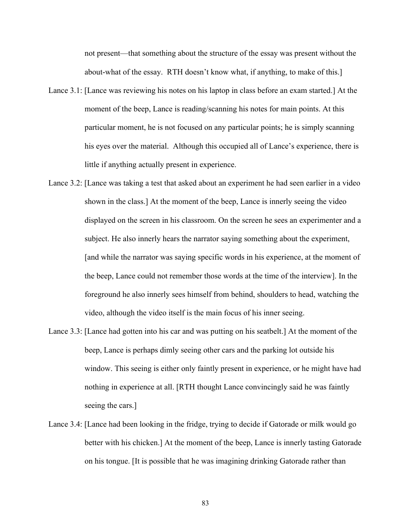not present—that something about the structure of the essay was present without the about-what of the essay. RTH doesn't know what, if anything, to make of this.]

- Lance 3.1: [Lance was reviewing his notes on his laptop in class before an exam started.] At the moment of the beep, Lance is reading/scanning his notes for main points. At this particular moment, he is not focused on any particular points; he is simply scanning his eyes over the material. Although this occupied all of Lance's experience, there is little if anything actually present in experience.
- Lance 3.2: [Lance was taking a test that asked about an experiment he had seen earlier in a video shown in the class.] At the moment of the beep, Lance is innerly seeing the video displayed on the screen in his classroom. On the screen he sees an experimenter and a subject. He also innerly hears the narrator saying something about the experiment, [and while the narrator was saying specific words in his experience, at the moment of the beep, Lance could not remember those words at the time of the interview]. In the foreground he also innerly sees himself from behind, shoulders to head, watching the video, although the video itself is the main focus of his inner seeing.
- Lance 3.3: [Lance had gotten into his car and was putting on his seatbelt.] At the moment of the beep, Lance is perhaps dimly seeing other cars and the parking lot outside his window. This seeing is either only faintly present in experience, or he might have had nothing in experience at all. [RTH thought Lance convincingly said he was faintly seeing the cars.]
- Lance 3.4: [Lance had been looking in the fridge, trying to decide if Gatorade or milk would go better with his chicken.] At the moment of the beep, Lance is innerly tasting Gatorade on his tongue. [It is possible that he was imagining drinking Gatorade rather than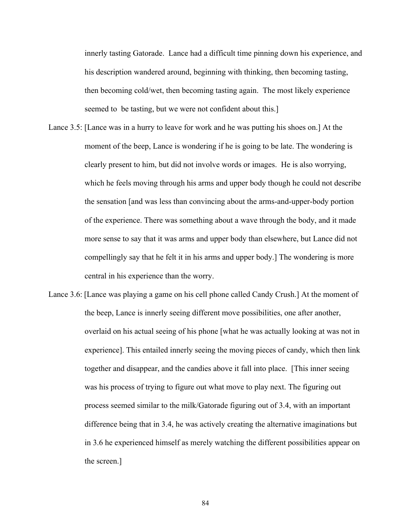innerly tasting Gatorade. Lance had a difficult time pinning down his experience, and his description wandered around, beginning with thinking, then becoming tasting, then becoming cold/wet, then becoming tasting again. The most likely experience seemed to be tasting, but we were not confident about this.]

- Lance 3.5: [Lance was in a hurry to leave for work and he was putting his shoes on.] At the moment of the beep, Lance is wondering if he is going to be late. The wondering is clearly present to him, but did not involve words or images. He is also worrying, which he feels moving through his arms and upper body though he could not describe the sensation [and was less than convincing about the arms-and-upper-body portion of the experience. There was something about a wave through the body, and it made more sense to say that it was arms and upper body than elsewhere, but Lance did not compellingly say that he felt it in his arms and upper body.] The wondering is more central in his experience than the worry.
- Lance 3.6: [Lance was playing a game on his cell phone called Candy Crush.] At the moment of the beep, Lance is innerly seeing different move possibilities, one after another, overlaid on his actual seeing of his phone [what he was actually looking at was not in experience]. This entailed innerly seeing the moving pieces of candy, which then link together and disappear, and the candies above it fall into place. [This inner seeing was his process of trying to figure out what move to play next. The figuring out process seemed similar to the milk/Gatorade figuring out of 3.4, with an important difference being that in 3.4, he was actively creating the alternative imaginations but in 3.6 he experienced himself as merely watching the different possibilities appear on the screen.]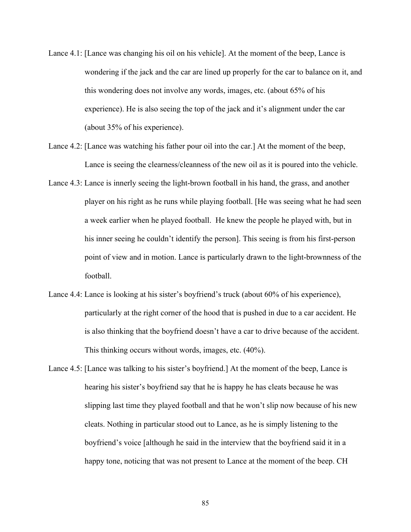- Lance 4.1: [Lance was changing his oil on his vehicle]. At the moment of the beep, Lance is wondering if the jack and the car are lined up properly for the car to balance on it, and this wondering does not involve any words, images, etc. (about 65% of his experience). He is also seeing the top of the jack and it's alignment under the car (about 35% of his experience).
- Lance 4.2: [Lance was watching his father pour oil into the car.] At the moment of the beep, Lance is seeing the clearness/cleanness of the new oil as it is poured into the vehicle.
- Lance 4.3: Lance is innerly seeing the light-brown football in his hand, the grass, and another player on his right as he runs while playing football. [He was seeing what he had seen a week earlier when he played football. He knew the people he played with, but in his inner seeing he couldn't identify the person]. This seeing is from his first-person point of view and in motion. Lance is particularly drawn to the light-brownness of the football.
- Lance 4.4: Lance is looking at his sister's boyfriend's truck (about 60% of his experience), particularly at the right corner of the hood that is pushed in due to a car accident. He is also thinking that the boyfriend doesn't have a car to drive because of the accident. This thinking occurs without words, images, etc. (40%).
- Lance 4.5: [Lance was talking to his sister's boyfriend.] At the moment of the beep, Lance is hearing his sister's boyfriend say that he is happy he has cleats because he was slipping last time they played football and that he won't slip now because of his new cleats. Nothing in particular stood out to Lance, as he is simply listening to the boyfriend's voice [although he said in the interview that the boyfriend said it in a happy tone, noticing that was not present to Lance at the moment of the beep. CH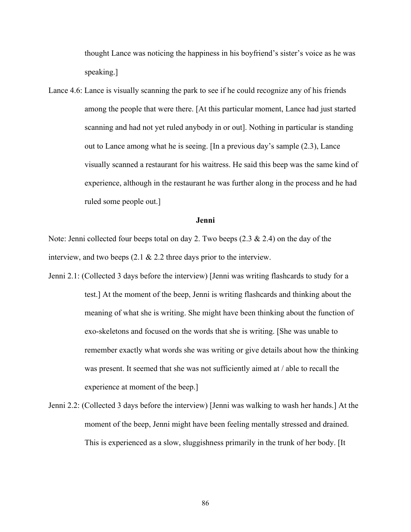thought Lance was noticing the happiness in his boyfriend's sister's voice as he was speaking.]

Lance 4.6: Lance is visually scanning the park to see if he could recognize any of his friends among the people that were there. [At this particular moment, Lance had just started scanning and had not yet ruled anybody in or out]. Nothing in particular is standing out to Lance among what he is seeing. [In a previous day's sample (2.3), Lance visually scanned a restaurant for his waitress. He said this beep was the same kind of experience, although in the restaurant he was further along in the process and he had ruled some people out.]

#### **Jenni**

Note: Jenni collected four beeps total on day 2. Two beeps  $(2.3 \& 2.4)$  on the day of the interview, and two beeps (2.1 & 2.2 three days prior to the interview.

- Jenni 2.1: (Collected 3 days before the interview) [Jenni was writing flashcards to study for a test.] At the moment of the beep, Jenni is writing flashcards and thinking about the meaning of what she is writing. She might have been thinking about the function of exo-skeletons and focused on the words that she is writing. [She was unable to remember exactly what words she was writing or give details about how the thinking was present. It seemed that she was not sufficiently aimed at / able to recall the experience at moment of the beep.]
- Jenni 2.2: (Collected 3 days before the interview) [Jenni was walking to wash her hands.] At the moment of the beep, Jenni might have been feeling mentally stressed and drained. This is experienced as a slow, sluggishness primarily in the trunk of her body. [It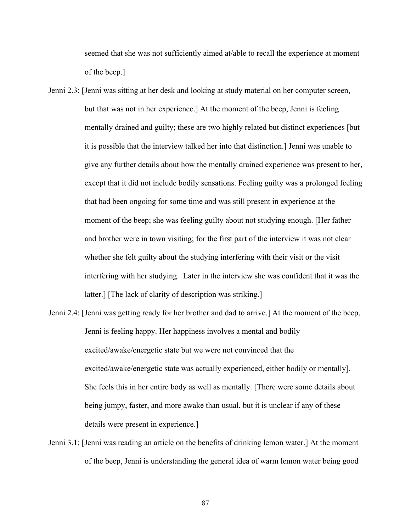seemed that she was not sufficiently aimed at/able to recall the experience at moment of the beep.]

- Jenni 2.3: [Jenni was sitting at her desk and looking at study material on her computer screen, but that was not in her experience.] At the moment of the beep, Jenni is feeling mentally drained and guilty; these are two highly related but distinct experiences [but it is possible that the interview talked her into that distinction.] Jenni was unable to give any further details about how the mentally drained experience was present to her, except that it did not include bodily sensations. Feeling guilty was a prolonged feeling that had been ongoing for some time and was still present in experience at the moment of the beep; she was feeling guilty about not studying enough. [Her father and brother were in town visiting; for the first part of the interview it was not clear whether she felt guilty about the studying interfering with their visit or the visit interfering with her studying. Later in the interview she was confident that it was the latter.] [The lack of clarity of description was striking.]
- Jenni 2.4: [Jenni was getting ready for her brother and dad to arrive.] At the moment of the beep, Jenni is feeling happy. Her happiness involves a mental and bodily excited/awake/energetic state but we were not convinced that the excited/awake/energetic state was actually experienced, either bodily or mentally]. She feels this in her entire body as well as mentally. [There were some details about being jumpy, faster, and more awake than usual, but it is unclear if any of these details were present in experience.]
- Jenni 3.1: [Jenni was reading an article on the benefits of drinking lemon water.] At the moment of the beep, Jenni is understanding the general idea of warm lemon water being good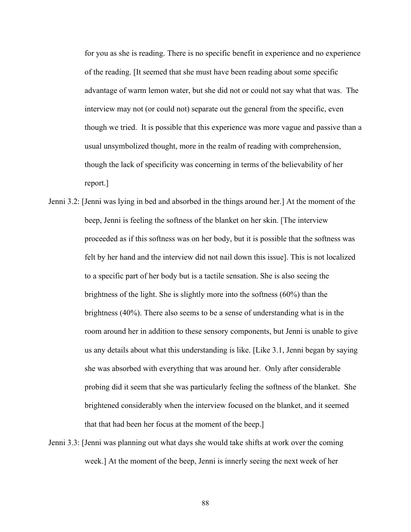for you as she is reading. There is no specific benefit in experience and no experience of the reading. [It seemed that she must have been reading about some specific advantage of warm lemon water, but she did not or could not say what that was. The interview may not (or could not) separate out the general from the specific, even though we tried. It is possible that this experience was more vague and passive than a usual unsymbolized thought, more in the realm of reading with comprehension, though the lack of specificity was concerning in terms of the believability of her report.]

- Jenni 3.2: [Jenni was lying in bed and absorbed in the things around her.] At the moment of the beep, Jenni is feeling the softness of the blanket on her skin. [The interview proceeded as if this softness was on her body, but it is possible that the softness was felt by her hand and the interview did not nail down this issue]. This is not localized to a specific part of her body but is a tactile sensation. She is also seeing the brightness of the light. She is slightly more into the softness (60%) than the brightness (40%). There also seems to be a sense of understanding what is in the room around her in addition to these sensory components, but Jenni is unable to give us any details about what this understanding is like. [Like 3.1, Jenni began by saying she was absorbed with everything that was around her. Only after considerable probing did it seem that she was particularly feeling the softness of the blanket. She brightened considerably when the interview focused on the blanket, and it seemed that that had been her focus at the moment of the beep.]
- Jenni 3.3: [Jenni was planning out what days she would take shifts at work over the coming week.] At the moment of the beep, Jenni is innerly seeing the next week of her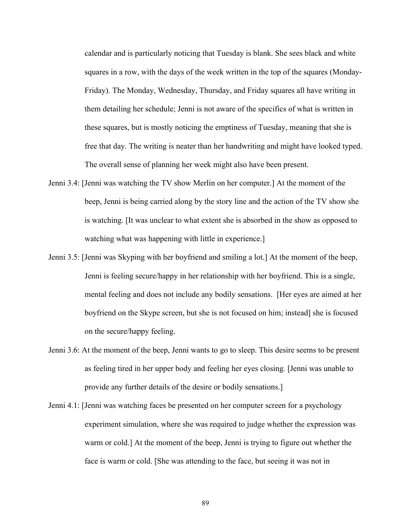calendar and is particularly noticing that Tuesday is blank. She sees black and white squares in a row, with the days of the week written in the top of the squares (Monday-Friday). The Monday, Wednesday, Thursday, and Friday squares all have writing in them detailing her schedule; Jenni is not aware of the specifics of what is written in these squares, but is mostly noticing the emptiness of Tuesday, meaning that she is free that day. The writing is neater than her handwriting and might have looked typed. The overall sense of planning her week might also have been present.

- Jenni 3.4: [Jenni was watching the TV show Merlin on her computer.] At the moment of the beep, Jenni is being carried along by the story line and the action of the TV show she is watching. [It was unclear to what extent she is absorbed in the show as opposed to watching what was happening with little in experience.]
- Jenni 3.5: [Jenni was Skyping with her boyfriend and smiling a lot.] At the moment of the beep, Jenni is feeling secure/happy in her relationship with her boyfriend. This is a single, mental feeling and does not include any bodily sensations. [Her eyes are aimed at her boyfriend on the Skype screen, but she is not focused on him; instead] she is focused on the secure/happy feeling.
- Jenni 3.6: At the moment of the beep, Jenni wants to go to sleep. This desire seems to be present as feeling tired in her upper body and feeling her eyes closing. [Jenni was unable to provide any further details of the desire or bodily sensations.]
- Jenni 4.1: [Jenni was watching faces be presented on her computer screen for a psychology experiment simulation, where she was required to judge whether the expression was warm or cold.] At the moment of the beep, Jenni is trying to figure out whether the face is warm or cold. [She was attending to the face, but seeing it was not in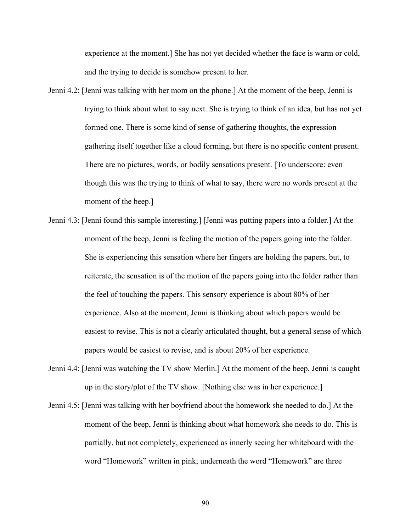experience at the moment.] She has not yet decided whether the face is warm or cold, and the trying to decide is somehow present to her.

- Jenni 4.2: [Jenni was talking with her mom on the phone.] At the moment of the beep, Jenni is trying to think about what to say next. She is trying to think of an idea, but has not yet formed one. There is some kind of sense of gathering thoughts, the expression gathering itself together like a cloud forming, but there is no specific content present. There are no pictures, words, or bodily sensations present. [To underscore: even though this was the trying to think of what to say, there were no words present at the moment of the beep.]
- Jenni 4.3: [Jenni found this sample interesting.] [Jenni was putting papers into a folder.] At the moment of the beep, Jenni is feeling the motion of the papers going into the folder. She is experiencing this sensation where her fingers are holding the papers, but, to reiterate, the sensation is of the motion of the papers going into the folder rather than the feel of touching the papers. This sensory experience is about 80% of her experience. Also at the moment, Jenni is thinking about which papers would be easiest to revise. This is not a clearly articulated thought, but a general sense of which papers would be easiest to revise, and is about 20% of her experience.
- Jenni 4.4: [Jenni was watching the TV show Merlin.] At the moment of the beep, Jenni is caught up in the story/plot of the TV show. [Nothing else was in her experience.]
- Jenni 4.5: [Jenni was talking with her boyfriend about the homework she needed to do.] At the moment of the beep, Jenni is thinking about what homework she needs to do. This is partially, but not completely, experienced as innerly seeing her whiteboard with the word "Homework" written in pink; underneath the word "Homework" are three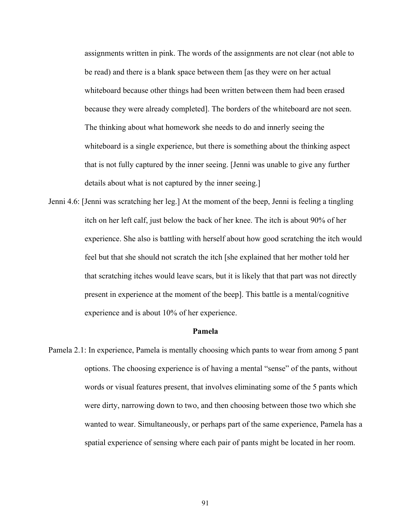assignments written in pink. The words of the assignments are not clear (not able to be read) and there is a blank space between them [as they were on her actual whiteboard because other things had been written between them had been erased because they were already completed]. The borders of the whiteboard are not seen. The thinking about what homework she needs to do and innerly seeing the whiteboard is a single experience, but there is something about the thinking aspect that is not fully captured by the inner seeing. [Jenni was unable to give any further details about what is not captured by the inner seeing.]

Jenni 4.6: [Jenni was scratching her leg.] At the moment of the beep, Jenni is feeling a tingling itch on her left calf, just below the back of her knee. The itch is about 90% of her experience. She also is battling with herself about how good scratching the itch would feel but that she should not scratch the itch [she explained that her mother told her that scratching itches would leave scars, but it is likely that that part was not directly present in experience at the moment of the beep]. This battle is a mental/cognitive experience and is about 10% of her experience.

#### **Pamela**

Pamela 2.1: In experience, Pamela is mentally choosing which pants to wear from among 5 pant options. The choosing experience is of having a mental "sense" of the pants, without words or visual features present, that involves eliminating some of the 5 pants which were dirty, narrowing down to two, and then choosing between those two which she wanted to wear. Simultaneously, or perhaps part of the same experience, Pamela has a spatial experience of sensing where each pair of pants might be located in her room.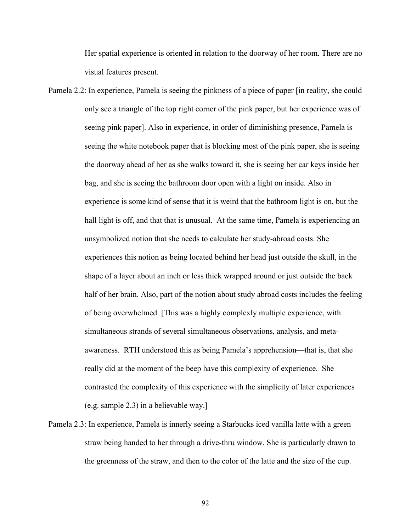Her spatial experience is oriented in relation to the doorway of her room. There are no visual features present.

- Pamela 2.2: In experience, Pamela is seeing the pinkness of a piece of paper [in reality, she could only see a triangle of the top right corner of the pink paper, but her experience was of seeing pink paper]. Also in experience, in order of diminishing presence, Pamela is seeing the white notebook paper that is blocking most of the pink paper, she is seeing the doorway ahead of her as she walks toward it, she is seeing her car keys inside her bag, and she is seeing the bathroom door open with a light on inside. Also in experience is some kind of sense that it is weird that the bathroom light is on, but the hall light is off, and that that is unusual. At the same time, Pamela is experiencing an unsymbolized notion that she needs to calculate her study-abroad costs. She experiences this notion as being located behind her head just outside the skull, in the shape of a layer about an inch or less thick wrapped around or just outside the back half of her brain. Also, part of the notion about study abroad costs includes the feeling of being overwhelmed. [This was a highly complexly multiple experience, with simultaneous strands of several simultaneous observations, analysis, and metaawareness. RTH understood this as being Pamela's apprehension—that is, that she really did at the moment of the beep have this complexity of experience. She contrasted the complexity of this experience with the simplicity of later experiences (e.g. sample 2.3) in a believable way.]
- Pamela 2.3: In experience, Pamela is innerly seeing a Starbucks iced vanilla latte with a green straw being handed to her through a drive-thru window. She is particularly drawn to the greenness of the straw, and then to the color of the latte and the size of the cup.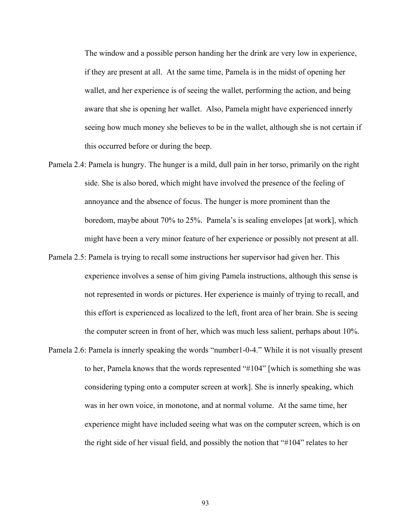The window and a possible person handing her the drink are very low in experience, if they are present at all. At the same time, Pamela is in the midst of opening her wallet, and her experience is of seeing the wallet, performing the action, and being aware that she is opening her wallet. Also, Pamela might have experienced innerly seeing how much money she believes to be in the wallet, although she is not certain if this occurred before or during the beep.

- Pamela 2.4: Pamela is hungry. The hunger is a mild, dull pain in her torso, primarily on the right side. She is also bored, which might have involved the presence of the feeling of annoyance and the absence of focus. The hunger is more prominent than the boredom, maybe about 70% to 25%. Pamela's is sealing envelopes [at work], which might have been a very minor feature of her experience or possibly not present at all.
- Pamela 2.5: Pamela is trying to recall some instructions her supervisor had given her. This experience involves a sense of him giving Pamela instructions, although this sense is not represented in words or pictures. Her experience is mainly of trying to recall, and this effort is experienced as localized to the left, front area of her brain. She is seeing the computer screen in front of her, which was much less salient, perhaps about 10%.
- Pamela 2.6: Pamela is innerly speaking the words "number1-0-4." While it is not visually present to her, Pamela knows that the words represented "#104" [which is something she was considering typing onto a computer screen at work]. She is innerly speaking, which was in her own voice, in monotone, and at normal volume. At the same time, her experience might have included seeing what was on the computer screen, which is on the right side of her visual field, and possibly the notion that "#104" relates to her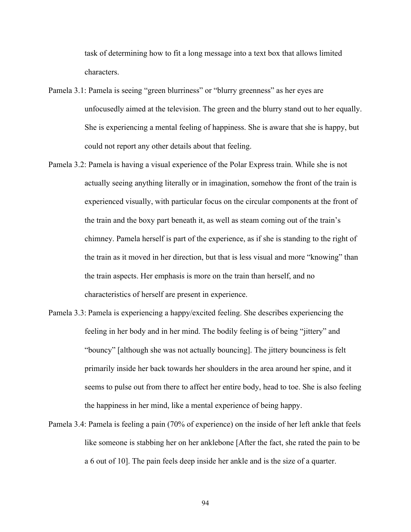task of determining how to fit a long message into a text box that allows limited characters.

- Pamela 3.1: Pamela is seeing "green blurriness" or "blurry greenness" as her eyes are unfocusedly aimed at the television. The green and the blurry stand out to her equally. She is experiencing a mental feeling of happiness. She is aware that she is happy, but could not report any other details about that feeling.
- Pamela 3.2: Pamela is having a visual experience of the Polar Express train. While she is not actually seeing anything literally or in imagination, somehow the front of the train is experienced visually, with particular focus on the circular components at the front of the train and the boxy part beneath it, as well as steam coming out of the train's chimney. Pamela herself is part of the experience, as if she is standing to the right of the train as it moved in her direction, but that is less visual and more "knowing" than the train aspects. Her emphasis is more on the train than herself, and no characteristics of herself are present in experience.
- Pamela 3.3: Pamela is experiencing a happy/excited feeling. She describes experiencing the feeling in her body and in her mind. The bodily feeling is of being "jittery" and "bouncy" [although she was not actually bouncing]. The jittery bounciness is felt primarily inside her back towards her shoulders in the area around her spine, and it seems to pulse out from there to affect her entire body, head to toe. She is also feeling the happiness in her mind, like a mental experience of being happy.
- Pamela 3.4: Pamela is feeling a pain (70% of experience) on the inside of her left ankle that feels like someone is stabbing her on her anklebone [After the fact, she rated the pain to be a 6 out of 10]. The pain feels deep inside her ankle and is the size of a quarter.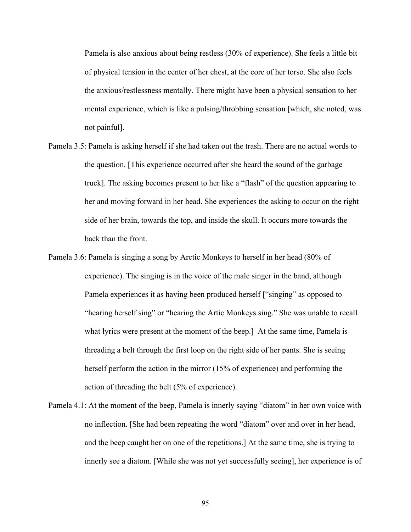Pamela is also anxious about being restless (30% of experience). She feels a little bit of physical tension in the center of her chest, at the core of her torso. She also feels the anxious/restlessness mentally. There might have been a physical sensation to her mental experience, which is like a pulsing/throbbing sensation [which, she noted, was not painful].

- Pamela 3.5: Pamela is asking herself if she had taken out the trash. There are no actual words to the question. [This experience occurred after she heard the sound of the garbage truck]. The asking becomes present to her like a "flash" of the question appearing to her and moving forward in her head. She experiences the asking to occur on the right side of her brain, towards the top, and inside the skull. It occurs more towards the back than the front.
- Pamela 3.6: Pamela is singing a song by Arctic Monkeys to herself in her head (80% of experience). The singing is in the voice of the male singer in the band, although Pamela experiences it as having been produced herself ["singing" as opposed to "hearing herself sing" or "hearing the Artic Monkeys sing." She was unable to recall what lyrics were present at the moment of the beep.] At the same time, Pamela is threading a belt through the first loop on the right side of her pants. She is seeing herself perform the action in the mirror (15% of experience) and performing the action of threading the belt (5% of experience).
- Pamela 4.1: At the moment of the beep, Pamela is innerly saying "diatom" in her own voice with no inflection. [She had been repeating the word "diatom" over and over in her head, and the beep caught her on one of the repetitions.] At the same time, she is trying to innerly see a diatom. [While she was not yet successfully seeing], her experience is of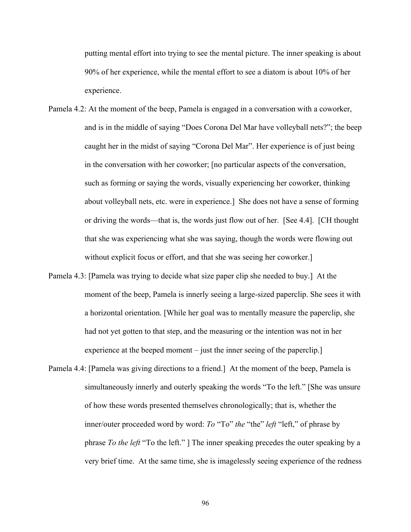putting mental effort into trying to see the mental picture. The inner speaking is about 90% of her experience, while the mental effort to see a diatom is about 10% of her experience.

- Pamela 4.2: At the moment of the beep, Pamela is engaged in a conversation with a coworker, and is in the middle of saying "Does Corona Del Mar have volleyball nets?"; the beep caught her in the midst of saying "Corona Del Mar". Her experience is of just being in the conversation with her coworker; [no particular aspects of the conversation, such as forming or saying the words, visually experiencing her coworker, thinking about volleyball nets, etc. were in experience.] She does not have a sense of forming or driving the words—that is, the words just flow out of her. [See 4.4]. [CH thought that she was experiencing what she was saying, though the words were flowing out without explicit focus or effort, and that she was seeing her coworker.
- Pamela 4.3: [Pamela was trying to decide what size paper clip she needed to buy.] At the moment of the beep, Pamela is innerly seeing a large-sized paperclip. She sees it with a horizontal orientation. [While her goal was to mentally measure the paperclip, she had not yet gotten to that step, and the measuring or the intention was not in her experience at the beeped moment – just the inner seeing of the paperclip.]
- Pamela 4.4: [Pamela was giving directions to a friend.] At the moment of the beep, Pamela is simultaneously innerly and outerly speaking the words "To the left." [She was unsure of how these words presented themselves chronologically; that is, whether the inner/outer proceeded word by word: *To* "To" *the* "the" *left* "left," of phrase by phrase *To the left* "To the left." ] The inner speaking precedes the outer speaking by a very brief time. At the same time, she is imagelessly seeing experience of the redness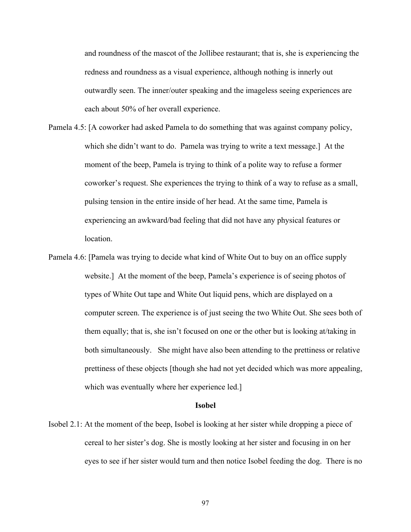and roundness of the mascot of the Jollibee restaurant; that is, she is experiencing the redness and roundness as a visual experience, although nothing is innerly out outwardly seen. The inner/outer speaking and the imageless seeing experiences are each about 50% of her overall experience.

- Pamela 4.5: [A coworker had asked Pamela to do something that was against company policy, which she didn't want to do. Pamela was trying to write a text message.] At the moment of the beep, Pamela is trying to think of a polite way to refuse a former coworker's request. She experiences the trying to think of a way to refuse as a small, pulsing tension in the entire inside of her head. At the same time, Pamela is experiencing an awkward/bad feeling that did not have any physical features or location.
- Pamela 4.6: [Pamela was trying to decide what kind of White Out to buy on an office supply website.] At the moment of the beep, Pamela's experience is of seeing photos of types of White Out tape and White Out liquid pens, which are displayed on a computer screen. The experience is of just seeing the two White Out. She sees both of them equally; that is, she isn't focused on one or the other but is looking at/taking in both simultaneously. She might have also been attending to the prettiness or relative prettiness of these objects [though she had not yet decided which was more appealing, which was eventually where her experience led.

#### **Isobel**

Isobel 2.1: At the moment of the beep, Isobel is looking at her sister while dropping a piece of cereal to her sister's dog. She is mostly looking at her sister and focusing in on her eyes to see if her sister would turn and then notice Isobel feeding the dog. There is no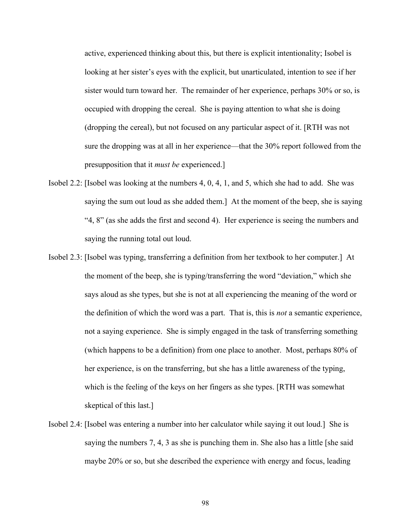active, experienced thinking about this, but there is explicit intentionality; Isobel is looking at her sister's eyes with the explicit, but unarticulated, intention to see if her sister would turn toward her. The remainder of her experience, perhaps 30% or so, is occupied with dropping the cereal. She is paying attention to what she is doing (dropping the cereal), but not focused on any particular aspect of it. [RTH was not sure the dropping was at all in her experience—that the 30% report followed from the presupposition that it *must be* experienced.]

- Isobel 2.2: [Isobel was looking at the numbers 4, 0, 4, 1, and 5, which she had to add. She was saying the sum out loud as she added them.] At the moment of the beep, she is saying "4, 8" (as she adds the first and second 4). Her experience is seeing the numbers and saying the running total out loud.
- Isobel 2.3: [Isobel was typing, transferring a definition from her textbook to her computer.] At the moment of the beep, she is typing/transferring the word "deviation," which she says aloud as she types, but she is not at all experiencing the meaning of the word or the definition of which the word was a part. That is, this is *not* a semantic experience, not a saying experience. She is simply engaged in the task of transferring something (which happens to be a definition) from one place to another. Most, perhaps 80% of her experience, is on the transferring, but she has a little awareness of the typing, which is the feeling of the keys on her fingers as she types. [RTH was somewhat skeptical of this last.]
- Isobel 2.4: [Isobel was entering a number into her calculator while saying it out loud.] She is saying the numbers 7, 4, 3 as she is punching them in. She also has a little [she said maybe 20% or so, but she described the experience with energy and focus, leading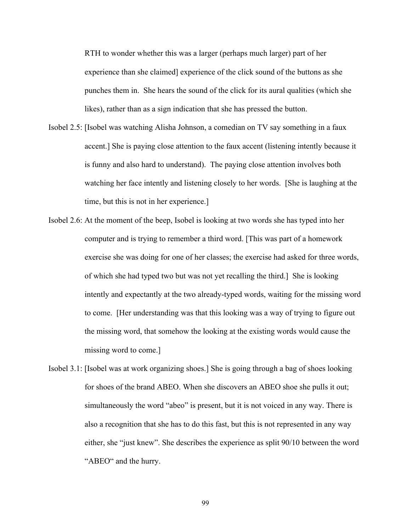RTH to wonder whether this was a larger (perhaps much larger) part of her experience than she claimed] experience of the click sound of the buttons as she punches them in. She hears the sound of the click for its aural qualities (which she likes), rather than as a sign indication that she has pressed the button.

- Isobel 2.5: [Isobel was watching Alisha Johnson, a comedian on TV say something in a faux accent.] She is paying close attention to the faux accent (listening intently because it is funny and also hard to understand). The paying close attention involves both watching her face intently and listening closely to her words. [She is laughing at the time, but this is not in her experience.]
- Isobel 2.6: At the moment of the beep, Isobel is looking at two words she has typed into her computer and is trying to remember a third word. [This was part of a homework exercise she was doing for one of her classes; the exercise had asked for three words, of which she had typed two but was not yet recalling the third.] She is looking intently and expectantly at the two already-typed words, waiting for the missing word to come. [Her understanding was that this looking was a way of trying to figure out the missing word, that somehow the looking at the existing words would cause the missing word to come.]
- Isobel 3.1: [Isobel was at work organizing shoes.] She is going through a bag of shoes looking for shoes of the brand ABEO. When she discovers an ABEO shoe she pulls it out; simultaneously the word "abeo" is present, but it is not voiced in any way. There is also a recognition that she has to do this fast, but this is not represented in any way either, she "just knew". She describes the experience as split 90/10 between the word "ABEO" and the hurry.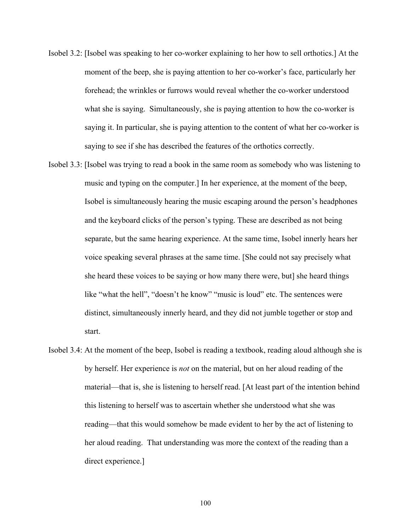- Isobel 3.2: [Isobel was speaking to her co-worker explaining to her how to sell orthotics.] At the moment of the beep, she is paying attention to her co-worker's face, particularly her forehead; the wrinkles or furrows would reveal whether the co-worker understood what she is saying. Simultaneously, she is paying attention to how the co-worker is saying it. In particular, she is paying attention to the content of what her co-worker is saying to see if she has described the features of the orthotics correctly.
- Isobel 3.3: [Isobel was trying to read a book in the same room as somebody who was listening to music and typing on the computer.] In her experience, at the moment of the beep, Isobel is simultaneously hearing the music escaping around the person's headphones and the keyboard clicks of the person's typing. These are described as not being separate, but the same hearing experience. At the same time, Isobel innerly hears her voice speaking several phrases at the same time. [She could not say precisely what she heard these voices to be saying or how many there were, but] she heard things like "what the hell", "doesn't he know" "music is loud" etc. The sentences were distinct, simultaneously innerly heard, and they did not jumble together or stop and start.
- Isobel 3.4: At the moment of the beep, Isobel is reading a textbook, reading aloud although she is by herself. Her experience is *not* on the material, but on her aloud reading of the material—that is, she is listening to herself read. [At least part of the intention behind this listening to herself was to ascertain whether she understood what she was reading—that this would somehow be made evident to her by the act of listening to her aloud reading. That understanding was more the context of the reading than a direct experience.]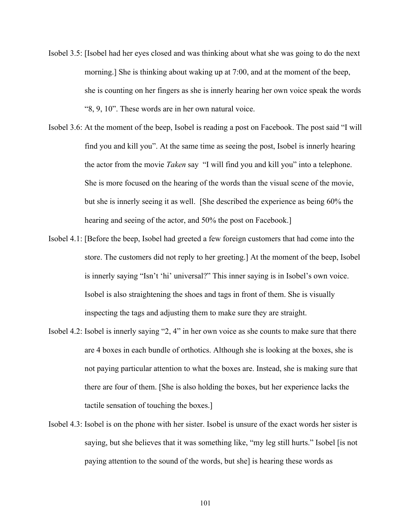- Isobel 3.5: [Isobel had her eyes closed and was thinking about what she was going to do the next morning.] She is thinking about waking up at 7:00, and at the moment of the beep, she is counting on her fingers as she is innerly hearing her own voice speak the words "8, 9, 10". These words are in her own natural voice.
- Isobel 3.6: At the moment of the beep, Isobel is reading a post on Facebook. The post said "I will find you and kill you". At the same time as seeing the post, Isobel is innerly hearing the actor from the movie *Taken* say "I will find you and kill you" into a telephone. She is more focused on the hearing of the words than the visual scene of the movie, but she is innerly seeing it as well. [She described the experience as being 60% the hearing and seeing of the actor, and 50% the post on Facebook.]
- Isobel 4.1: [Before the beep, Isobel had greeted a few foreign customers that had come into the store. The customers did not reply to her greeting.] At the moment of the beep, Isobel is innerly saying "Isn't 'hi' universal?" This inner saying is in Isobel's own voice. Isobel is also straightening the shoes and tags in front of them. She is visually inspecting the tags and adjusting them to make sure they are straight.
- Isobel 4.2: Isobel is innerly saying "2, 4" in her own voice as she counts to make sure that there are 4 boxes in each bundle of orthotics. Although she is looking at the boxes, she is not paying particular attention to what the boxes are. Instead, she is making sure that there are four of them. [She is also holding the boxes, but her experience lacks the tactile sensation of touching the boxes.]
- Isobel 4.3: Isobel is on the phone with her sister. Isobel is unsure of the exact words her sister is saying, but she believes that it was something like, "my leg still hurts." Isobel [is not paying attention to the sound of the words, but she] is hearing these words as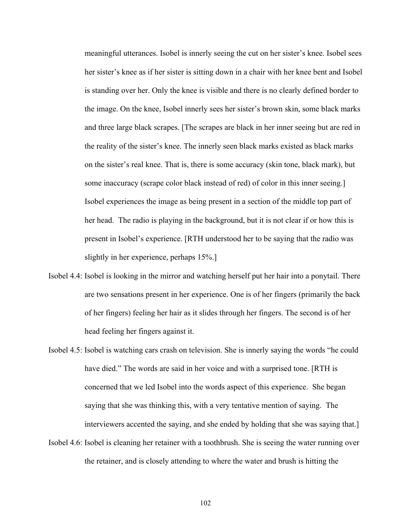meaningful utterances. Isobel is innerly seeing the cut on her sister's knee. Isobel sees her sister's knee as if her sister is sitting down in a chair with her knee bent and Isobel is standing over her. Only the knee is visible and there is no clearly defined border to the image. On the knee, Isobel innerly sees her sister's brown skin, some black marks and three large black scrapes. [The scrapes are black in her inner seeing but are red in the reality of the sister's knee. The innerly seen black marks existed as black marks on the sister's real knee. That is, there is some accuracy (skin tone, black mark), but some inaccuracy (scrape color black instead of red) of color in this inner seeing.] Isobel experiences the image as being present in a section of the middle top part of her head. The radio is playing in the background, but it is not clear if or how this is present in Isobel's experience. [RTH understood her to be saying that the radio was slightly in her experience, perhaps 15%.]

- Isobel 4.4: Isobel is looking in the mirror and watching herself put her hair into a ponytail. There are two sensations present in her experience. One is of her fingers (primarily the back of her fingers) feeling her hair as it slides through her fingers. The second is of her head feeling her fingers against it.
- Isobel 4.5: Isobel is watching cars crash on television. She is innerly saying the words "he could have died." The words are said in her voice and with a surprised tone. [RTH is concerned that we led Isobel into the words aspect of this experience. She began saying that she was thinking this, with a very tentative mention of saying. The interviewers accented the saying, and she ended by holding that she was saying that.
- Isobel 4.6: Isobel is cleaning her retainer with a toothbrush. She is seeing the water running over the retainer, and is closely attending to where the water and brush is hitting the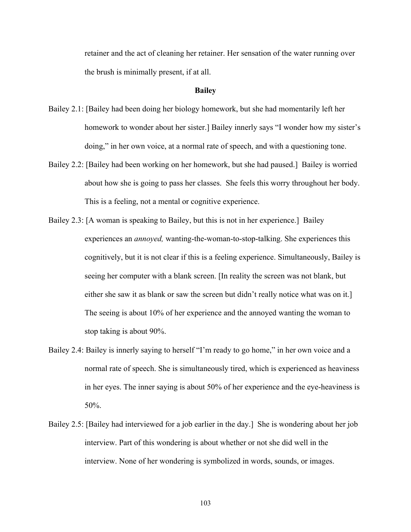retainer and the act of cleaning her retainer. Her sensation of the water running over the brush is minimally present, if at all.

#### **Bailey**

- Bailey 2.1: [Bailey had been doing her biology homework, but she had momentarily left her homework to wonder about her sister.] Bailey innerly says "I wonder how my sister's doing," in her own voice, at a normal rate of speech, and with a questioning tone.
- Bailey 2.2: [Bailey had been working on her homework, but she had paused.] Bailey is worried about how she is going to pass her classes. She feels this worry throughout her body. This is a feeling, not a mental or cognitive experience.
- Bailey 2.3: [A woman is speaking to Bailey, but this is not in her experience.] Bailey experiences an *annoyed,* wanting-the-woman-to-stop-talking. She experiences this cognitively, but it is not clear if this is a feeling experience. Simultaneously, Bailey is seeing her computer with a blank screen. [In reality the screen was not blank, but either she saw it as blank or saw the screen but didn't really notice what was on it. The seeing is about 10% of her experience and the annoyed wanting the woman to stop taking is about 90%.
- Bailey 2.4: Bailey is innerly saying to herself "I'm ready to go home," in her own voice and a normal rate of speech. She is simultaneously tired, which is experienced as heaviness in her eyes. The inner saying is about 50% of her experience and the eye-heaviness is 50%.
- Bailey 2.5: [Bailey had interviewed for a job earlier in the day.] She is wondering about her job interview. Part of this wondering is about whether or not she did well in the interview. None of her wondering is symbolized in words, sounds, or images.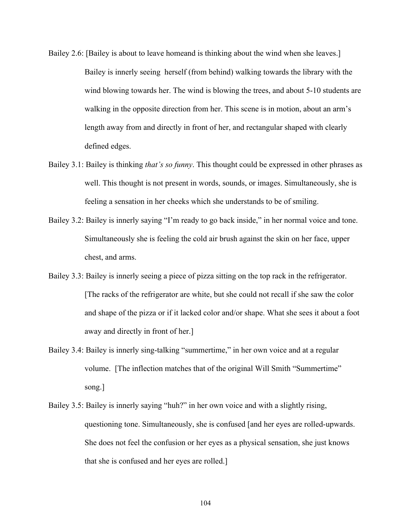- Bailey 2.6: [Bailey is about to leave homeand is thinking about the wind when she leaves.] Bailey is innerly seeing herself (from behind) walking towards the library with the wind blowing towards her. The wind is blowing the trees, and about 5-10 students are walking in the opposite direction from her. This scene is in motion, about an arm's length away from and directly in front of her, and rectangular shaped with clearly defined edges.
- Bailey 3.1: Bailey is thinking *that's so funny*. This thought could be expressed in other phrases as well. This thought is not present in words, sounds, or images. Simultaneously, she is feeling a sensation in her cheeks which she understands to be of smiling.
- Bailey 3.2: Bailey is innerly saying "I'm ready to go back inside," in her normal voice and tone. Simultaneously she is feeling the cold air brush against the skin on her face, upper chest, and arms.
- Bailey 3.3: Bailey is innerly seeing a piece of pizza sitting on the top rack in the refrigerator. [The racks of the refrigerator are white, but she could not recall if she saw the color and shape of the pizza or if it lacked color and/or shape. What she sees it about a foot away and directly in front of her.]
- Bailey 3.4: Bailey is innerly sing-talking "summertime," in her own voice and at a regular volume. [The inflection matches that of the original Will Smith "Summertime" song.]
- Bailey 3.5: Bailey is innerly saying "huh?" in her own voice and with a slightly rising, questioning tone. Simultaneously, she is confused [and her eyes are rolled-upwards. She does not feel the confusion or her eyes as a physical sensation, she just knows that she is confused and her eyes are rolled.]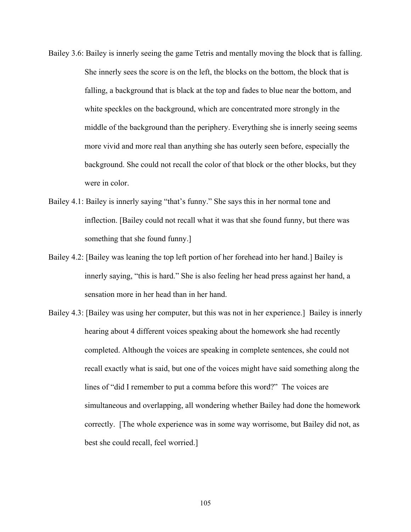- Bailey 3.6: Bailey is innerly seeing the game Tetris and mentally moving the block that is falling. She innerly sees the score is on the left, the blocks on the bottom, the block that is falling, a background that is black at the top and fades to blue near the bottom, and white speckles on the background, which are concentrated more strongly in the middle of the background than the periphery. Everything she is innerly seeing seems more vivid and more real than anything she has outerly seen before, especially the background. She could not recall the color of that block or the other blocks, but they were in color.
- Bailey 4.1: Bailey is innerly saying "that's funny." She says this in her normal tone and inflection. [Bailey could not recall what it was that she found funny, but there was something that she found funny.]
- Bailey 4.2: [Bailey was leaning the top left portion of her forehead into her hand.] Bailey is innerly saying, "this is hard." She is also feeling her head press against her hand, a sensation more in her head than in her hand.
- Bailey 4.3: [Bailey was using her computer, but this was not in her experience.] Bailey is innerly hearing about 4 different voices speaking about the homework she had recently completed. Although the voices are speaking in complete sentences, she could not recall exactly what is said, but one of the voices might have said something along the lines of "did I remember to put a comma before this word?" The voices are simultaneous and overlapping, all wondering whether Bailey had done the homework correctly. [The whole experience was in some way worrisome, but Bailey did not, as best she could recall, feel worried.]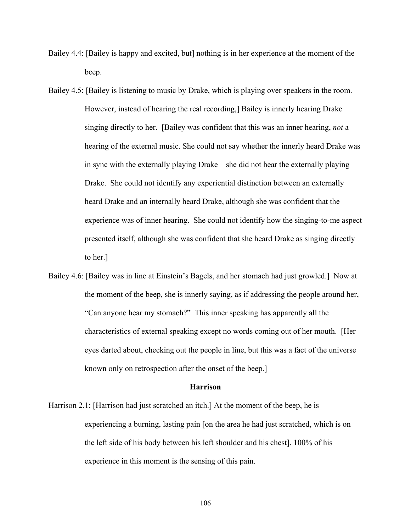- Bailey 4.4: [Bailey is happy and excited, but] nothing is in her experience at the moment of the beep.
- Bailey 4.5: [Bailey is listening to music by Drake, which is playing over speakers in the room. However, instead of hearing the real recording,] Bailey is innerly hearing Drake singing directly to her. [Bailey was confident that this was an inner hearing, *not* a hearing of the external music. She could not say whether the innerly heard Drake was in sync with the externally playing Drake—she did not hear the externally playing Drake. She could not identify any experiential distinction between an externally heard Drake and an internally heard Drake, although she was confident that the experience was of inner hearing. She could not identify how the singing-to-me aspect presented itself, although she was confident that she heard Drake as singing directly to her.]
- Bailey 4.6: [Bailey was in line at Einstein's Bagels, and her stomach had just growled.] Now at the moment of the beep, she is innerly saying, as if addressing the people around her, "Can anyone hear my stomach?" This inner speaking has apparently all the characteristics of external speaking except no words coming out of her mouth. [Her eyes darted about, checking out the people in line, but this was a fact of the universe known only on retrospection after the onset of the beep.]

#### **Harrison**

Harrison 2.1: [Harrison had just scratched an itch.] At the moment of the beep, he is experiencing a burning, lasting pain [on the area he had just scratched, which is on the left side of his body between his left shoulder and his chest]. 100% of his experience in this moment is the sensing of this pain.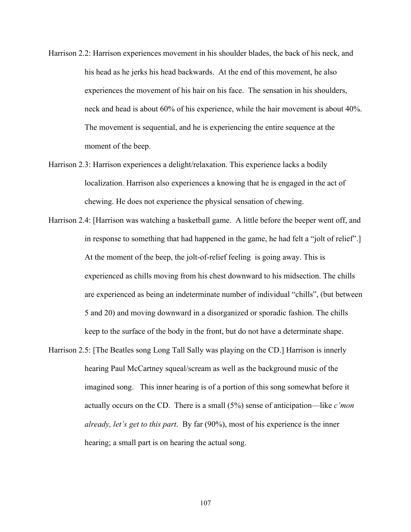- Harrison 2.2: Harrison experiences movement in his shoulder blades, the back of his neck, and his head as he jerks his head backwards. At the end of this movement, he also experiences the movement of his hair on his face. The sensation in his shoulders, neck and head is about 60% of his experience, while the hair movement is about 40%. The movement is sequential, and he is experiencing the entire sequence at the moment of the beep.
- Harrison 2.3: Harrison experiences a delight/relaxation. This experience lacks a bodily localization. Harrison also experiences a knowing that he is engaged in the act of chewing. He does not experience the physical sensation of chewing.
- Harrison 2.4: [Harrison was watching a basketball game. A little before the beeper went off, and in response to something that had happened in the game, he had felt a "jolt of relief".] At the moment of the beep, the jolt-of-relief feeling is going away. This is experienced as chills moving from his chest downward to his midsection. The chills are experienced as being an indeterminate number of individual "chills", (but between 5 and 20) and moving downward in a disorganized or sporadic fashion. The chills keep to the surface of the body in the front, but do not have a determinate shape.
- Harrison 2.5: [The Beatles song Long Tall Sally was playing on the CD.] Harrison is innerly hearing Paul McCartney squeal/scream as well as the background music of the imagined song. This inner hearing is of a portion of this song somewhat before it actually occurs on the CD. There is a small (5%) sense of anticipation—like *c'mon already, let's get to this part*. By far (90%), most of his experience is the inner hearing; a small part is on hearing the actual song.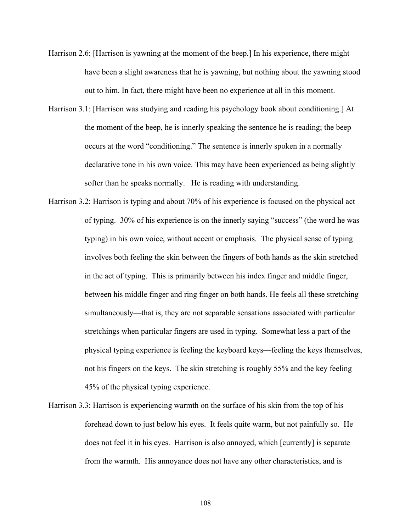- Harrison 2.6: [Harrison is yawning at the moment of the beep.] In his experience, there might have been a slight awareness that he is yawning, but nothing about the yawning stood out to him. In fact, there might have been no experience at all in this moment.
- Harrison 3.1: [Harrison was studying and reading his psychology book about conditioning.] At the moment of the beep, he is innerly speaking the sentence he is reading; the beep occurs at the word "conditioning." The sentence is innerly spoken in a normally declarative tone in his own voice. This may have been experienced as being slightly softer than he speaks normally. He is reading with understanding.
- Harrison 3.2: Harrison is typing and about 70% of his experience is focused on the physical act of typing. 30% of his experience is on the innerly saying "success" (the word he was typing) in his own voice, without accent or emphasis. The physical sense of typing involves both feeling the skin between the fingers of both hands as the skin stretched in the act of typing. This is primarily between his index finger and middle finger, between his middle finger and ring finger on both hands. He feels all these stretching simultaneously—that is, they are not separable sensations associated with particular stretchings when particular fingers are used in typing. Somewhat less a part of the physical typing experience is feeling the keyboard keys—feeling the keys themselves, not his fingers on the keys. The skin stretching is roughly 55% and the key feeling 45% of the physical typing experience.
- Harrison 3.3: Harrison is experiencing warmth on the surface of his skin from the top of his forehead down to just below his eyes. It feels quite warm, but not painfully so. He does not feel it in his eyes. Harrison is also annoyed, which [currently] is separate from the warmth. His annoyance does not have any other characteristics, and is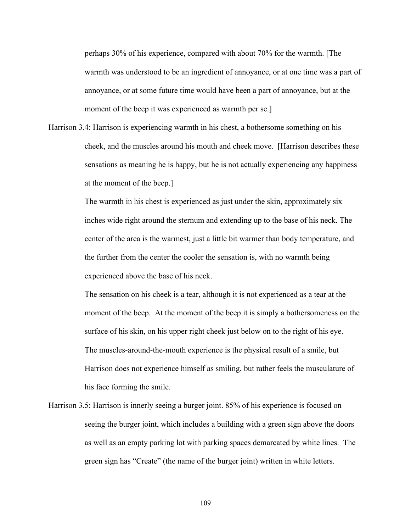perhaps 30% of his experience, compared with about 70% for the warmth. [The warmth was understood to be an ingredient of annoyance, or at one time was a part of annoyance, or at some future time would have been a part of annoyance, but at the moment of the beep it was experienced as warmth per se.

Harrison 3.4: Harrison is experiencing warmth in his chest, a bothersome something on his cheek, and the muscles around his mouth and cheek move. [Harrison describes these sensations as meaning he is happy, but he is not actually experiencing any happiness at the moment of the beep.]

> The warmth in his chest is experienced as just under the skin, approximately six inches wide right around the sternum and extending up to the base of his neck. The center of the area is the warmest, just a little bit warmer than body temperature, and the further from the center the cooler the sensation is, with no warmth being experienced above the base of his neck.

The sensation on his cheek is a tear, although it is not experienced as a tear at the moment of the beep. At the moment of the beep it is simply a bothersomeness on the surface of his skin, on his upper right cheek just below on to the right of his eye. The muscles-around-the-mouth experience is the physical result of a smile, but Harrison does not experience himself as smiling, but rather feels the musculature of his face forming the smile.

Harrison 3.5: Harrison is innerly seeing a burger joint. 85% of his experience is focused on seeing the burger joint, which includes a building with a green sign above the doors as well as an empty parking lot with parking spaces demarcated by white lines. The green sign has "Create" (the name of the burger joint) written in white letters.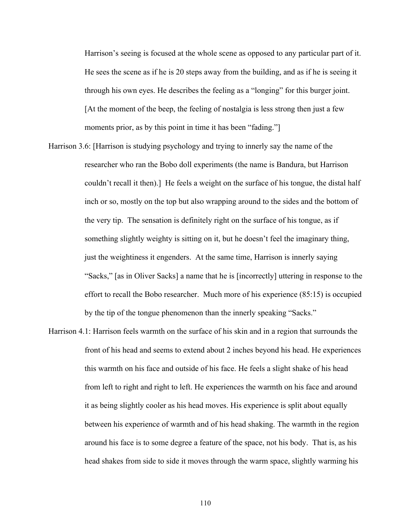Harrison's seeing is focused at the whole scene as opposed to any particular part of it. He sees the scene as if he is 20 steps away from the building, and as if he is seeing it through his own eyes. He describes the feeling as a "longing" for this burger joint. [At the moment of the beep, the feeling of nostalgia is less strong then just a few moments prior, as by this point in time it has been "fading."

- Harrison 3.6: [Harrison is studying psychology and trying to innerly say the name of the researcher who ran the Bobo doll experiments (the name is Bandura, but Harrison couldn't recall it then).] He feels a weight on the surface of his tongue, the distal half inch or so, mostly on the top but also wrapping around to the sides and the bottom of the very tip. The sensation is definitely right on the surface of his tongue, as if something slightly weighty is sitting on it, but he doesn't feel the imaginary thing, just the weightiness it engenders. At the same time, Harrison is innerly saying "Sacks," [as in Oliver Sacks] a name that he is [incorrectly] uttering in response to the effort to recall the Bobo researcher. Much more of his experience (85:15) is occupied by the tip of the tongue phenomenon than the innerly speaking "Sacks."
- Harrison 4.1: Harrison feels warmth on the surface of his skin and in a region that surrounds the front of his head and seems to extend about 2 inches beyond his head. He experiences this warmth on his face and outside of his face. He feels a slight shake of his head from left to right and right to left. He experiences the warmth on his face and around it as being slightly cooler as his head moves. His experience is split about equally between his experience of warmth and of his head shaking. The warmth in the region around his face is to some degree a feature of the space, not his body. That is, as his head shakes from side to side it moves through the warm space, slightly warming his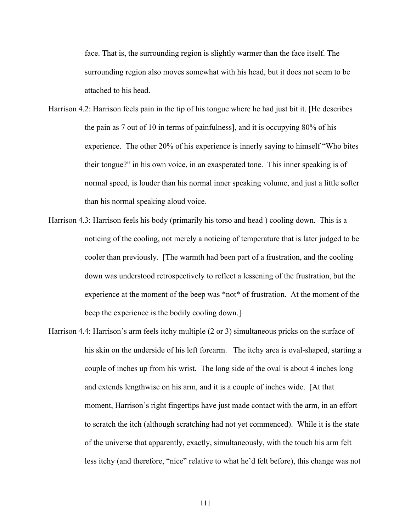face. That is, the surrounding region is slightly warmer than the face itself. The surrounding region also moves somewhat with his head, but it does not seem to be attached to his head.

- Harrison 4.2: Harrison feels pain in the tip of his tongue where he had just bit it. [He describes the pain as 7 out of 10 in terms of painfulness], and it is occupying 80% of his experience. The other 20% of his experience is innerly saying to himself "Who bites their tongue?" in his own voice, in an exasperated tone. This inner speaking is of normal speed, is louder than his normal inner speaking volume, and just a little softer than his normal speaking aloud voice.
- Harrison 4.3: Harrison feels his body (primarily his torso and head ) cooling down. This is a noticing of the cooling, not merely a noticing of temperature that is later judged to be cooler than previously. [The warmth had been part of a frustration, and the cooling down was understood retrospectively to reflect a lessening of the frustration, but the experience at the moment of the beep was \*not\* of frustration. At the moment of the beep the experience is the bodily cooling down.]
- Harrison 4.4: Harrison's arm feels itchy multiple (2 or 3) simultaneous pricks on the surface of his skin on the underside of his left forearm. The itchy area is oval-shaped, starting a couple of inches up from his wrist. The long side of the oval is about 4 inches long and extends lengthwise on his arm, and it is a couple of inches wide. [At that moment, Harrison's right fingertips have just made contact with the arm, in an effort to scratch the itch (although scratching had not yet commenced). While it is the state of the universe that apparently, exactly, simultaneously, with the touch his arm felt less itchy (and therefore, "nice" relative to what he'd felt before), this change was not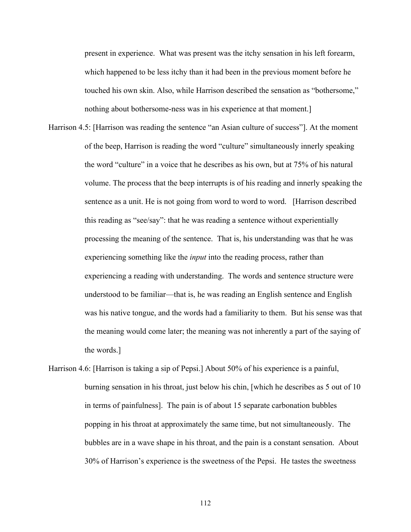present in experience. What was present was the itchy sensation in his left forearm, which happened to be less itchy than it had been in the previous moment before he touched his own skin. Also, while Harrison described the sensation as "bothersome," nothing about bothersome-ness was in his experience at that moment.]

- Harrison 4.5: [Harrison was reading the sentence "an Asian culture of success"]. At the moment of the beep, Harrison is reading the word "culture" simultaneously innerly speaking the word "culture" in a voice that he describes as his own, but at 75% of his natural volume. The process that the beep interrupts is of his reading and innerly speaking the sentence as a unit. He is not going from word to word to word. [Harrison described] this reading as "see/say": that he was reading a sentence without experientially processing the meaning of the sentence. That is, his understanding was that he was experiencing something like the *input* into the reading process, rather than experiencing a reading with understanding. The words and sentence structure were understood to be familiar—that is, he was reading an English sentence and English was his native tongue, and the words had a familiarity to them. But his sense was that the meaning would come later; the meaning was not inherently a part of the saying of the words.]
- Harrison 4.6: [Harrison is taking a sip of Pepsi.] About 50% of his experience is a painful, burning sensation in his throat, just below his chin, [which he describes as 5 out of 10 in terms of painfulness]. The pain is of about 15 separate carbonation bubbles popping in his throat at approximately the same time, but not simultaneously. The bubbles are in a wave shape in his throat, and the pain is a constant sensation. About 30% of Harrison's experience is the sweetness of the Pepsi. He tastes the sweetness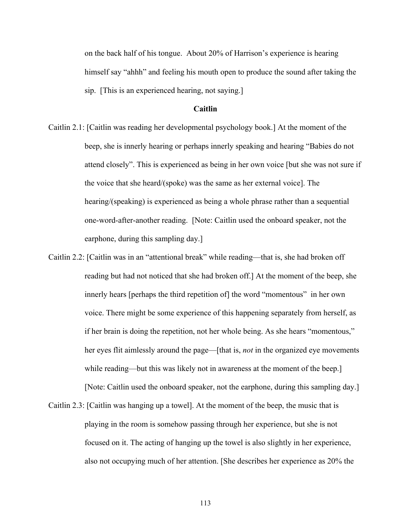on the back half of his tongue. About 20% of Harrison's experience is hearing himself say "ahhh" and feeling his mouth open to produce the sound after taking the sip. [This is an experienced hearing, not saying.]

# **Caitlin**

- Caitlin 2.1: [Caitlin was reading her developmental psychology book.] At the moment of the beep, she is innerly hearing or perhaps innerly speaking and hearing "Babies do not attend closely". This is experienced as being in her own voice [but she was not sure if the voice that she heard/(spoke) was the same as her external voice]. The hearing/(speaking) is experienced as being a whole phrase rather than a sequential one-word-after-another reading. [Note: Caitlin used the onboard speaker, not the earphone, during this sampling day.]
- Caitlin 2.2: [Caitlin was in an "attentional break" while reading—that is, she had broken off reading but had not noticed that she had broken off.] At the moment of the beep, she innerly hears [perhaps the third repetition of] the word "momentous" in her own voice. There might be some experience of this happening separately from herself, as if her brain is doing the repetition, not her whole being. As she hears "momentous," her eyes flit aimlessly around the page—[that is, *not* in the organized eye movements while reading—but this was likely not in awareness at the moment of the beep. [Note: Caitlin used the onboard speaker, not the earphone, during this sampling day.]
- Caitlin 2.3: [Caitlin was hanging up a towel]. At the moment of the beep, the music that is playing in the room is somehow passing through her experience, but she is not focused on it. The acting of hanging up the towel is also slightly in her experience, also not occupying much of her attention. [She describes her experience as 20% the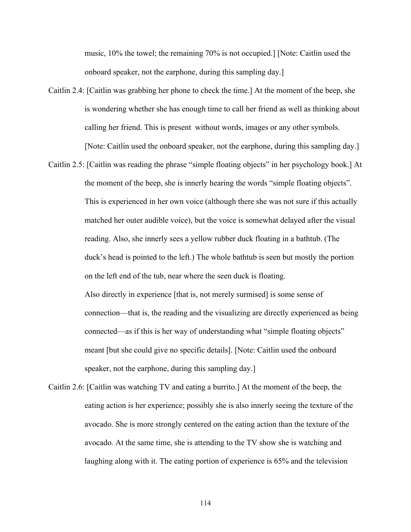music, 10% the towel; the remaining 70% is not occupied.] [Note: Caitlin used the onboard speaker, not the earphone, during this sampling day.]

- Caitlin 2.4: [Caitlin was grabbing her phone to check the time.] At the moment of the beep, she is wondering whether she has enough time to call her friend as well as thinking about calling her friend. This is present without words, images or any other symbols. [Note: Caitlin used the onboard speaker, not the earphone, during this sampling day.]
- Caitlin 2.5: [Caitlin was reading the phrase "simple floating objects" in her psychology book.] At the moment of the beep, she is innerly hearing the words "simple floating objects". This is experienced in her own voice (although there she was not sure if this actually matched her outer audible voice), but the voice is somewhat delayed after the visual reading. Also, she innerly sees a yellow rubber duck floating in a bathtub. (The duck's head is pointed to the left.) The whole bathtub is seen but mostly the portion on the left end of the tub, near where the seen duck is floating. Also directly in experience [that is, not merely surmised] is some sense of connection—that is, the reading and the visualizing are directly experienced as being connected—as if this is her way of understanding what "simple floating objects" meant [but she could give no specific details]. [Note: Caitlin used the onboard speaker, not the earphone, during this sampling day.]
- Caitlin 2.6: [Caitlin was watching TV and eating a burrito.] At the moment of the beep, the eating action is her experience; possibly she is also innerly seeing the texture of the avocado. She is more strongly centered on the eating action than the texture of the avocado. At the same time, she is attending to the TV show she is watching and laughing along with it. The eating portion of experience is 65% and the television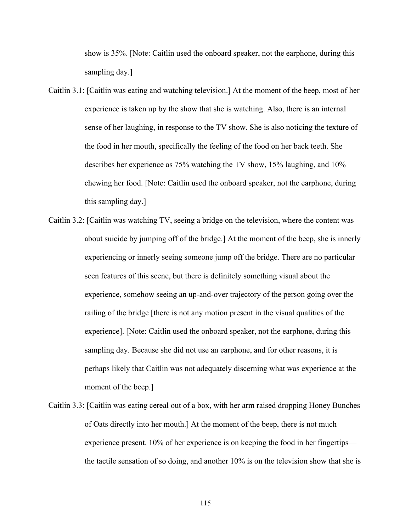show is 35%. [Note: Caitlin used the onboard speaker, not the earphone, during this sampling day.]

- Caitlin 3.1: [Caitlin was eating and watching television.] At the moment of the beep, most of her experience is taken up by the show that she is watching. Also, there is an internal sense of her laughing, in response to the TV show. She is also noticing the texture of the food in her mouth, specifically the feeling of the food on her back teeth. She describes her experience as 75% watching the TV show, 15% laughing, and 10% chewing her food. [Note: Caitlin used the onboard speaker, not the earphone, during this sampling day.]
- Caitlin 3.2: [Caitlin was watching TV, seeing a bridge on the television, where the content was about suicide by jumping off of the bridge.] At the moment of the beep, she is innerly experiencing or innerly seeing someone jump off the bridge. There are no particular seen features of this scene, but there is definitely something visual about the experience, somehow seeing an up-and-over trajectory of the person going over the railing of the bridge [there is not any motion present in the visual qualities of the experience]. [Note: Caitlin used the onboard speaker, not the earphone, during this sampling day. Because she did not use an earphone, and for other reasons, it is perhaps likely that Caitlin was not adequately discerning what was experience at the moment of the beep.]
- Caitlin 3.3: [Caitlin was eating cereal out of a box, with her arm raised dropping Honey Bunches of Oats directly into her mouth.] At the moment of the beep, there is not much experience present. 10% of her experience is on keeping the food in her fingertips the tactile sensation of so doing, and another 10% is on the television show that she is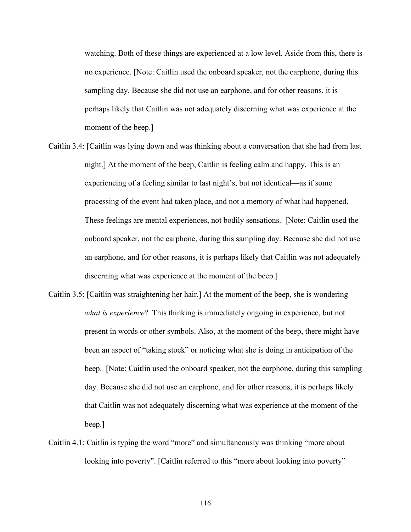watching. Both of these things are experienced at a low level. Aside from this, there is no experience. [Note: Caitlin used the onboard speaker, not the earphone, during this sampling day. Because she did not use an earphone, and for other reasons, it is perhaps likely that Caitlin was not adequately discerning what was experience at the moment of the beep.]

- Caitlin 3.4: [Caitlin was lying down and was thinking about a conversation that she had from last night.] At the moment of the beep, Caitlin is feeling calm and happy. This is an experiencing of a feeling similar to last night's, but not identical—as if some processing of the event had taken place, and not a memory of what had happened. These feelings are mental experiences, not bodily sensations. [Note: Caitlin used the onboard speaker, not the earphone, during this sampling day. Because she did not use an earphone, and for other reasons, it is perhaps likely that Caitlin was not adequately discerning what was experience at the moment of the beep.]
- Caitlin 3.5: [Caitlin was straightening her hair.] At the moment of the beep, she is wondering *what is experience*? This thinking is immediately ongoing in experience, but not present in words or other symbols. Also, at the moment of the beep, there might have been an aspect of "taking stock" or noticing what she is doing in anticipation of the beep. [Note: Caitlin used the onboard speaker, not the earphone, during this sampling day. Because she did not use an earphone, and for other reasons, it is perhaps likely that Caitlin was not adequately discerning what was experience at the moment of the beep.]
- Caitlin 4.1: Caitlin is typing the word "more" and simultaneously was thinking "more about looking into poverty". [Caitlin referred to this "more about looking into poverty"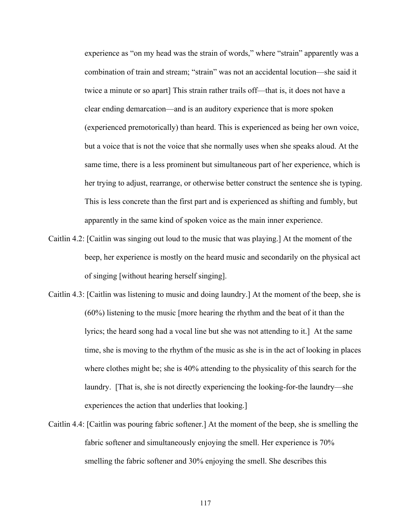experience as "on my head was the strain of words," where "strain" apparently was a combination of train and stream; "strain" was not an accidental locution—she said it twice a minute or so apart] This strain rather trails off—that is, it does not have a clear ending demarcation—and is an auditory experience that is more spoken (experienced premotorically) than heard. This is experienced as being her own voice, but a voice that is not the voice that she normally uses when she speaks aloud. At the same time, there is a less prominent but simultaneous part of her experience, which is her trying to adjust, rearrange, or otherwise better construct the sentence she is typing. This is less concrete than the first part and is experienced as shifting and fumbly, but apparently in the same kind of spoken voice as the main inner experience.

- Caitlin 4.2: [Caitlin was singing out loud to the music that was playing.] At the moment of the beep, her experience is mostly on the heard music and secondarily on the physical act of singing [without hearing herself singing].
- Caitlin 4.3: [Caitlin was listening to music and doing laundry.] At the moment of the beep, she is (60%) listening to the music [more hearing the rhythm and the beat of it than the lyrics; the heard song had a vocal line but she was not attending to it.] At the same time, she is moving to the rhythm of the music as she is in the act of looking in places where clothes might be; she is 40% attending to the physicality of this search for the laundry. [That is, she is not directly experiencing the looking-for-the laundry—she experiences the action that underlies that looking.]
- Caitlin 4.4: [Caitlin was pouring fabric softener.] At the moment of the beep, she is smelling the fabric softener and simultaneously enjoying the smell. Her experience is 70% smelling the fabric softener and 30% enjoying the smell. She describes this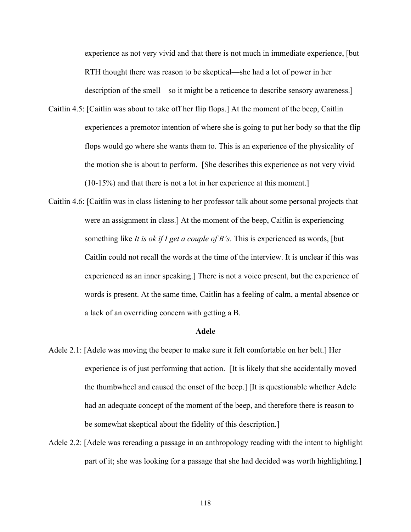experience as not very vivid and that there is not much in immediate experience, [but RTH thought there was reason to be skeptical—she had a lot of power in her description of the smell—so it might be a reticence to describe sensory awareness.]

- Caitlin 4.5: [Caitlin was about to take off her flip flops.] At the moment of the beep, Caitlin experiences a premotor intention of where she is going to put her body so that the flip flops would go where she wants them to. This is an experience of the physicality of the motion she is about to perform. [She describes this experience as not very vivid (10-15%) and that there is not a lot in her experience at this moment.]
- Caitlin 4.6: [Caitlin was in class listening to her professor talk about some personal projects that were an assignment in class.] At the moment of the beep, Caitlin is experiencing something like *It is ok if I get a couple of B's*. This is experienced as words, [but Caitlin could not recall the words at the time of the interview. It is unclear if this was experienced as an inner speaking.] There is not a voice present, but the experience of words is present. At the same time, Caitlin has a feeling of calm, a mental absence or a lack of an overriding concern with getting a B.

## **Adele**

- Adele 2.1: [Adele was moving the beeper to make sure it felt comfortable on her belt.] Her experience is of just performing that action. [It is likely that she accidentally moved the thumbwheel and caused the onset of the beep.] [It is questionable whether Adele had an adequate concept of the moment of the beep, and therefore there is reason to be somewhat skeptical about the fidelity of this description.]
- Adele 2.2: [Adele was rereading a passage in an anthropology reading with the intent to highlight part of it; she was looking for a passage that she had decided was worth highlighting.]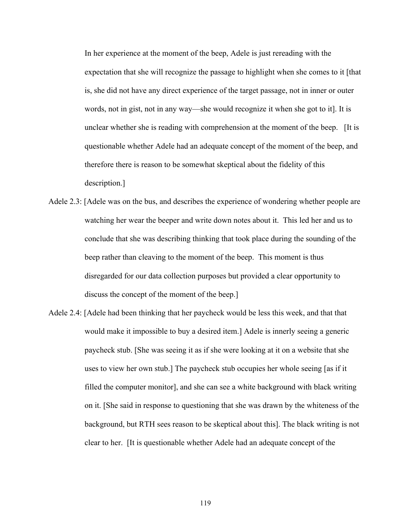In her experience at the moment of the beep, Adele is just rereading with the expectation that she will recognize the passage to highlight when she comes to it [that is, she did not have any direct experience of the target passage, not in inner or outer words, not in gist, not in any way—she would recognize it when she got to it]. It is unclear whether she is reading with comprehension at the moment of the beep. [It is questionable whether Adele had an adequate concept of the moment of the beep, and therefore there is reason to be somewhat skeptical about the fidelity of this description.]

- Adele 2.3: [Adele was on the bus, and describes the experience of wondering whether people are watching her wear the beeper and write down notes about it. This led her and us to conclude that she was describing thinking that took place during the sounding of the beep rather than cleaving to the moment of the beep. This moment is thus disregarded for our data collection purposes but provided a clear opportunity to discuss the concept of the moment of the beep.]
- Adele 2.4: [Adele had been thinking that her paycheck would be less this week, and that that would make it impossible to buy a desired item.] Adele is innerly seeing a generic paycheck stub. [She was seeing it as if she were looking at it on a website that she uses to view her own stub.] The paycheck stub occupies her whole seeing [as if it filled the computer monitor], and she can see a white background with black writing on it. [She said in response to questioning that she was drawn by the whiteness of the background, but RTH sees reason to be skeptical about this]. The black writing is not clear to her. [It is questionable whether Adele had an adequate concept of the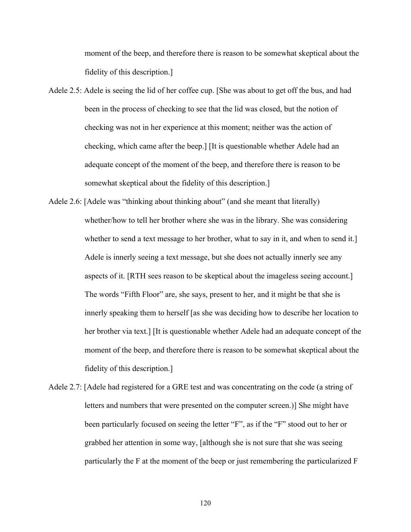moment of the beep, and therefore there is reason to be somewhat skeptical about the fidelity of this description.]

- Adele 2.5: Adele is seeing the lid of her coffee cup. [She was about to get off the bus, and had been in the process of checking to see that the lid was closed, but the notion of checking was not in her experience at this moment; neither was the action of checking, which came after the beep.] [It is questionable whether Adele had an adequate concept of the moment of the beep, and therefore there is reason to be somewhat skeptical about the fidelity of this description.]
- Adele 2.6: [Adele was "thinking about thinking about" (and she meant that literally) whether/how to tell her brother where she was in the library. She was considering whether to send a text message to her brother, what to say in it, and when to send it.] Adele is innerly seeing a text message, but she does not actually innerly see any aspects of it. [RTH sees reason to be skeptical about the imageless seeing account.] The words "Fifth Floor" are, she says, present to her, and it might be that she is innerly speaking them to herself [as she was deciding how to describe her location to her brother via text.] [It is questionable whether Adele had an adequate concept of the moment of the beep, and therefore there is reason to be somewhat skeptical about the fidelity of this description.]
- Adele 2.7: [Adele had registered for a GRE test and was concentrating on the code (a string of letters and numbers that were presented on the computer screen.)] She might have been particularly focused on seeing the letter "F", as if the "F" stood out to her or grabbed her attention in some way, [although she is not sure that she was seeing particularly the F at the moment of the beep or just remembering the particularized F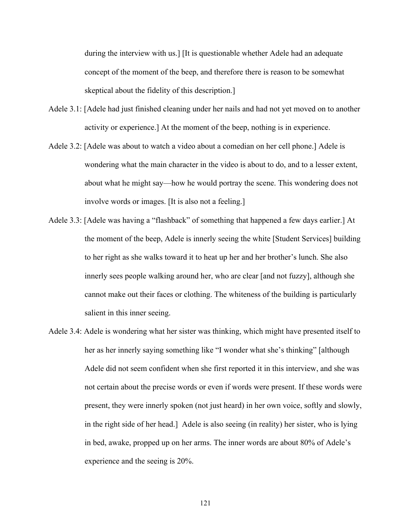during the interview with us.] [It is questionable whether Adele had an adequate concept of the moment of the beep, and therefore there is reason to be somewhat skeptical about the fidelity of this description.]

- Adele 3.1: [Adele had just finished cleaning under her nails and had not yet moved on to another activity or experience.] At the moment of the beep, nothing is in experience.
- Adele 3.2: [Adele was about to watch a video about a comedian on her cell phone.] Adele is wondering what the main character in the video is about to do, and to a lesser extent, about what he might say—how he would portray the scene. This wondering does not involve words or images. [It is also not a feeling.]
- Adele 3.3: [Adele was having a "flashback" of something that happened a few days earlier.] At the moment of the beep, Adele is innerly seeing the white [Student Services] building to her right as she walks toward it to heat up her and her brother's lunch. She also innerly sees people walking around her, who are clear [and not fuzzy], although she cannot make out their faces or clothing. The whiteness of the building is particularly salient in this inner seeing.
- Adele 3.4: Adele is wondering what her sister was thinking, which might have presented itself to her as her innerly saying something like "I wonder what she's thinking" [although Adele did not seem confident when she first reported it in this interview, and she was not certain about the precise words or even if words were present. If these words were present, they were innerly spoken (not just heard) in her own voice, softly and slowly, in the right side of her head.] Adele is also seeing (in reality) her sister, who is lying in bed, awake, propped up on her arms. The inner words are about 80% of Adele's experience and the seeing is 20%.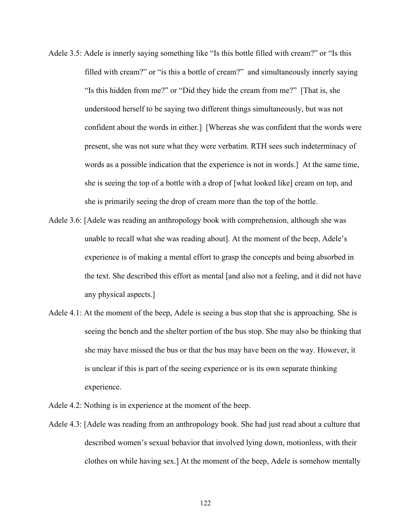- Adele 3.5: Adele is innerly saying something like "Is this bottle filled with cream?" or "Is this filled with cream?" or "is this a bottle of cream?" and simultaneously innerly saying "Is this hidden from me?" or "Did they hide the cream from me?" [That is, she understood herself to be saying two different things simultaneously, but was not confident about the words in either.] [Whereas she was confident that the words were present, she was not sure what they were verbatim. RTH sees such indeterminacy of words as a possible indication that the experience is not in words.] At the same time, she is seeing the top of a bottle with a drop of [what looked like] cream on top, and she is primarily seeing the drop of cream more than the top of the bottle.
- Adele 3.6: [Adele was reading an anthropology book with comprehension, although she was unable to recall what she was reading about]. At the moment of the beep, Adele's experience is of making a mental effort to grasp the concepts and being absorbed in the text. She described this effort as mental [and also not a feeling, and it did not have any physical aspects.]
- Adele 4.1: At the moment of the beep, Adele is seeing a bus stop that she is approaching. She is seeing the bench and the shelter portion of the bus stop. She may also be thinking that she may have missed the bus or that the bus may have been on the way. However, it is unclear if this is part of the seeing experience or is its own separate thinking experience.
- Adele 4.2: Nothing is in experience at the moment of the beep.
- Adele 4.3: [Adele was reading from an anthropology book. She had just read about a culture that described women's sexual behavior that involved lying down, motionless, with their clothes on while having sex.] At the moment of the beep, Adele is somehow mentally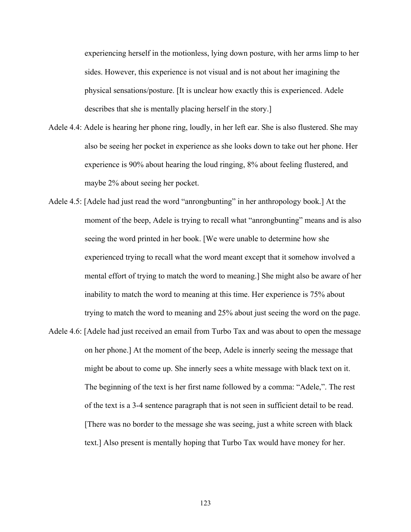experiencing herself in the motionless, lying down posture, with her arms limp to her sides. However, this experience is not visual and is not about her imagining the physical sensations/posture. [It is unclear how exactly this is experienced. Adele describes that she is mentally placing herself in the story.]

- Adele 4.4: Adele is hearing her phone ring, loudly, in her left ear. She is also flustered. She may also be seeing her pocket in experience as she looks down to take out her phone. Her experience is 90% about hearing the loud ringing, 8% about feeling flustered, and maybe 2% about seeing her pocket.
- Adele 4.5: [Adele had just read the word "anrongbunting" in her anthropology book.] At the moment of the beep, Adele is trying to recall what "anrongbunting" means and is also seeing the word printed in her book. [We were unable to determine how she experienced trying to recall what the word meant except that it somehow involved a mental effort of trying to match the word to meaning.] She might also be aware of her inability to match the word to meaning at this time. Her experience is 75% about trying to match the word to meaning and 25% about just seeing the word on the page.
- Adele 4.6: [Adele had just received an email from Turbo Tax and was about to open the message on her phone.] At the moment of the beep, Adele is innerly seeing the message that might be about to come up. She innerly sees a white message with black text on it. The beginning of the text is her first name followed by a comma: "Adele,". The rest of the text is a 3-4 sentence paragraph that is not seen in sufficient detail to be read. [There was no border to the message she was seeing, just a white screen with black text.] Also present is mentally hoping that Turbo Tax would have money for her.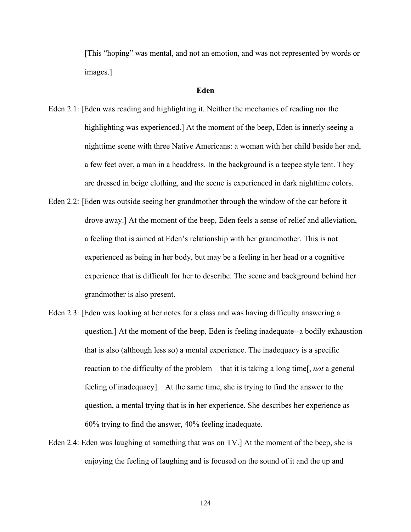[This "hoping" was mental, and not an emotion, and was not represented by words or images.]

## **Eden**

- Eden 2.1: [Eden was reading and highlighting it. Neither the mechanics of reading nor the highlighting was experienced.] At the moment of the beep, Eden is innerly seeing a nighttime scene with three Native Americans: a woman with her child beside her and, a few feet over, a man in a headdress. In the background is a teepee style tent. They are dressed in beige clothing, and the scene is experienced in dark nighttime colors.
- Eden 2.2: [Eden was outside seeing her grandmother through the window of the car before it drove away.] At the moment of the beep, Eden feels a sense of relief and alleviation, a feeling that is aimed at Eden's relationship with her grandmother. This is not experienced as being in her body, but may be a feeling in her head or a cognitive experience that is difficult for her to describe. The scene and background behind her grandmother is also present.
- Eden 2.3: [Eden was looking at her notes for a class and was having difficulty answering a question.] At the moment of the beep, Eden is feeling inadequate--a bodily exhaustion that is also (although less so) a mental experience. The inadequacy is a specific reaction to the difficulty of the problem—that it is taking a long time[, *not* a general feeling of inadequacy]. At the same time, she is trying to find the answer to the question, a mental trying that is in her experience. She describes her experience as 60% trying to find the answer, 40% feeling inadequate.
- Eden 2.4: Eden was laughing at something that was on TV.] At the moment of the beep, she is enjoying the feeling of laughing and is focused on the sound of it and the up and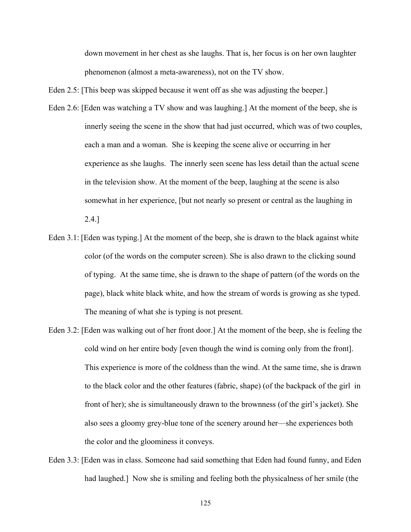down movement in her chest as she laughs. That is, her focus is on her own laughter phenomenon (almost a meta-awareness), not on the TV show.

Eden 2.5: [This beep was skipped because it went off as she was adjusting the beeper.]

- Eden 2.6: [Eden was watching a TV show and was laughing.] At the moment of the beep, she is innerly seeing the scene in the show that had just occurred, which was of two couples, each a man and a woman. She is keeping the scene alive or occurring in her experience as she laughs. The innerly seen scene has less detail than the actual scene in the television show. At the moment of the beep, laughing at the scene is also somewhat in her experience, [but not nearly so present or central as the laughing in 2.4.]
- Eden 3.1: [Eden was typing.] At the moment of the beep, she is drawn to the black against white color (of the words on the computer screen). She is also drawn to the clicking sound of typing. At the same time, she is drawn to the shape of pattern (of the words on the page), black white black white, and how the stream of words is growing as she typed. The meaning of what she is typing is not present.
- Eden 3.2: [Eden was walking out of her front door.] At the moment of the beep, she is feeling the cold wind on her entire body [even though the wind is coming only from the front]. This experience is more of the coldness than the wind. At the same time, she is drawn to the black color and the other features (fabric, shape) (of the backpack of the girl in front of her); she is simultaneously drawn to the brownness (of the girl's jacket). She also sees a gloomy grey-blue tone of the scenery around her—she experiences both the color and the gloominess it conveys.
- Eden 3.3: [Eden was in class. Someone had said something that Eden had found funny, and Eden had laughed.] Now she is smiling and feeling both the physicalness of her smile (the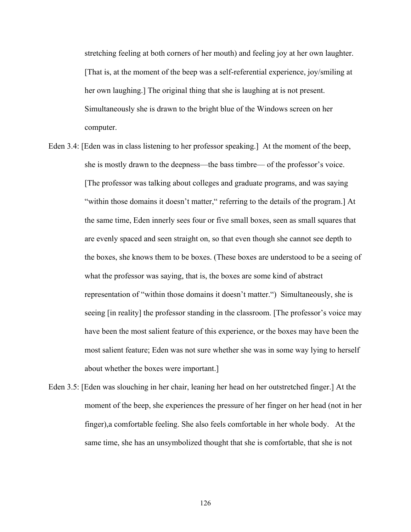stretching feeling at both corners of her mouth) and feeling joy at her own laughter. [That is, at the moment of the beep was a self-referential experience, joy/smiling at her own laughing.] The original thing that she is laughing at is not present. Simultaneously she is drawn to the bright blue of the Windows screen on her computer.

- Eden 3.4: [Eden was in class listening to her professor speaking.] At the moment of the beep, she is mostly drawn to the deepness—the bass timbre— of the professor's voice. [The professor was talking about colleges and graduate programs, and was saying "within those domains it doesn't matter," referring to the details of the program.] At the same time, Eden innerly sees four or five small boxes, seen as small squares that are evenly spaced and seen straight on, so that even though she cannot see depth to the boxes, she knows them to be boxes. (These boxes are understood to be a seeing of what the professor was saying, that is, the boxes are some kind of abstract representation of "within those domains it doesn't matter.") Simultaneously, she is seeing [in reality] the professor standing in the classroom. [The professor's voice may have been the most salient feature of this experience, or the boxes may have been the most salient feature; Eden was not sure whether she was in some way lying to herself about whether the boxes were important.]
- Eden 3.5: [Eden was slouching in her chair, leaning her head on her outstretched finger.] At the moment of the beep, she experiences the pressure of her finger on her head (not in her finger),a comfortable feeling. She also feels comfortable in her whole body. At the same time, she has an unsymbolized thought that she is comfortable, that she is not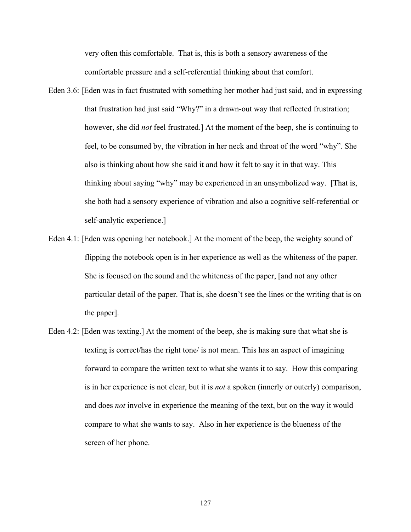very often this comfortable. That is, this is both a sensory awareness of the comfortable pressure and a self-referential thinking about that comfort.

- Eden 3.6: [Eden was in fact frustrated with something her mother had just said, and in expressing that frustration had just said "Why?" in a drawn-out way that reflected frustration; however, she did *not* feel frustrated.] At the moment of the beep, she is continuing to feel, to be consumed by, the vibration in her neck and throat of the word "why". She also is thinking about how she said it and how it felt to say it in that way. This thinking about saying "why" may be experienced in an unsymbolized way. [That is, she both had a sensory experience of vibration and also a cognitive self-referential or self-analytic experience.]
- Eden 4.1: [Eden was opening her notebook.] At the moment of the beep, the weighty sound of flipping the notebook open is in her experience as well as the whiteness of the paper. She is focused on the sound and the whiteness of the paper, [and not any other particular detail of the paper. That is, she doesn't see the lines or the writing that is on the paper].
- Eden 4.2: [Eden was texting.] At the moment of the beep, she is making sure that what she is texting is correct/has the right tone/ is not mean. This has an aspect of imagining forward to compare the written text to what she wants it to say. How this comparing is in her experience is not clear, but it is *not* a spoken (innerly or outerly) comparison, and does *not* involve in experience the meaning of the text, but on the way it would compare to what she wants to say. Also in her experience is the blueness of the screen of her phone.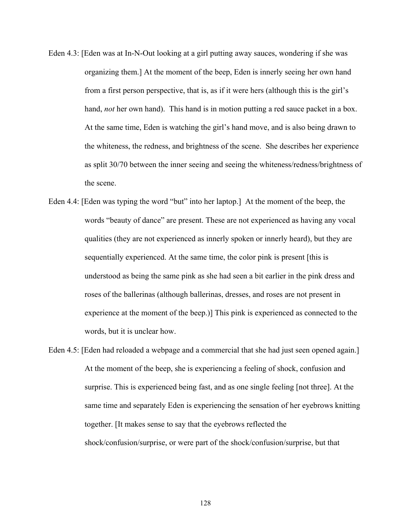- Eden 4.3: [Eden was at In-N-Out looking at a girl putting away sauces, wondering if she was organizing them.] At the moment of the beep, Eden is innerly seeing her own hand from a first person perspective, that is, as if it were hers (although this is the girl's hand, *not* her own hand). This hand is in motion putting a red sauce packet in a box. At the same time, Eden is watching the girl's hand move, and is also being drawn to the whiteness, the redness, and brightness of the scene. She describes her experience as split 30/70 between the inner seeing and seeing the whiteness/redness/brightness of the scene.
- Eden 4.4: [Eden was typing the word "but" into her laptop.] At the moment of the beep, the words "beauty of dance" are present. These are not experienced as having any vocal qualities (they are not experienced as innerly spoken or innerly heard), but they are sequentially experienced. At the same time, the color pink is present [this is understood as being the same pink as she had seen a bit earlier in the pink dress and roses of the ballerinas (although ballerinas, dresses, and roses are not present in experience at the moment of the beep.)] This pink is experienced as connected to the words, but it is unclear how.
- Eden 4.5: [Eden had reloaded a webpage and a commercial that she had just seen opened again.] At the moment of the beep, she is experiencing a feeling of shock, confusion and surprise. This is experienced being fast, and as one single feeling [not three]. At the same time and separately Eden is experiencing the sensation of her eyebrows knitting together. [It makes sense to say that the eyebrows reflected the shock/confusion/surprise, or were part of the shock/confusion/surprise, but that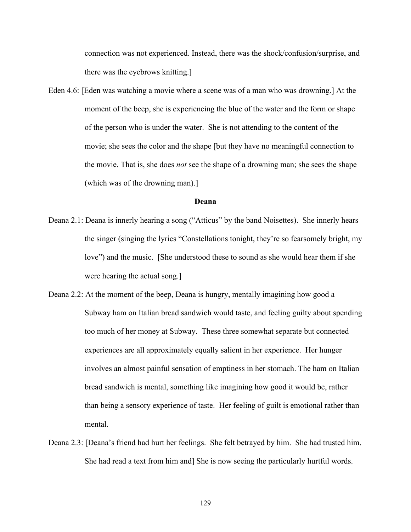connection was not experienced. Instead, there was the shock/confusion/surprise, and there was the eyebrows knitting.]

Eden 4.6: [Eden was watching a movie where a scene was of a man who was drowning.] At the moment of the beep, she is experiencing the blue of the water and the form or shape of the person who is under the water. She is not attending to the content of the movie; she sees the color and the shape [but they have no meaningful connection to the movie. That is, she does *not* see the shape of a drowning man; she sees the shape (which was of the drowning man).]

## **Deana**

- Deana 2.1: Deana is innerly hearing a song ("Atticus" by the band Noisettes). She innerly hears the singer (singing the lyrics "Constellations tonight, they're so fearsomely bright, my love") and the music. [She understood these to sound as she would hear them if she were hearing the actual song.]
- Deana 2.2: At the moment of the beep, Deana is hungry, mentally imagining how good a Subway ham on Italian bread sandwich would taste, and feeling guilty about spending too much of her money at Subway. These three somewhat separate but connected experiences are all approximately equally salient in her experience. Her hunger involves an almost painful sensation of emptiness in her stomach. The ham on Italian bread sandwich is mental, something like imagining how good it would be, rather than being a sensory experience of taste. Her feeling of guilt is emotional rather than mental.
- Deana 2.3: [Deana's friend had hurt her feelings. She felt betrayed by him. She had trusted him. She had read a text from him and] She is now seeing the particularly hurtful words.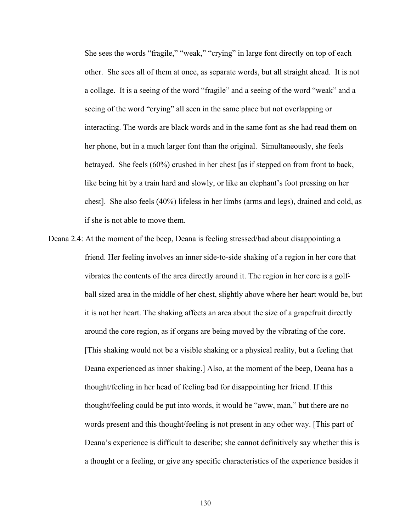She sees the words "fragile," "weak," "crying" in large font directly on top of each other. She sees all of them at once, as separate words, but all straight ahead. It is not a collage. It is a seeing of the word "fragile" and a seeing of the word "weak" and a seeing of the word "crying" all seen in the same place but not overlapping or interacting. The words are black words and in the same font as she had read them on her phone, but in a much larger font than the original. Simultaneously, she feels betrayed. She feels (60%) crushed in her chest [as if stepped on from front to back, like being hit by a train hard and slowly, or like an elephant's foot pressing on her chest]. She also feels (40%) lifeless in her limbs (arms and legs), drained and cold, as if she is not able to move them.

Deana 2.4: At the moment of the beep, Deana is feeling stressed/bad about disappointing a friend. Her feeling involves an inner side-to-side shaking of a region in her core that vibrates the contents of the area directly around it. The region in her core is a golfball sized area in the middle of her chest, slightly above where her heart would be, but it is not her heart. The shaking affects an area about the size of a grapefruit directly around the core region, as if organs are being moved by the vibrating of the core. [This shaking would not be a visible shaking or a physical reality, but a feeling that Deana experienced as inner shaking.] Also, at the moment of the beep, Deana has a thought/feeling in her head of feeling bad for disappointing her friend. If this thought/feeling could be put into words, it would be "aww, man," but there are no words present and this thought/feeling is not present in any other way. [This part of Deana's experience is difficult to describe; she cannot definitively say whether this is a thought or a feeling, or give any specific characteristics of the experience besides it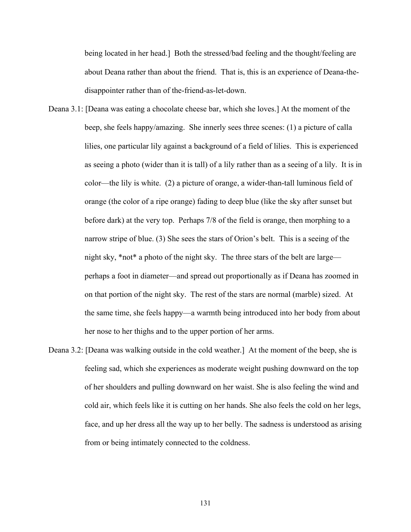being located in her head.] Both the stressed/bad feeling and the thought/feeling are about Deana rather than about the friend. That is, this is an experience of Deana-thedisappointer rather than of the-friend-as-let-down.

- Deana 3.1: [Deana was eating a chocolate cheese bar, which she loves.] At the moment of the beep, she feels happy/amazing. She innerly sees three scenes: (1) a picture of calla lilies, one particular lily against a background of a field of lilies. This is experienced as seeing a photo (wider than it is tall) of a lily rather than as a seeing of a lily. It is in color—the lily is white. (2) a picture of orange, a wider-than-tall luminous field of orange (the color of a ripe orange) fading to deep blue (like the sky after sunset but before dark) at the very top. Perhaps 7/8 of the field is orange, then morphing to a narrow stripe of blue. (3) She sees the stars of Orion's belt. This is a seeing of the night sky, \*not\* a photo of the night sky. The three stars of the belt are large perhaps a foot in diameter—and spread out proportionally as if Deana has zoomed in on that portion of the night sky. The rest of the stars are normal (marble) sized. At the same time, she feels happy—a warmth being introduced into her body from about her nose to her thighs and to the upper portion of her arms.
- Deana 3.2: [Deana was walking outside in the cold weather.] At the moment of the beep, she is feeling sad, which she experiences as moderate weight pushing downward on the top of her shoulders and pulling downward on her waist. She is also feeling the wind and cold air, which feels like it is cutting on her hands. She also feels the cold on her legs, face, and up her dress all the way up to her belly. The sadness is understood as arising from or being intimately connected to the coldness.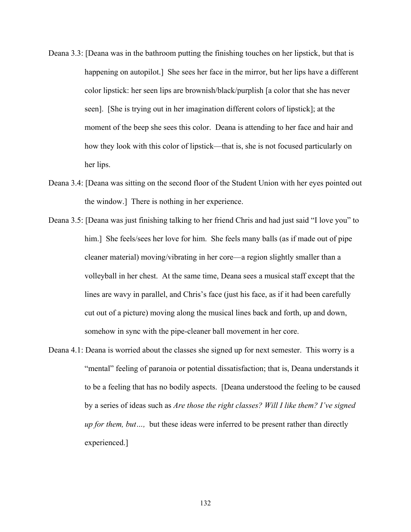- Deana 3.3: [Deana was in the bathroom putting the finishing touches on her lipstick, but that is happening on autopilot.] She sees her face in the mirror, but her lips have a different color lipstick: her seen lips are brownish/black/purplish [a color that she has never seen]. [She is trying out in her imagination different colors of lipstick]; at the moment of the beep she sees this color. Deana is attending to her face and hair and how they look with this color of lipstick—that is, she is not focused particularly on her lips.
- Deana 3.4: [Deana was sitting on the second floor of the Student Union with her eyes pointed out the window.] There is nothing in her experience.
- Deana 3.5: [Deana was just finishing talking to her friend Chris and had just said "I love you" to him.] She feels/sees her love for him. She feels many balls (as if made out of pipe cleaner material) moving/vibrating in her core—a region slightly smaller than a volleyball in her chest. At the same time, Deana sees a musical staff except that the lines are wavy in parallel, and Chris's face (just his face, as if it had been carefully cut out of a picture) moving along the musical lines back and forth, up and down, somehow in sync with the pipe-cleaner ball movement in her core.
- Deana 4.1: Deana is worried about the classes she signed up for next semester. This worry is a "mental" feeling of paranoia or potential dissatisfaction; that is, Deana understands it to be a feeling that has no bodily aspects. [Deana understood the feeling to be caused by a series of ideas such as *Are those the right classes? Will I like them? I've signed up for them, but…,* but these ideas were inferred to be present rather than directly experienced.]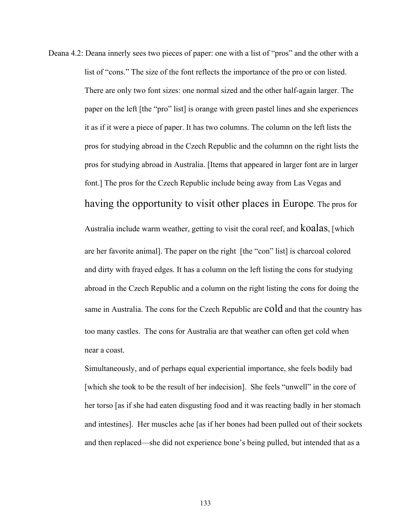Deana 4.2: Deana innerly sees two pieces of paper: one with a list of "pros" and the other with a list of "cons." The size of the font reflects the importance of the pro or con listed. There are only two font sizes: one normal sized and the other half-again larger. The paper on the left [the "pro" list] is orange with green pastel lines and she experiences it as if it were a piece of paper. It has two columns. The column on the left lists the pros for studying abroad in the Czech Republic and the columnn on the right lists the pros for studying abroad in Australia. [Items that appeared in larger font are in larger font.] The pros for the Czech Republic include being away from Las Vegas and having the opportunity to visit other places in Europe. The pros for Australia include warm weather, getting to visit the coral reef, and koalas, [which are her favorite animal]. The paper on the right [the "con" list] is charcoal colored and dirty with frayed edges. It has a column on the left listing the cons for studying abroad in the Czech Republic and a column on the right listing the cons for doing the same in Australia. The cons for the Czech Republic are cold and that the country has too many castles. The cons for Australia are that weather can often get cold when near a coast.

> Simultaneously, and of perhaps equal experiential importance, she feels bodily bad [which she took to be the result of her indecision]. She feels "unwell" in the core of her torso [as if she had eaten disgusting food and it was reacting badly in her stomach and intestines]. Her muscles ache [as if her bones had been pulled out of their sockets and then replaced—she did not experience bone's being pulled, but intended that as a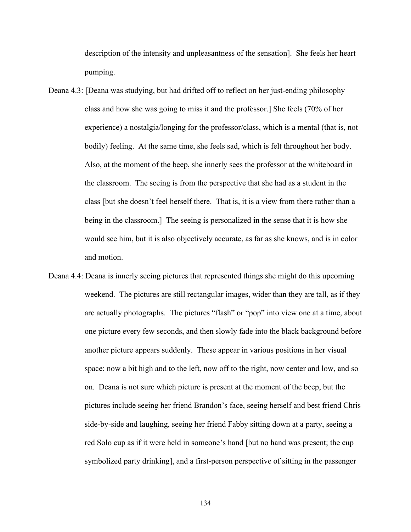description of the intensity and unpleasantness of the sensation]. She feels her heart pumping.

- Deana 4.3: [Deana was studying, but had drifted off to reflect on her just-ending philosophy class and how she was going to miss it and the professor.] She feels (70% of her experience) a nostalgia/longing for the professor/class, which is a mental (that is, not bodily) feeling. At the same time, she feels sad, which is felt throughout her body. Also, at the moment of the beep, she innerly sees the professor at the whiteboard in the classroom. The seeing is from the perspective that she had as a student in the class [but she doesn't feel herself there. That is, it is a view from there rather than a being in the classroom.] The seeing is personalized in the sense that it is how she would see him, but it is also objectively accurate, as far as she knows, and is in color and motion.
- Deana 4.4: Deana is innerly seeing pictures that represented things she might do this upcoming weekend. The pictures are still rectangular images, wider than they are tall, as if they are actually photographs. The pictures "flash" or "pop" into view one at a time, about one picture every few seconds, and then slowly fade into the black background before another picture appears suddenly. These appear in various positions in her visual space: now a bit high and to the left, now off to the right, now center and low, and so on. Deana is not sure which picture is present at the moment of the beep, but the pictures include seeing her friend Brandon's face, seeing herself and best friend Chris side-by-side and laughing, seeing her friend Fabby sitting down at a party, seeing a red Solo cup as if it were held in someone's hand [but no hand was present; the cup symbolized party drinking], and a first-person perspective of sitting in the passenger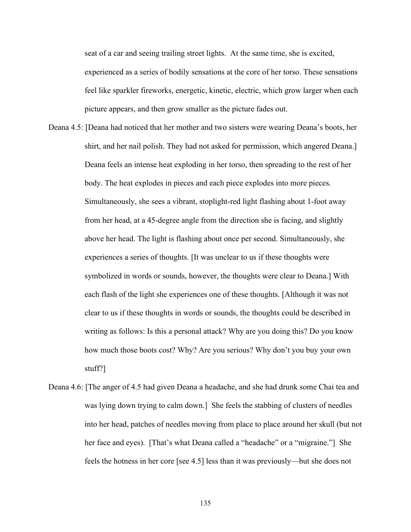seat of a car and seeing trailing street lights. At the same time, she is excited, experienced as a series of bodily sensations at the core of her torso. These sensations feel like sparkler fireworks, energetic, kinetic, electric, which grow larger when each picture appears, and then grow smaller as the picture fades out.

- Deana 4.5: [Deana had noticed that her mother and two sisters were wearing Deana's boots, her shirt, and her nail polish. They had not asked for permission, which angered Deana.] Deana feels an intense heat exploding in her torso, then spreading to the rest of her body. The heat explodes in pieces and each piece explodes into more pieces. Simultaneously, she sees a vibrant, stoplight-red light flashing about 1-foot away from her head, at a 45-degree angle from the direction she is facing, and slightly above her head. The light is flashing about once per second. Simultaneously, she experiences a series of thoughts. [It was unclear to us if these thoughts were symbolized in words or sounds, however, the thoughts were clear to Deana.] With each flash of the light she experiences one of these thoughts. [Although it was not clear to us if these thoughts in words or sounds, the thoughts could be described in writing as follows: Is this a personal attack? Why are you doing this? Do you know how much those boots cost? Why? Are you serious? Why don't you buy your own stuff?]
- Deana 4.6: [The anger of 4.5 had given Deana a headache, and she had drunk some Chai tea and was lying down trying to calm down.] She feels the stabbing of clusters of needles into her head, patches of needles moving from place to place around her skull (but not her face and eyes). [That's what Deana called a "headache" or a "migraine."] She feels the hotness in her core [see 4.5] less than it was previously—but she does not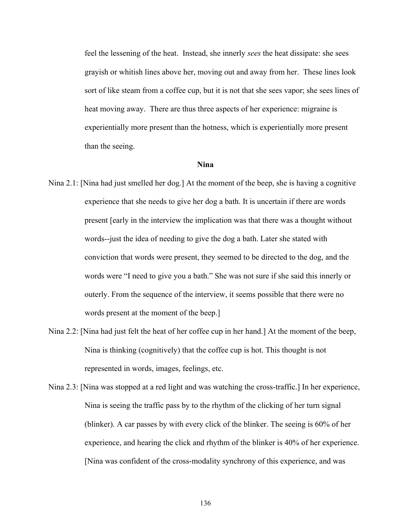feel the lessening of the heat. Instead, she innerly *sees* the heat dissipate: she sees grayish or whitish lines above her, moving out and away from her. These lines look sort of like steam from a coffee cup, but it is not that she sees vapor; she sees lines of heat moving away. There are thus three aspects of her experience: migraine is experientially more present than the hotness, which is experientially more present than the seeing.

#### **Nina**

- Nina 2.1: [Nina had just smelled her dog.] At the moment of the beep, she is having a cognitive experience that she needs to give her dog a bath. It is uncertain if there are words present [early in the interview the implication was that there was a thought without words--just the idea of needing to give the dog a bath. Later she stated with conviction that words were present, they seemed to be directed to the dog, and the words were "I need to give you a bath." She was not sure if she said this innerly or outerly. From the sequence of the interview, it seems possible that there were no words present at the moment of the beep.]
- Nina 2.2: [Nina had just felt the heat of her coffee cup in her hand.] At the moment of the beep, Nina is thinking (cognitively) that the coffee cup is hot. This thought is not represented in words, images, feelings, etc.
- Nina 2.3: [Nina was stopped at a red light and was watching the cross-traffic.] In her experience, Nina is seeing the traffic pass by to the rhythm of the clicking of her turn signal (blinker). A car passes by with every click of the blinker. The seeing is 60% of her experience, and hearing the click and rhythm of the blinker is 40% of her experience. [Nina was confident of the cross-modality synchrony of this experience, and was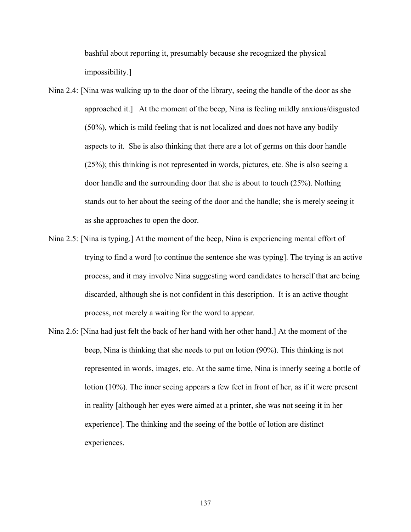bashful about reporting it, presumably because she recognized the physical impossibility.]

- Nina 2.4: [Nina was walking up to the door of the library, seeing the handle of the door as she approached it.] At the moment of the beep, Nina is feeling mildly anxious/disgusted (50%), which is mild feeling that is not localized and does not have any bodily aspects to it. She is also thinking that there are a lot of germs on this door handle (25%); this thinking is not represented in words, pictures, etc. She is also seeing a door handle and the surrounding door that she is about to touch (25%). Nothing stands out to her about the seeing of the door and the handle; she is merely seeing it as she approaches to open the door.
- Nina 2.5: [Nina is typing.] At the moment of the beep, Nina is experiencing mental effort of trying to find a word [to continue the sentence she was typing]. The trying is an active process, and it may involve Nina suggesting word candidates to herself that are being discarded, although she is not confident in this description. It is an active thought process, not merely a waiting for the word to appear.
- Nina 2.6: [Nina had just felt the back of her hand with her other hand.] At the moment of the beep, Nina is thinking that she needs to put on lotion (90%). This thinking is not represented in words, images, etc. At the same time, Nina is innerly seeing a bottle of lotion (10%). The inner seeing appears a few feet in front of her, as if it were present in reality [although her eyes were aimed at a printer, she was not seeing it in her experience]. The thinking and the seeing of the bottle of lotion are distinct experiences.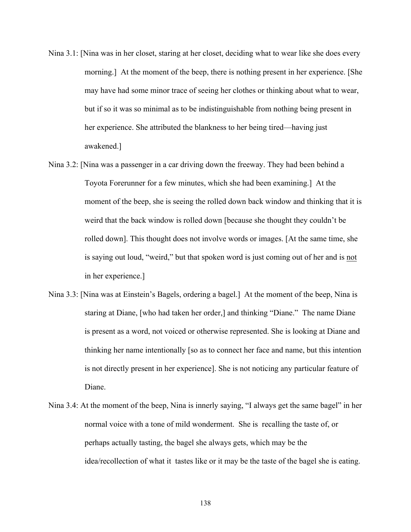- Nina 3.1: [Nina was in her closet, staring at her closet, deciding what to wear like she does every morning.] At the moment of the beep, there is nothing present in her experience. [She may have had some minor trace of seeing her clothes or thinking about what to wear, but if so it was so minimal as to be indistinguishable from nothing being present in her experience. She attributed the blankness to her being tired—having just awakened.]
- Nina 3.2: [Nina was a passenger in a car driving down the freeway. They had been behind a Toyota Forerunner for a few minutes, which she had been examining.] At the moment of the beep, she is seeing the rolled down back window and thinking that it is weird that the back window is rolled down [because she thought they couldn't be rolled down]. This thought does not involve words or images. [At the same time, she is saying out loud, "weird," but that spoken word is just coming out of her and is not in her experience.]
- Nina 3.3: [Nina was at Einstein's Bagels, ordering a bagel.] At the moment of the beep, Nina is staring at Diane, [who had taken her order,] and thinking "Diane." The name Diane is present as a word, not voiced or otherwise represented. She is looking at Diane and thinking her name intentionally [so as to connect her face and name, but this intention is not directly present in her experience]. She is not noticing any particular feature of Diane.
- Nina 3.4: At the moment of the beep, Nina is innerly saying, "I always get the same bagel" in her normal voice with a tone of mild wonderment. She is recalling the taste of, or perhaps actually tasting, the bagel she always gets, which may be the idea/recollection of what it tastes like or it may be the taste of the bagel she is eating.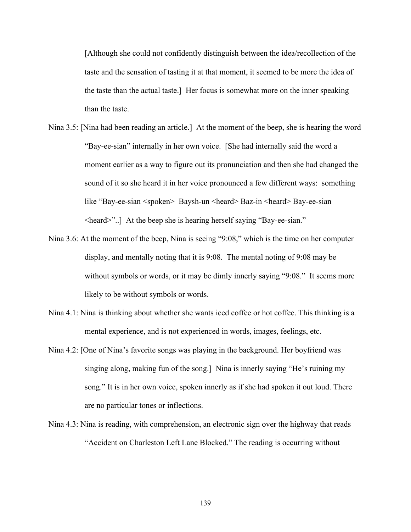[Although she could not confidently distinguish between the idea/recollection of the taste and the sensation of tasting it at that moment, it seemed to be more the idea of the taste than the actual taste.] Her focus is somewhat more on the inner speaking than the taste.

- Nina 3.5: [Nina had been reading an article.] At the moment of the beep, she is hearing the word "Bay-ee-sian" internally in her own voice. [She had internally said the word a moment earlier as a way to figure out its pronunciation and then she had changed the sound of it so she heard it in her voice pronounced a few different ways: something like "Bay-ee-sian <spoken> Baysh-un <heard> Baz-in <heard> Bay-ee-sian <heard>"..] At the beep she is hearing herself saying "Bay-ee-sian."
- Nina 3.6: At the moment of the beep, Nina is seeing "9:08," which is the time on her computer display, and mentally noting that it is 9:08. The mental noting of 9:08 may be without symbols or words, or it may be dimly innerly saying "9:08." It seems more likely to be without symbols or words.
- Nina 4.1: Nina is thinking about whether she wants iced coffee or hot coffee. This thinking is a mental experience, and is not experienced in words, images, feelings, etc.
- Nina 4.2: [One of Nina's favorite songs was playing in the background. Her boyfriend was singing along, making fun of the song.] Nina is innerly saying "He's ruining my song." It is in her own voice, spoken innerly as if she had spoken it out loud. There are no particular tones or inflections.
- Nina 4.3: Nina is reading, with comprehension, an electronic sign over the highway that reads "Accident on Charleston Left Lane Blocked." The reading is occurring without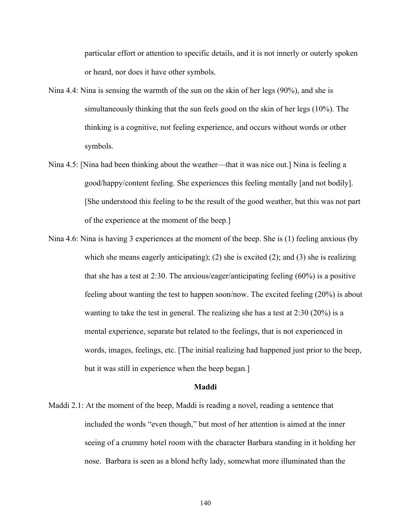particular effort or attention to specific details, and it is not innerly or outerly spoken or heard, nor does it have other symbols.

- Nina 4.4: Nina is sensing the warmth of the sun on the skin of her legs (90%), and she is simultaneously thinking that the sun feels good on the skin of her legs (10%). The thinking is a cognitive, not feeling experience, and occurs without words or other symbols.
- Nina 4.5: [Nina had been thinking about the weather—that it was nice out.] Nina is feeling a good/happy/content feeling. She experiences this feeling mentally [and not bodily]. [She understood this feeling to be the result of the good weather, but this was not part of the experience at the moment of the beep.]
- Nina 4.6: Nina is having 3 experiences at the moment of the beep. She is (1) feeling anxious (by which she means eagerly anticipating); (2) she is excited (2); and (3) she is realizing that she has a test at 2:30. The anxious/eager/anticipating feeling (60%) is a positive feeling about wanting the test to happen soon/now. The excited feeling (20%) is about wanting to take the test in general. The realizing she has a test at 2:30 (20%) is a mental experience, separate but related to the feelings, that is not experienced in words, images, feelings, etc. [The initial realizing had happened just prior to the beep, but it was still in experience when the beep began.]

#### **Maddi**

Maddi 2.1: At the moment of the beep, Maddi is reading a novel, reading a sentence that included the words "even though," but most of her attention is aimed at the inner seeing of a crummy hotel room with the character Barbara standing in it holding her nose. Barbara is seen as a blond hefty lady, somewhat more illuminated than the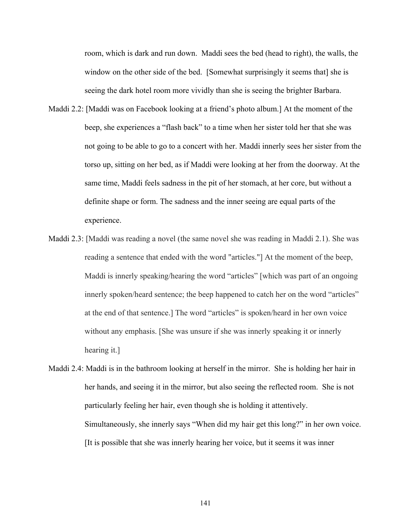room, which is dark and run down. Maddi sees the bed (head to right), the walls, the window on the other side of the bed. [Somewhat surprisingly it seems that] she is seeing the dark hotel room more vividly than she is seeing the brighter Barbara.

- Maddi 2.2: [Maddi was on Facebook looking at a friend's photo album.] At the moment of the beep, she experiences a "flash back" to a time when her sister told her that she was not going to be able to go to a concert with her. Maddi innerly sees her sister from the torso up, sitting on her bed, as if Maddi were looking at her from the doorway. At the same time, Maddi feels sadness in the pit of her stomach, at her core, but without a definite shape or form. The sadness and the inner seeing are equal parts of the experience.
- Maddi 2.3: [Maddi was reading a novel (the same novel she was reading in Maddi 2.1). She was reading a sentence that ended with the word "articles."] At the moment of the beep, Maddi is innerly speaking/hearing the word "articles" [which was part of an ongoing innerly spoken/heard sentence; the beep happened to catch her on the word "articles" at the end of that sentence.] The word "articles" is spoken/heard in her own voice without any emphasis. [She was unsure if she was innerly speaking it or innerly hearing it.]
- Maddi 2.4: Maddi is in the bathroom looking at herself in the mirror. She is holding her hair in her hands, and seeing it in the mirror, but also seeing the reflected room. She is not particularly feeling her hair, even though she is holding it attentively. Simultaneously, she innerly says "When did my hair get this long?" in her own voice. [It is possible that she was innerly hearing her voice, but it seems it was inner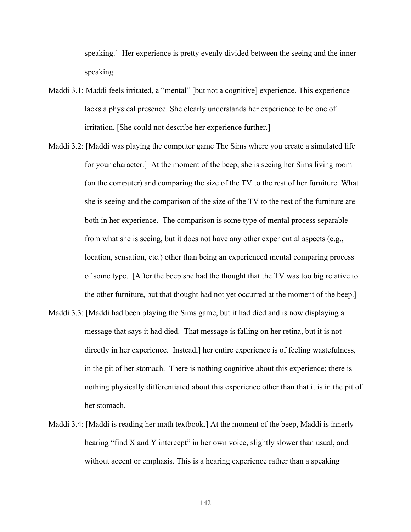speaking.] Her experience is pretty evenly divided between the seeing and the inner speaking.

- Maddi 3.1: Maddi feels irritated, a "mental" [but not a cognitive] experience. This experience lacks a physical presence. She clearly understands her experience to be one of irritation. [She could not describe her experience further.]
- Maddi 3.2: [Maddi was playing the computer game The Sims where you create a simulated life for your character.] At the moment of the beep, she is seeing her Sims living room (on the computer) and comparing the size of the TV to the rest of her furniture. What she is seeing and the comparison of the size of the TV to the rest of the furniture are both in her experience. The comparison is some type of mental process separable from what she is seeing, but it does not have any other experiential aspects (e.g., location, sensation, etc.) other than being an experienced mental comparing process of some type. [After the beep she had the thought that the TV was too big relative to the other furniture, but that thought had not yet occurred at the moment of the beep.]
- Maddi 3.3: [Maddi had been playing the Sims game, but it had died and is now displaying a message that says it had died. That message is falling on her retina, but it is not directly in her experience. Instead, her entire experience is of feeling wastefulness, in the pit of her stomach. There is nothing cognitive about this experience; there is nothing physically differentiated about this experience other than that it is in the pit of her stomach.
- Maddi 3.4: [Maddi is reading her math textbook.] At the moment of the beep, Maddi is innerly hearing "find X and Y intercept" in her own voice, slightly slower than usual, and without accent or emphasis. This is a hearing experience rather than a speaking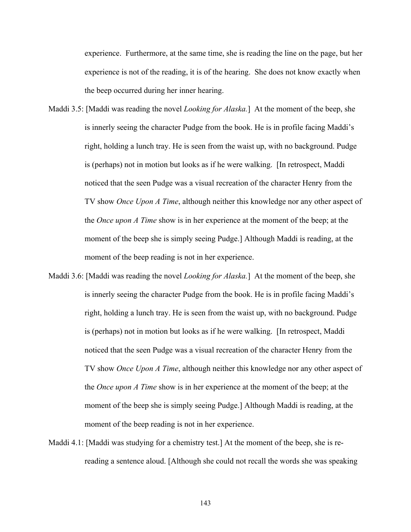experience. Furthermore, at the same time, she is reading the line on the page, but her experience is not of the reading, it is of the hearing. She does not know exactly when the beep occurred during her inner hearing.

- Maddi 3.5: [Maddi was reading the novel *Looking for Alaska.*] At the moment of the beep, she is innerly seeing the character Pudge from the book. He is in profile facing Maddi's right, holding a lunch tray. He is seen from the waist up, with no background. Pudge is (perhaps) not in motion but looks as if he were walking. [In retrospect, Maddi noticed that the seen Pudge was a visual recreation of the character Henry from the TV show *Once Upon A Time*, although neither this knowledge nor any other aspect of the *Once upon A Time* show is in her experience at the moment of the beep; at the moment of the beep she is simply seeing Pudge.] Although Maddi is reading, at the moment of the beep reading is not in her experience.
- Maddi 3.6: [Maddi was reading the novel *Looking for Alaska.*] At the moment of the beep, she is innerly seeing the character Pudge from the book. He is in profile facing Maddi's right, holding a lunch tray. He is seen from the waist up, with no background. Pudge is (perhaps) not in motion but looks as if he were walking. [In retrospect, Maddi noticed that the seen Pudge was a visual recreation of the character Henry from the TV show *Once Upon A Time*, although neither this knowledge nor any other aspect of the *Once upon A Time* show is in her experience at the moment of the beep; at the moment of the beep she is simply seeing Pudge.] Although Maddi is reading, at the moment of the beep reading is not in her experience.
- Maddi 4.1: [Maddi was studying for a chemistry test.] At the moment of the beep, she is rereading a sentence aloud. [Although she could not recall the words she was speaking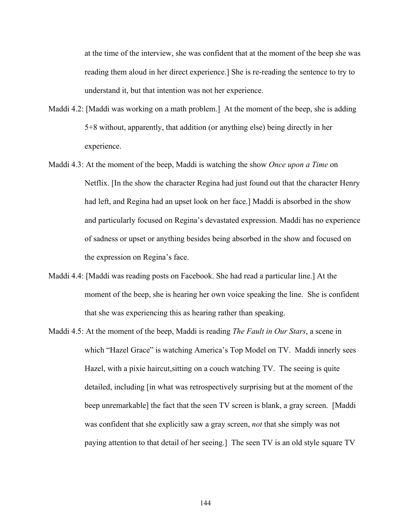at the time of the interview, she was confident that at the moment of the beep she was reading them aloud in her direct experience.] She is re-reading the sentence to try to understand it, but that intention was not her experience.

- Maddi 4.2: [Maddi was working on a math problem.] At the moment of the beep, she is adding 5+8 without, apparently, that addition (or anything else) being directly in her experience.
- Maddi 4.3: At the moment of the beep, Maddi is watching the show *Once upon a Time* on Netflix. [In the show the character Regina had just found out that the character Henry had left, and Regina had an upset look on her face.] Maddi is absorbed in the show and particularly focused on Regina's devastated expression. Maddi has no experience of sadness or upset or anything besides being absorbed in the show and focused on the expression on Regina's face.
- Maddi 4.4: [Maddi was reading posts on Facebook. She had read a particular line.] At the moment of the beep, she is hearing her own voice speaking the line. She is confident that she was experiencing this as hearing rather than speaking.
- Maddi 4.5: At the moment of the beep, Maddi is reading *The Fault in Our Stars*, a scene in which "Hazel Grace" is watching America's Top Model on TV. Maddi innerly sees Hazel, with a pixie haircut,sitting on a couch watching TV. The seeing is quite detailed, including [in what was retrospectively surprising but at the moment of the beep unremarkable] the fact that the seen TV screen is blank, a gray screen. [Maddi was confident that she explicitly saw a gray screen, *not* that she simply was not paying attention to that detail of her seeing.] The seen TV is an old style square TV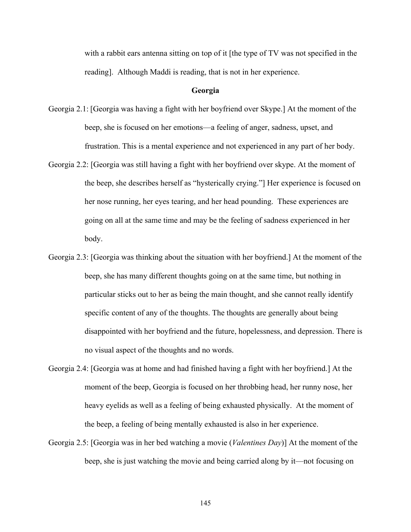with a rabbit ears antenna sitting on top of it [the type of TV was not specified in the reading]. Although Maddi is reading, that is not in her experience.

## **Georgia**

- Georgia 2.1: [Georgia was having a fight with her boyfriend over Skype.] At the moment of the beep, she is focused on her emotions—a feeling of anger, sadness, upset, and frustration. This is a mental experience and not experienced in any part of her body.
- Georgia 2.2: [Georgia was still having a fight with her boyfriend over skype. At the moment of the beep, she describes herself as "hysterically crying."] Her experience is focused on her nose running, her eyes tearing, and her head pounding. These experiences are going on all at the same time and may be the feeling of sadness experienced in her body.
- Georgia 2.3: [Georgia was thinking about the situation with her boyfriend.] At the moment of the beep, she has many different thoughts going on at the same time, but nothing in particular sticks out to her as being the main thought, and she cannot really identify specific content of any of the thoughts. The thoughts are generally about being disappointed with her boyfriend and the future, hopelessness, and depression. There is no visual aspect of the thoughts and no words.
- Georgia 2.4: [Georgia was at home and had finished having a fight with her boyfriend.] At the moment of the beep, Georgia is focused on her throbbing head, her runny nose, her heavy eyelids as well as a feeling of being exhausted physically. At the moment of the beep, a feeling of being mentally exhausted is also in her experience.
- Georgia 2.5: [Georgia was in her bed watching a movie (*Valentines Day*)] At the moment of the beep, she is just watching the movie and being carried along by it—not focusing on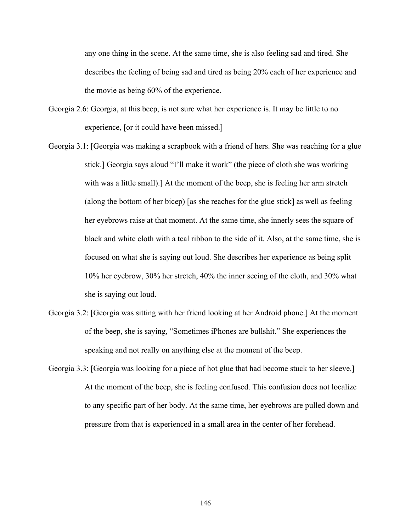any one thing in the scene. At the same time, she is also feeling sad and tired. She describes the feeling of being sad and tired as being 20% each of her experience and the movie as being 60% of the experience.

- Georgia 2.6: Georgia, at this beep, is not sure what her experience is. It may be little to no experience, [or it could have been missed.]
- Georgia 3.1: [Georgia was making a scrapbook with a friend of hers. She was reaching for a glue stick.] Georgia says aloud "I'll make it work" (the piece of cloth she was working with was a little small).] At the moment of the beep, she is feeling her arm stretch (along the bottom of her bicep) [as she reaches for the glue stick] as well as feeling her eyebrows raise at that moment. At the same time, she innerly sees the square of black and white cloth with a teal ribbon to the side of it. Also, at the same time, she is focused on what she is saying out loud. She describes her experience as being split 10% her eyebrow, 30% her stretch, 40% the inner seeing of the cloth, and 30% what she is saying out loud.
- Georgia 3.2: [Georgia was sitting with her friend looking at her Android phone.] At the moment of the beep, she is saying, "Sometimes iPhones are bullshit." She experiences the speaking and not really on anything else at the moment of the beep.
- Georgia 3.3: [Georgia was looking for a piece of hot glue that had become stuck to her sleeve.] At the moment of the beep, she is feeling confused. This confusion does not localize to any specific part of her body. At the same time, her eyebrows are pulled down and pressure from that is experienced in a small area in the center of her forehead.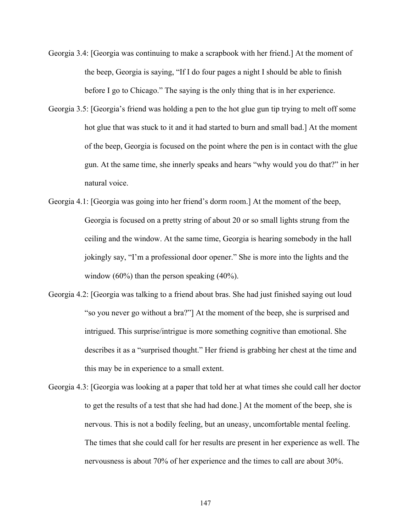- Georgia 3.4: [Georgia was continuing to make a scrapbook with her friend.] At the moment of the beep, Georgia is saying, "If I do four pages a night I should be able to finish before I go to Chicago." The saying is the only thing that is in her experience.
- Georgia 3.5: [Georgia's friend was holding a pen to the hot glue gun tip trying to melt off some hot glue that was stuck to it and it had started to burn and small bad.] At the moment of the beep, Georgia is focused on the point where the pen is in contact with the glue gun. At the same time, she innerly speaks and hears "why would you do that?" in her natural voice.
- Georgia 4.1: [Georgia was going into her friend's dorm room.] At the moment of the beep, Georgia is focused on a pretty string of about 20 or so small lights strung from the ceiling and the window. At the same time, Georgia is hearing somebody in the hall jokingly say, "I'm a professional door opener." She is more into the lights and the window  $(60\%)$  than the person speaking  $(40\%)$ .
- Georgia 4.2: [Georgia was talking to a friend about bras. She had just finished saying out loud "so you never go without a bra?"] At the moment of the beep, she is surprised and intrigued. This surprise/intrigue is more something cognitive than emotional. She describes it as a "surprised thought." Her friend is grabbing her chest at the time and this may be in experience to a small extent.
- Georgia 4.3: [Georgia was looking at a paper that told her at what times she could call her doctor to get the results of a test that she had had done.] At the moment of the beep, she is nervous. This is not a bodily feeling, but an uneasy, uncomfortable mental feeling. The times that she could call for her results are present in her experience as well. The nervousness is about 70% of her experience and the times to call are about 30%.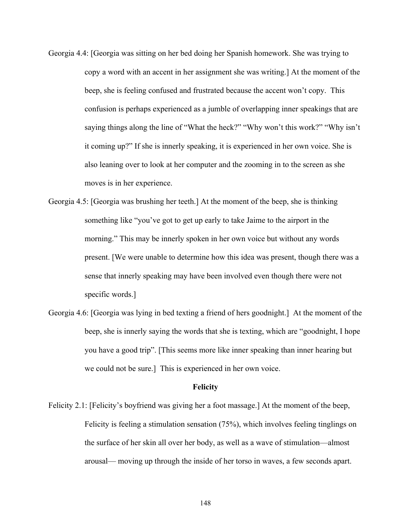- Georgia 4.4: [Georgia was sitting on her bed doing her Spanish homework. She was trying to copy a word with an accent in her assignment she was writing.] At the moment of the beep, she is feeling confused and frustrated because the accent won't copy. This confusion is perhaps experienced as a jumble of overlapping inner speakings that are saying things along the line of "What the heck?" "Why won't this work?" "Why isn't it coming up?" If she is innerly speaking, it is experienced in her own voice. She is also leaning over to look at her computer and the zooming in to the screen as she moves is in her experience.
- Georgia 4.5: [Georgia was brushing her teeth.] At the moment of the beep, she is thinking something like "you've got to get up early to take Jaime to the airport in the morning." This may be innerly spoken in her own voice but without any words present. [We were unable to determine how this idea was present, though there was a sense that innerly speaking may have been involved even though there were not specific words.]
- Georgia 4.6: [Georgia was lying in bed texting a friend of hers goodnight.] At the moment of the beep, she is innerly saying the words that she is texting, which are "goodnight, I hope you have a good trip". [This seems more like inner speaking than inner hearing but we could not be sure.] This is experienced in her own voice.

#### **Felicity**

Felicity 2.1: [Felicity's boyfriend was giving her a foot massage.] At the moment of the beep, Felicity is feeling a stimulation sensation (75%), which involves feeling tinglings on the surface of her skin all over her body, as well as a wave of stimulation—almost arousal— moving up through the inside of her torso in waves, a few seconds apart.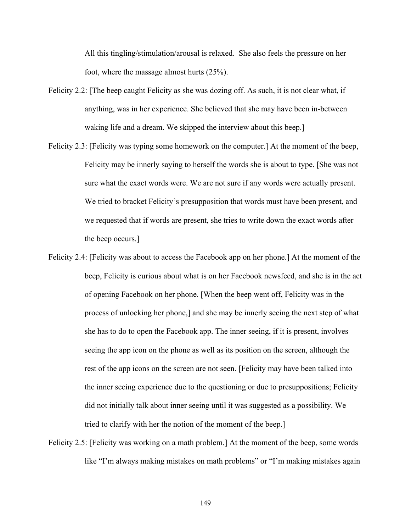All this tingling/stimulation/arousal is relaxed. She also feels the pressure on her foot, where the massage almost hurts (25%).

- Felicity 2.2: [The beep caught Felicity as she was dozing off. As such, it is not clear what, if anything, was in her experience. She believed that she may have been in-between waking life and a dream. We skipped the interview about this beep.]
- Felicity 2.3: [Felicity was typing some homework on the computer.] At the moment of the beep, Felicity may be innerly saying to herself the words she is about to type. [She was not sure what the exact words were. We are not sure if any words were actually present. We tried to bracket Felicity's presupposition that words must have been present, and we requested that if words are present, she tries to write down the exact words after the beep occurs.]
- Felicity 2.4: [Felicity was about to access the Facebook app on her phone.] At the moment of the beep, Felicity is curious about what is on her Facebook newsfeed, and she is in the act of opening Facebook on her phone. [When the beep went off, Felicity was in the process of unlocking her phone,] and she may be innerly seeing the next step of what she has to do to open the Facebook app. The inner seeing, if it is present, involves seeing the app icon on the phone as well as its position on the screen, although the rest of the app icons on the screen are not seen. [Felicity may have been talked into the inner seeing experience due to the questioning or due to presuppositions; Felicity did not initially talk about inner seeing until it was suggested as a possibility. We tried to clarify with her the notion of the moment of the beep.]
- Felicity 2.5: [Felicity was working on a math problem.] At the moment of the beep, some words like "I'm always making mistakes on math problems" or "I'm making mistakes again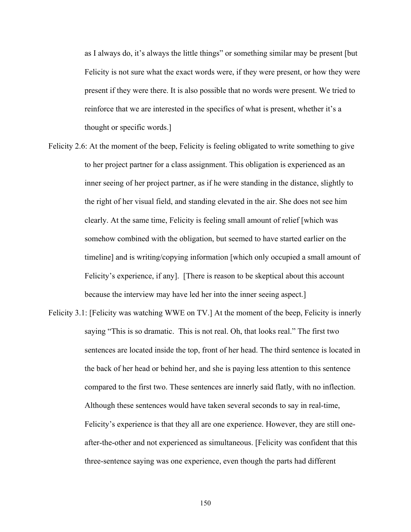as I always do, it's always the little things" or something similar may be present [but Felicity is not sure what the exact words were, if they were present, or how they were present if they were there. It is also possible that no words were present. We tried to reinforce that we are interested in the specifics of what is present, whether it's a thought or specific words.]

- Felicity 2.6: At the moment of the beep, Felicity is feeling obligated to write something to give to her project partner for a class assignment. This obligation is experienced as an inner seeing of her project partner, as if he were standing in the distance, slightly to the right of her visual field, and standing elevated in the air. She does not see him clearly. At the same time, Felicity is feeling small amount of relief [which was somehow combined with the obligation, but seemed to have started earlier on the timeline] and is writing/copying information [which only occupied a small amount of Felicity's experience, if any]. [There is reason to be skeptical about this account because the interview may have led her into the inner seeing aspect.]
- Felicity 3.1: [Felicity was watching WWE on TV.] At the moment of the beep, Felicity is innerly saying "This is so dramatic. This is not real. Oh, that looks real." The first two sentences are located inside the top, front of her head. The third sentence is located in the back of her head or behind her, and she is paying less attention to this sentence compared to the first two. These sentences are innerly said flatly, with no inflection. Although these sentences would have taken several seconds to say in real-time, Felicity's experience is that they all are one experience. However, they are still oneafter-the-other and not experienced as simultaneous. [Felicity was confident that this three-sentence saying was one experience, even though the parts had different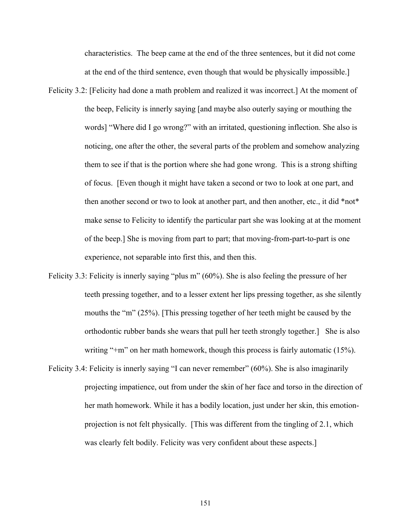characteristics. The beep came at the end of the three sentences, but it did not come at the end of the third sentence, even though that would be physically impossible.]

- Felicity 3.2: [Felicity had done a math problem and realized it was incorrect.] At the moment of the beep, Felicity is innerly saying [and maybe also outerly saying or mouthing the words] "Where did I go wrong?" with an irritated, questioning inflection. She also is noticing, one after the other, the several parts of the problem and somehow analyzing them to see if that is the portion where she had gone wrong. This is a strong shifting of focus. [Even though it might have taken a second or two to look at one part, and then another second or two to look at another part, and then another, etc., it did \*not\* make sense to Felicity to identify the particular part she was looking at at the moment of the beep.] She is moving from part to part; that moving-from-part-to-part is one experience, not separable into first this, and then this.
- Felicity 3.3: Felicity is innerly saying "plus m" (60%). She is also feeling the pressure of her teeth pressing together, and to a lesser extent her lips pressing together, as she silently mouths the "m" (25%). [This pressing together of her teeth might be caused by the orthodontic rubber bands she wears that pull her teeth strongly together.] She is also writing "+m" on her math homework, though this process is fairly automatic (15%).
- Felicity 3.4: Felicity is innerly saying "I can never remember" (60%). She is also imaginarily projecting impatience, out from under the skin of her face and torso in the direction of her math homework. While it has a bodily location, just under her skin, this emotionprojection is not felt physically. [This was different from the tingling of 2.1, which was clearly felt bodily. Felicity was very confident about these aspects.]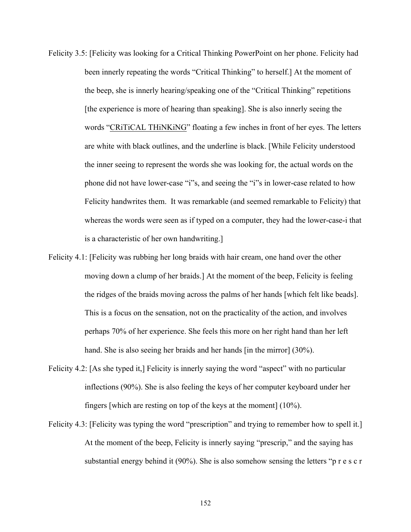- Felicity 3.5: [Felicity was looking for a Critical Thinking PowerPoint on her phone. Felicity had been innerly repeating the words "Critical Thinking" to herself.] At the moment of the beep, she is innerly hearing/speaking one of the "Critical Thinking" repetitions [the experience is more of hearing than speaking]. She is also innerly seeing the words "CRiTiCAL THiNKiNG" floating a few inches in front of her eyes. The letters are white with black outlines, and the underline is black. [While Felicity understood the inner seeing to represent the words she was looking for, the actual words on the phone did not have lower-case "i"s, and seeing the "i"s in lower-case related to how Felicity handwrites them. It was remarkable (and seemed remarkable to Felicity) that whereas the words were seen as if typed on a computer, they had the lower-case-i that is a characteristic of her own handwriting.]
- Felicity 4.1: [Felicity was rubbing her long braids with hair cream, one hand over the other moving down a clump of her braids.] At the moment of the beep, Felicity is feeling the ridges of the braids moving across the palms of her hands [which felt like beads]. This is a focus on the sensation, not on the practicality of the action, and involves perhaps 70% of her experience. She feels this more on her right hand than her left hand. She is also seeing her braids and her hands [in the mirror] (30%).
- Felicity 4.2: [As she typed it,] Felicity is innerly saying the word "aspect" with no particular inflections (90%). She is also feeling the keys of her computer keyboard under her fingers [which are resting on top of the keys at the moment] (10%).
- Felicity 4.3: [Felicity was typing the word "prescription" and trying to remember how to spell it.] At the moment of the beep, Felicity is innerly saying "prescrip," and the saying has substantial energy behind it (90%). She is also somehow sensing the letters "p r e s c r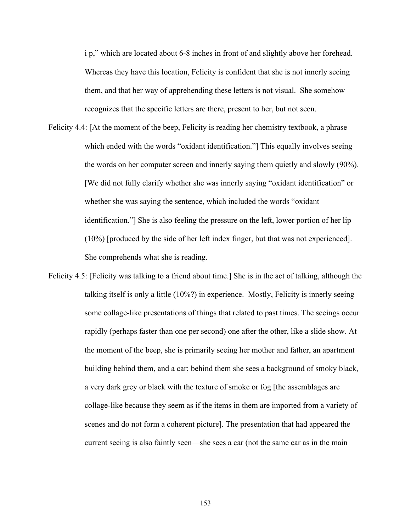i p," which are located about 6-8 inches in front of and slightly above her forehead. Whereas they have this location, Felicity is confident that she is not innerly seeing them, and that her way of apprehending these letters is not visual. She somehow recognizes that the specific letters are there, present to her, but not seen.

- Felicity 4.4: [At the moment of the beep, Felicity is reading her chemistry textbook, a phrase which ended with the words "oxidant identification." This equally involves seeing the words on her computer screen and innerly saying them quietly and slowly (90%). [We did not fully clarify whether she was innerly saying "oxidant identification" or whether she was saying the sentence, which included the words "oxidant identification."] She is also feeling the pressure on the left, lower portion of her lip (10%) [produced by the side of her left index finger, but that was not experienced]. She comprehends what she is reading.
- Felicity 4.5: [Felicity was talking to a friend about time.] She is in the act of talking, although the talking itself is only a little (10%?) in experience. Mostly, Felicity is innerly seeing some collage-like presentations of things that related to past times. The seeings occur rapidly (perhaps faster than one per second) one after the other, like a slide show. At the moment of the beep, she is primarily seeing her mother and father, an apartment building behind them, and a car; behind them she sees a background of smoky black, a very dark grey or black with the texture of smoke or fog [the assemblages are collage-like because they seem as if the items in them are imported from a variety of scenes and do not form a coherent picture]. The presentation that had appeared the current seeing is also faintly seen—she sees a car (not the same car as in the main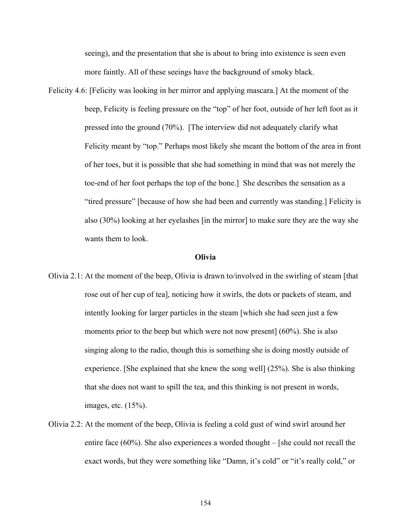seeing), and the presentation that she is about to bring into existence is seen even more faintly. All of these seeings have the background of smoky black.

Felicity 4.6: [Felicity was looking in her mirror and applying mascara.] At the moment of the beep, Felicity is feeling pressure on the "top" of her foot, outside of her left foot as it pressed into the ground (70%). [The interview did not adequately clarify what Felicity meant by "top." Perhaps most likely she meant the bottom of the area in front of her toes, but it is possible that she had something in mind that was not merely the toe-end of her foot perhaps the top of the bone.] She describes the sensation as a "tired pressure" [because of how she had been and currently was standing.] Felicity is also (30%) looking at her eyelashes [in the mirror] to make sure they are the way she wants them to look.

#### **Olivia**

- Olivia 2.1: At the moment of the beep, Olivia is drawn to/involved in the swirling of steam [that rose out of her cup of tea], noticing how it swirls, the dots or packets of steam, and intently looking for larger particles in the steam [which she had seen just a few moments prior to the beep but which were not now present] (60%). She is also singing along to the radio, though this is something she is doing mostly outside of experience. [She explained that she knew the song well] (25%). She is also thinking that she does not want to spill the tea, and this thinking is not present in words, images, etc. (15%).
- Olivia 2.2: At the moment of the beep, Olivia is feeling a cold gust of wind swirl around her entire face (60%). She also experiences a worded thought – [she could not recall the exact words, but they were something like "Damn, it's cold" or "it's really cold," or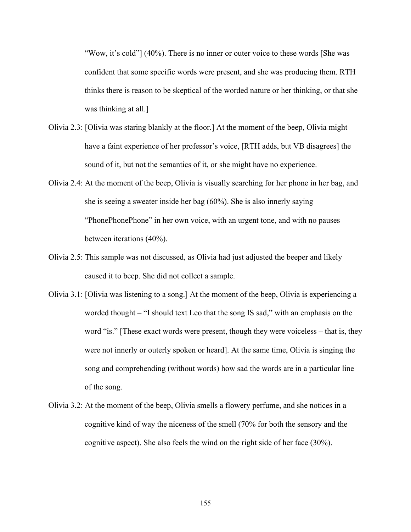"Wow, it's cold"] (40%). There is no inner or outer voice to these words [She was confident that some specific words were present, and she was producing them. RTH thinks there is reason to be skeptical of the worded nature or her thinking, or that she was thinking at all.]

- Olivia 2.3: [Olivia was staring blankly at the floor.] At the moment of the beep, Olivia might have a faint experience of her professor's voice, [RTH adds, but VB disagrees] the sound of it, but not the semantics of it, or she might have no experience.
- Olivia 2.4: At the moment of the beep, Olivia is visually searching for her phone in her bag, and she is seeing a sweater inside her bag (60%). She is also innerly saying "PhonePhonePhone" in her own voice, with an urgent tone, and with no pauses between iterations (40%).
- Olivia 2.5: This sample was not discussed, as Olivia had just adjusted the beeper and likely caused it to beep. She did not collect a sample.
- Olivia 3.1: [Olivia was listening to a song.] At the moment of the beep, Olivia is experiencing a worded thought – "I should text Leo that the song IS sad," with an emphasis on the word "is." [These exact words were present, though they were voiceless – that is, they were not innerly or outerly spoken or heard]. At the same time, Olivia is singing the song and comprehending (without words) how sad the words are in a particular line of the song.
- Olivia 3.2: At the moment of the beep, Olivia smells a flowery perfume, and she notices in a cognitive kind of way the niceness of the smell (70% for both the sensory and the cognitive aspect). She also feels the wind on the right side of her face (30%).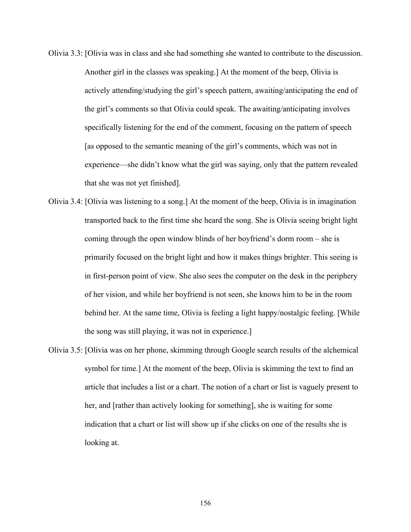- Olivia 3.3: [Olivia was in class and she had something she wanted to contribute to the discussion. Another girl in the classes was speaking.] At the moment of the beep, Olivia is actively attending/studying the girl's speech pattern, awaiting/anticipating the end of the girl's comments so that Olivia could speak. The awaiting/anticipating involves specifically listening for the end of the comment, focusing on the pattern of speech [as opposed to the semantic meaning of the girl's comments, which was not in experience—she didn't know what the girl was saying, only that the pattern revealed that she was not yet finished].
- Olivia 3.4: [Olivia was listening to a song.] At the moment of the beep, Olivia is in imagination transported back to the first time she heard the song. She is Olivia seeing bright light coming through the open window blinds of her boyfriend's dorm room – she is primarily focused on the bright light and how it makes things brighter. This seeing is in first-person point of view. She also sees the computer on the desk in the periphery of her vision, and while her boyfriend is not seen, she knows him to be in the room behind her. At the same time, Olivia is feeling a light happy/nostalgic feeling. [While the song was still playing, it was not in experience.]
- Olivia 3.5: [Olivia was on her phone, skimming through Google search results of the alchemical symbol for time.] At the moment of the beep, Olivia is skimming the text to find an article that includes a list or a chart. The notion of a chart or list is vaguely present to her, and [rather than actively looking for something], she is waiting for some indication that a chart or list will show up if she clicks on one of the results she is looking at.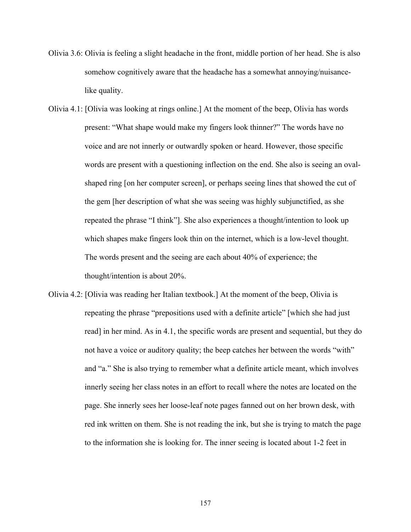- Olivia 3.6: Olivia is feeling a slight headache in the front, middle portion of her head. She is also somehow cognitively aware that the headache has a somewhat annoying/nuisancelike quality.
- Olivia 4.1: [Olivia was looking at rings online.] At the moment of the beep, Olivia has words present: "What shape would make my fingers look thinner?" The words have no voice and are not innerly or outwardly spoken or heard. However, those specific words are present with a questioning inflection on the end. She also is seeing an ovalshaped ring [on her computer screen], or perhaps seeing lines that showed the cut of the gem [her description of what she was seeing was highly subjunctified, as she repeated the phrase "I think"]. She also experiences a thought/intention to look up which shapes make fingers look thin on the internet, which is a low-level thought. The words present and the seeing are each about 40% of experience; the thought/intention is about 20%.
- Olivia 4.2: [Olivia was reading her Italian textbook.] At the moment of the beep, Olivia is repeating the phrase "prepositions used with a definite article" [which she had just read] in her mind. As in 4.1, the specific words are present and sequential, but they do not have a voice or auditory quality; the beep catches her between the words "with" and "a." She is also trying to remember what a definite article meant, which involves innerly seeing her class notes in an effort to recall where the notes are located on the page. She innerly sees her loose-leaf note pages fanned out on her brown desk, with red ink written on them. She is not reading the ink, but she is trying to match the page to the information she is looking for. The inner seeing is located about 1-2 feet in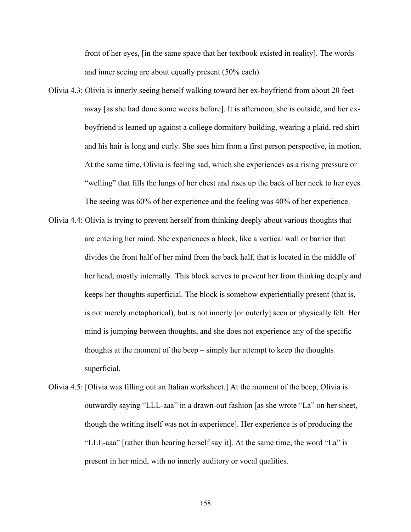front of her eyes, [in the same space that her textbook existed in reality]. The words and inner seeing are about equally present (50% each).

- Olivia 4.3: Olivia is innerly seeing herself walking toward her ex-boyfriend from about 20 feet away [as she had done some weeks before]. It is afternoon, she is outside, and her exboyfriend is leaned up against a college dormitory building, wearing a plaid, red shirt and his hair is long and curly. She sees him from a first person perspective, in motion. At the same time, Olivia is feeling sad, which she experiences as a rising pressure or "welling" that fills the lungs of her chest and rises up the back of her neck to her eyes. The seeing was 60% of her experience and the feeling was 40% of her experience.
- Olivia 4.4: Olivia is trying to prevent herself from thinking deeply about various thoughts that are entering her mind. She experiences a block, like a vertical wall or barrier that divides the front half of her mind from the back half, that is located in the middle of her head, mostly internally. This block serves to prevent her from thinking deeply and keeps her thoughts superficial. The block is somehow experientially present (that is, is not merely metaphorical), but is not innerly [or outerly] seen or physically felt. Her mind is jumping between thoughts, and she does not experience any of the specific thoughts at the moment of the beep – simply her attempt to keep the thoughts superficial.
- Olivia 4.5: [Olivia was filling out an Italian worksheet.] At the moment of the beep, Olivia is outwardly saying "LLL-aaa" in a drawn-out fashion [as she wrote "La" on her sheet, though the writing itself was not in experience]. Her experience is of producing the "LLL-aaa" [rather than hearing herself say it]. At the same time, the word "La" is present in her mind, with no innerly auditory or vocal qualities.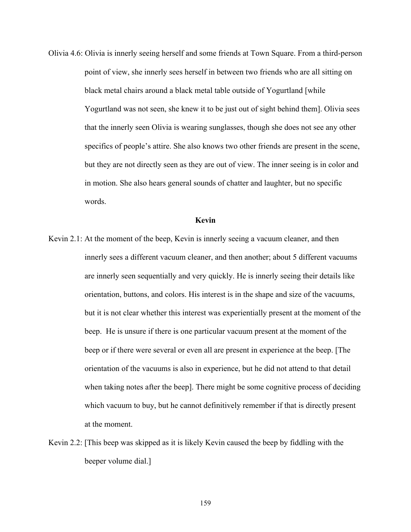Olivia 4.6: Olivia is innerly seeing herself and some friends at Town Square. From a third-person point of view, she innerly sees herself in between two friends who are all sitting on black metal chairs around a black metal table outside of Yogurtland [while Yogurtland was not seen, she knew it to be just out of sight behind them]. Olivia sees that the innerly seen Olivia is wearing sunglasses, though she does not see any other specifics of people's attire. She also knows two other friends are present in the scene, but they are not directly seen as they are out of view. The inner seeing is in color and in motion. She also hears general sounds of chatter and laughter, but no specific words.

### **Kevin**

- Kevin 2.1: At the moment of the beep, Kevin is innerly seeing a vacuum cleaner, and then innerly sees a different vacuum cleaner, and then another; about 5 different vacuums are innerly seen sequentially and very quickly. He is innerly seeing their details like orientation, buttons, and colors. His interest is in the shape and size of the vacuums, but it is not clear whether this interest was experientially present at the moment of the beep. He is unsure if there is one particular vacuum present at the moment of the beep or if there were several or even all are present in experience at the beep. [The orientation of the vacuums is also in experience, but he did not attend to that detail when taking notes after the beep]. There might be some cognitive process of deciding which vacuum to buy, but he cannot definitively remember if that is directly present at the moment.
- Kevin 2.2: [This beep was skipped as it is likely Kevin caused the beep by fiddling with the beeper volume dial.]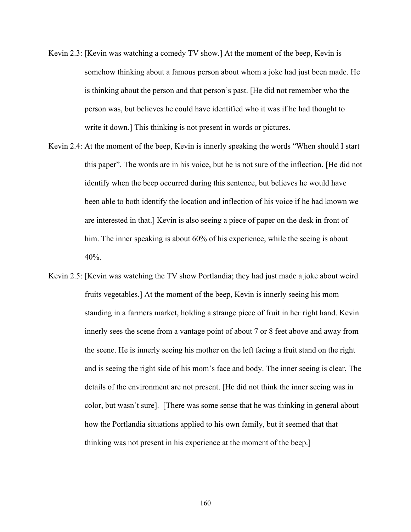- Kevin 2.3: [Kevin was watching a comedy TV show.] At the moment of the beep, Kevin is somehow thinking about a famous person about whom a joke had just been made. He is thinking about the person and that person's past. [He did not remember who the person was, but believes he could have identified who it was if he had thought to write it down.] This thinking is not present in words or pictures.
- Kevin 2.4: At the moment of the beep, Kevin is innerly speaking the words "When should I start this paper". The words are in his voice, but he is not sure of the inflection. [He did not identify when the beep occurred during this sentence, but believes he would have been able to both identify the location and inflection of his voice if he had known we are interested in that.] Kevin is also seeing a piece of paper on the desk in front of him. The inner speaking is about 60% of his experience, while the seeing is about 40%.
- Kevin 2.5: [Kevin was watching the TV show Portlandia; they had just made a joke about weird fruits vegetables.] At the moment of the beep, Kevin is innerly seeing his mom standing in a farmers market, holding a strange piece of fruit in her right hand. Kevin innerly sees the scene from a vantage point of about 7 or 8 feet above and away from the scene. He is innerly seeing his mother on the left facing a fruit stand on the right and is seeing the right side of his mom's face and body. The inner seeing is clear, The details of the environment are not present. [He did not think the inner seeing was in color, but wasn't sure]. [There was some sense that he was thinking in general about how the Portlandia situations applied to his own family, but it seemed that that thinking was not present in his experience at the moment of the beep.]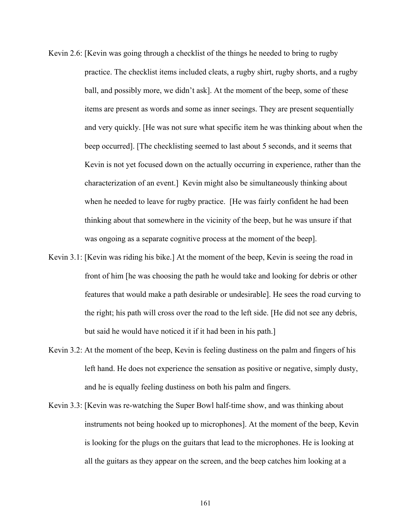- Kevin 2.6: [Kevin was going through a checklist of the things he needed to bring to rugby practice. The checklist items included cleats, a rugby shirt, rugby shorts, and a rugby ball, and possibly more, we didn't ask]. At the moment of the beep, some of these items are present as words and some as inner seeings. They are present sequentially and very quickly. [He was not sure what specific item he was thinking about when the beep occurred]. [The checklisting seemed to last about 5 seconds, and it seems that Kevin is not yet focused down on the actually occurring in experience, rather than the characterization of an event.] Kevin might also be simultaneously thinking about when he needed to leave for rugby practice. [He was fairly confident he had been thinking about that somewhere in the vicinity of the beep, but he was unsure if that was ongoing as a separate cognitive process at the moment of the beep].
- Kevin 3.1: [Kevin was riding his bike.] At the moment of the beep, Kevin is seeing the road in front of him [he was choosing the path he would take and looking for debris or other features that would make a path desirable or undesirable]. He sees the road curving to the right; his path will cross over the road to the left side. [He did not see any debris, but said he would have noticed it if it had been in his path.]
- Kevin 3.2: At the moment of the beep, Kevin is feeling dustiness on the palm and fingers of his left hand. He does not experience the sensation as positive or negative, simply dusty, and he is equally feeling dustiness on both his palm and fingers.
- Kevin 3.3: [Kevin was re-watching the Super Bowl half-time show, and was thinking about instruments not being hooked up to microphones]. At the moment of the beep, Kevin is looking for the plugs on the guitars that lead to the microphones. He is looking at all the guitars as they appear on the screen, and the beep catches him looking at a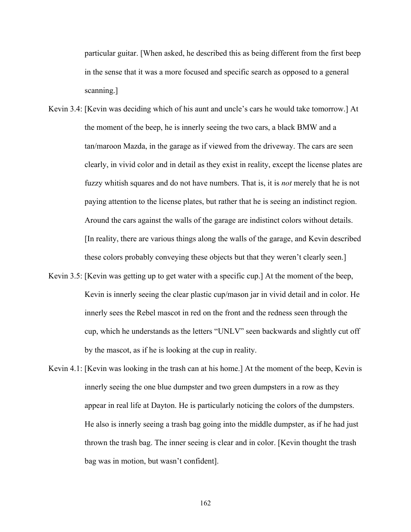particular guitar. [When asked, he described this as being different from the first beep in the sense that it was a more focused and specific search as opposed to a general scanning.]

- Kevin 3.4: [Kevin was deciding which of his aunt and uncle's cars he would take tomorrow.] At the moment of the beep, he is innerly seeing the two cars, a black BMW and a tan/maroon Mazda, in the garage as if viewed from the driveway. The cars are seen clearly, in vivid color and in detail as they exist in reality, except the license plates are fuzzy whitish squares and do not have numbers. That is, it is *not* merely that he is not paying attention to the license plates, but rather that he is seeing an indistinct region. Around the cars against the walls of the garage are indistinct colors without details. [In reality, there are various things along the walls of the garage, and Kevin described these colors probably conveying these objects but that they weren't clearly seen.]
- Kevin 3.5: [Kevin was getting up to get water with a specific cup.] At the moment of the beep, Kevin is innerly seeing the clear plastic cup/mason jar in vivid detail and in color. He innerly sees the Rebel mascot in red on the front and the redness seen through the cup, which he understands as the letters "UNLV" seen backwards and slightly cut off by the mascot, as if he is looking at the cup in reality.
- Kevin 4.1: [Kevin was looking in the trash can at his home.] At the moment of the beep, Kevin is innerly seeing the one blue dumpster and two green dumpsters in a row as they appear in real life at Dayton. He is particularly noticing the colors of the dumpsters. He also is innerly seeing a trash bag going into the middle dumpster, as if he had just thrown the trash bag. The inner seeing is clear and in color. [Kevin thought the trash bag was in motion, but wasn't confident].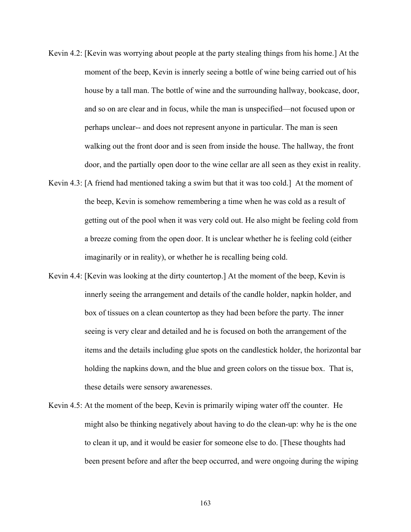- Kevin 4.2: [Kevin was worrying about people at the party stealing things from his home.] At the moment of the beep, Kevin is innerly seeing a bottle of wine being carried out of his house by a tall man. The bottle of wine and the surrounding hallway, bookcase, door, and so on are clear and in focus, while the man is unspecified—not focused upon or perhaps unclear-- and does not represent anyone in particular. The man is seen walking out the front door and is seen from inside the house. The hallway, the front door, and the partially open door to the wine cellar are all seen as they exist in reality.
- Kevin 4.3: [A friend had mentioned taking a swim but that it was too cold.] At the moment of the beep, Kevin is somehow remembering a time when he was cold as a result of getting out of the pool when it was very cold out. He also might be feeling cold from a breeze coming from the open door. It is unclear whether he is feeling cold (either imaginarily or in reality), or whether he is recalling being cold.
- Kevin 4.4: [Kevin was looking at the dirty countertop.] At the moment of the beep, Kevin is innerly seeing the arrangement and details of the candle holder, napkin holder, and box of tissues on a clean countertop as they had been before the party. The inner seeing is very clear and detailed and he is focused on both the arrangement of the items and the details including glue spots on the candlestick holder, the horizontal bar holding the napkins down, and the blue and green colors on the tissue box. That is, these details were sensory awarenesses.
- Kevin 4.5: At the moment of the beep, Kevin is primarily wiping water off the counter. He might also be thinking negatively about having to do the clean-up: why he is the one to clean it up, and it would be easier for someone else to do. [These thoughts had been present before and after the beep occurred, and were ongoing during the wiping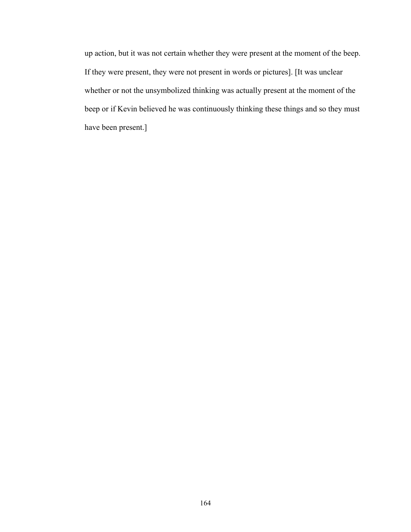up action, but it was not certain whether they were present at the moment of the beep. If they were present, they were not present in words or pictures]. [It was unclear whether or not the unsymbolized thinking was actually present at the moment of the beep or if Kevin believed he was continuously thinking these things and so they must have been present.]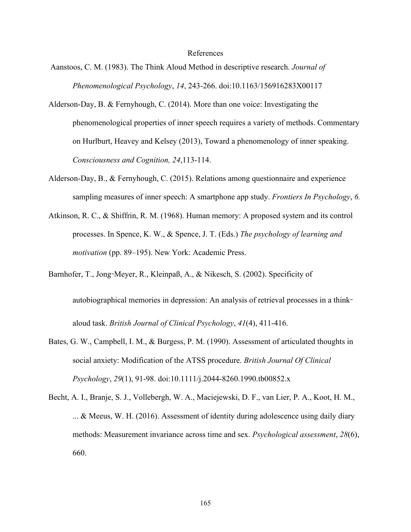# References

- Aanstoos, C. M. (1983). The Think Aloud Method in descriptive research. *Journal of Phenomenological Psychology*, *14*, 243-266. doi:10.1163/156916283X00117
- Alderson-Day, B. & Fernyhough, C. (2014). More than one voice: Investigating the phenomenological properties of inner speech requires a variety of methods. Commentary on Hurlburt, Heavey and Kelsey (2013), Toward a phenomenology of inner speaking. *Consciousness and Cognition, 24*,113-114.
- Alderson-Day, B., & Fernyhough, C. (2015). Relations among questionnaire and experience sampling measures of inner speech: A smartphone app study. *Frontiers In Psychology*, *6.*
- Atkinson, R. C., & Shiffrin, R. M. (1968). Human memory: A proposed system and its control processes. In Spence, K. W., & Spence, J. T. (Eds.) *The psychology of learning and motivation* (pp. 89–195). New York: Academic Press.
- Barnhofer, T., Jong-Meyer, R., Kleinpaß, A., & Nikesch, S. (2002). Specificity of

autobiographical memories in depression: An analysis of retrieval processes in a thinkaloud task. *British Journal of Clinical Psychology*, *41*(4), 411-416.

- Bates, G. W., Campbell, I. M., & Burgess, P. M. (1990). Assessment of articulated thoughts in social anxiety: Modification of the ATSS procedure. *British Journal Of Clinical Psychology*, *29*(1), 91-98. doi:10.1111/j.2044-8260.1990.tb00852.x
- Becht, A. I., Branje, S. J., Vollebergh, W. A., Maciejewski, D. F., van Lier, P. A., Koot, H. M.,  $\ldots$  & Meeus, W. H. (2016). Assessment of identity during adolescence using daily diary methods: Measurement invariance across time and sex. *Psychological assessment*, *28*(6), 660.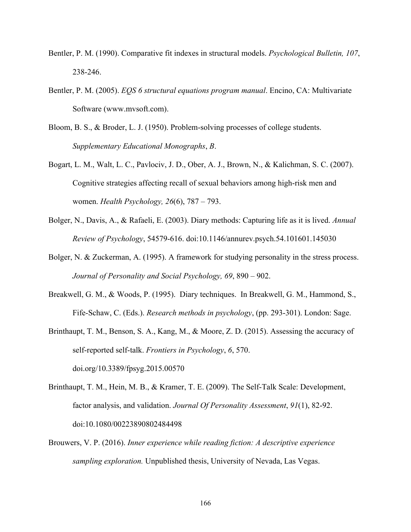- Bentler, P. M. (1990). Comparative fit indexes in structural models. *Psychological Bulletin, 107*, 238-246.
- Bentler, P. M. (2005). *EQS 6 structural equations program manual*. Encino, CA: Multivariate Software (www.mvsoft.com).
- Bloom, B. S., & Broder, L. J. (1950). Problem-solving processes of college students. *Supplementary Educational Monographs*, *B*.
- Bogart, L. M., Walt, L. C., Pavlociv, J. D., Ober, A. J., Brown, N., & Kalichman, S. C. (2007). Cognitive strategies affecting recall of sexual behaviors among high-risk men and women. *Health Psychology, 26*(6), 787 – 793.
- Bolger, N., Davis, A., & Rafaeli, E. (2003). Diary methods: Capturing life as it is lived. *Annual Review of Psychology*, 54579-616. doi:10.1146/annurev.psych.54.101601.145030
- Bolger, N. & Zuckerman, A. (1995). A framework for studying personality in the stress process. *Journal of Personality and Social Psychology, 69*, 890 – 902.
- Breakwell, G. M., & Woods, P. (1995). Diary techniques. In Breakwell, G. M., Hammond, S., Fife-Schaw, C. (Eds.). *Research methods in psychology*, (pp. 293-301). London: Sage.
- Brinthaupt, T. M., Benson, S. A., Kang, M., & Moore, Z. D. (2015). Assessing the accuracy of self-reported self-talk. *Frontiers in Psychology*, *6*, 570. doi.org/10.3389/fpsyg.2015.00570
- Brinthaupt, T. M., Hein, M. B., & Kramer, T. E. (2009). The Self-Talk Scale: Development, factor analysis, and validation. *Journal Of Personality Assessment*, *91*(1), 82-92. doi:10.1080/00223890802484498
- Brouwers, V. P. (2016). *Inner experience while reading fiction: A descriptive experience sampling exploration.* Unpublished thesis, University of Nevada, Las Vegas.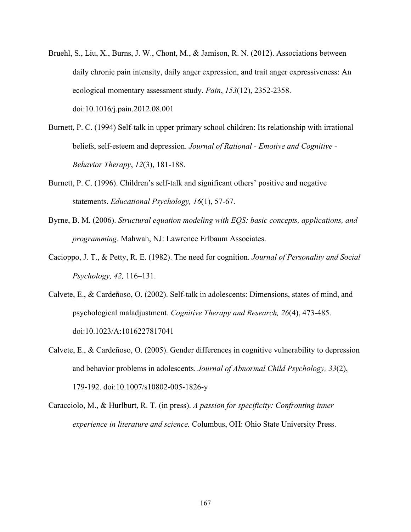- Bruehl, S., Liu, X., Burns, J. W., Chont, M., & Jamison, R. N. (2012). Associations between daily chronic pain intensity, daily anger expression, and trait anger expressiveness: An ecological momentary assessment study. *Pain*, *153*(12), 2352-2358. doi:10.1016/j.pain.2012.08.001
- Burnett, P. C. (1994) Self-talk in upper primary school children: Its relationship with irrational beliefs, self-esteem and depression. *Journal of Rational - Emotive and Cognitive - Behavior Therapy*, *12*(3), 181-188.
- Burnett, P. C. (1996). Children's self-talk and significant others' positive and negative statements. *Educational Psychology, 16*(1), 57-67.
- Byrne, B. M. (2006). *Structural equation modeling with EQS: basic concepts, applications, and programming*. Mahwah, NJ: Lawrence Erlbaum Associates.
- Cacioppo, J. T., & Petty, R. E. (1982). The need for cognition. *Journal of Personality and Social Psychology, 42,* 116–131.
- Calvete, E., & Cardeñoso, O. (2002). Self-talk in adolescents: Dimensions, states of mind, and psychological maladjustment. *Cognitive Therapy and Research, 26*(4), 473-485. doi:10.1023/A:1016227817041
- Calvete, E., & Cardeñoso, O. (2005). Gender differences in cognitive vulnerability to depression and behavior problems in adolescents. *Journal of Abnormal Child Psychology, 33*(2), 179-192. doi:10.1007/s10802-005-1826-y
- Caracciolo, M., & Hurlburt, R. T. (in press). *A passion for specificity: Confronting inner experience in literature and science.* Columbus, OH: Ohio State University Press.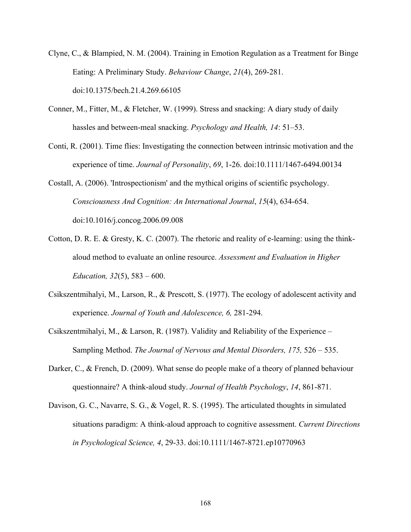- Clyne, C., & Blampied, N. M. (2004). Training in Emotion Regulation as a Treatment for Binge Eating: A Preliminary Study. *Behaviour Change*, *21*(4), 269-281. doi:10.1375/bech.21.4.269.66105
- Conner, M., Fitter, M., & Fletcher, W. (1999). Stress and snacking: A diary study of daily hassles and between-meal snacking. *Psychology and Health, 14*: 51–53.
- Conti, R. (2001). Time flies: Investigating the connection between intrinsic motivation and the experience of time. *Journal of Personality*, *69*, 1-26. doi:10.1111/1467-6494.00134
- Costall, A. (2006). 'Introspectionism' and the mythical origins of scientific psychology. *Consciousness And Cognition: An International Journal*, *15*(4), 634-654. doi:10.1016/j.concog.2006.09.008
- Cotton, D. R. E. & Gresty, K. C. (2007). The rhetoric and reality of e-learning: using the thinkaloud method to evaluate an online resource. *Assessment and Evaluation in Higher Education, 32*(5), 583 – 600.
- Csikszentmihalyi, M., Larson, R., & Prescott, S. (1977). The ecology of adolescent activity and experience. *Journal of Youth and Adolescence, 6,* 281-294.
- Csikszentmihalyi, M., & Larson, R. (1987). Validity and Reliability of the Experience Sampling Method. *The Journal of Nervous and Mental Disorders, 175,* 526 – 535.
- Darker, C., & French, D. (2009). What sense do people make of a theory of planned behaviour questionnaire? A think-aloud study. *Journal of Health Psychology*, *14*, 861-871.
- Davison, G. C., Navarre, S. G., & Vogel, R. S. (1995). The articulated thoughts in simulated situations paradigm: A think-aloud approach to cognitive assessment. *Current Directions in Psychological Science, 4*, 29-33. doi:10.1111/1467-8721.ep10770963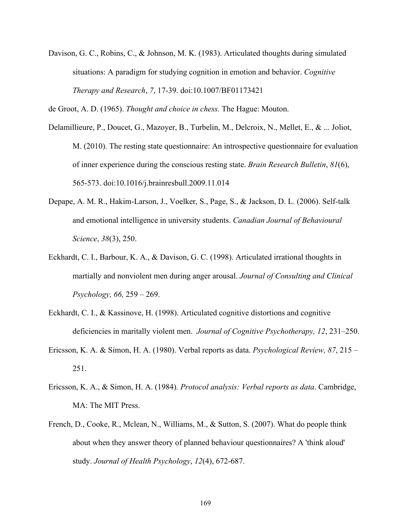Davison, G. C., Robins, C., & Johnson, M. K. (1983). Articulated thoughts during simulated situations: A paradigm for studying cognition in emotion and behavior. *Cognitive Therapy and Research*, *7*, 17-39. doi:10.1007/BF01173421

de Groot, A. D. (1965). *Thought and choice in chess.* The Hague: Mouton.

- Delamillieure, P., Doucet, G., Mazoyer, B., Turbelin, M., Delcroix, N., Mellet, E., & ... Joliot, M. (2010). The resting state questionnaire: An introspective questionnaire for evaluation of inner experience during the conscious resting state. *Brain Research Bulletin*, *81*(6), 565-573. doi:10.1016/j.brainresbull.2009.11.014
- Depape, A. M. R., Hakim-Larson, J., Voelker, S., Page, S., & Jackson, D. L. (2006). Self-talk and emotional intelligence in university students. *Canadian Journal of Behavioural Science*, *38*(3), 250.
- Eckhardt, C. I., Barbour, K. A., & Davison, G. C. (1998). Articulated irrational thoughts in martially and nonviolent men during anger arousal. *Journal of Consulting and Clinical Psychology, 66,* 259 – 269.
- Eckhardt, C. I., & Kassinove, H. (1998). Articulated cognitive distortions and cognitive deficiencies in maritally violent men. *Journal of Cognitive Psychotherapy, 12*, 231–250.
- Ericsson, K. A. & Simon, H. A. (1980). Verbal reports as data. *Psychological Review, 87*, 215 251.
- Ericsson, K. A., & Simon, H. A. (1984). *Protocol analysis: Verbal reports as data*. Cambridge, MA: The MIT Press.
- French, D., Cooke, R., Mclean, N., Williams, M., & Sutton, S. (2007). What do people think about when they answer theory of planned behaviour questionnaires? A 'think aloud' study. *Journal of Health Psychology*, *12*(4), 672-687.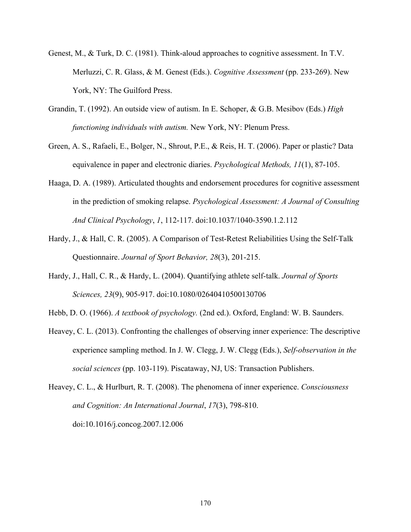- Genest, M., & Turk, D. C. (1981). Think-aloud approaches to cognitive assessment. In T.V. Merluzzi, C. R. Glass, & M. Genest (Eds.). *Cognitive Assessment* (pp. 233-269). New York, NY: The Guilford Press.
- Grandin, T. (1992). An outside view of autism. In E. Schoper, & G.B. Mesibov (Eds.) *High functioning individuals with autism.* New York, NY: Plenum Press.
- Green, A. S., Rafaeli, E., Bolger, N., Shrout, P.E., & Reis, H. T. (2006). Paper or plastic? Data equivalence in paper and electronic diaries. *Psychological Methods, 11*(1), 87-105.
- Haaga, D. A. (1989). Articulated thoughts and endorsement procedures for cognitive assessment in the prediction of smoking relapse. *Psychological Assessment: A Journal of Consulting And Clinical Psychology*, *1*, 112-117. doi:10.1037/1040-3590.1.2.112
- Hardy, J., & Hall, C. R. (2005). A Comparison of Test-Retest Reliabilities Using the Self-Talk Questionnaire. *Journal of Sport Behavior, 28*(3), 201-215.
- Hardy, J., Hall, C. R., & Hardy, L. (2004). Quantifying athlete self-talk. *Journal of Sports Sciences, 23*(9), 905-917. doi:10.1080/02640410500130706
- Hebb, D. O. (1966). *A textbook of psychology.* (2nd ed.). Oxford, England: W. B. Saunders.
- Heavey, C. L. (2013). Confronting the challenges of observing inner experience: The descriptive experience sampling method. In J. W. Clegg, J. W. Clegg (Eds.), *Self-observation in the social sciences* (pp. 103-119). Piscataway, NJ, US: Transaction Publishers.
- Heavey, C. L., & Hurlburt, R. T. (2008). The phenomena of inner experience. *Consciousness and Cognition: An International Journal*, *17*(3), 798-810. doi:10.1016/j.concog.2007.12.006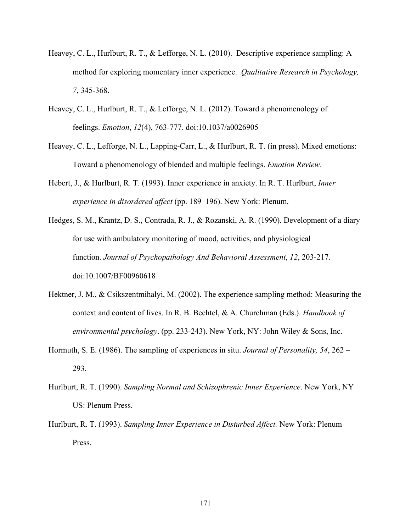- Heavey, C. L., Hurlburt, R. T., & Lefforge, N. L. (2010). Descriptive experience sampling: A method for exploring momentary inner experience. *Qualitative Research in Psychology, 7*, 345-368.
- Heavey, C. L., Hurlburt, R. T., & Lefforge, N. L. (2012). Toward a phenomenology of feelings. *Emotion*, *12*(4), 763-777. doi:10.1037/a0026905
- Heavey, C. L., Lefforge, N. L., Lapping-Carr, L., & Hurlburt, R. T. (in press). Mixed emotions: Toward a phenomenology of blended and multiple feelings. *Emotion Review*.
- Hebert, J., & Hurlburt, R. T. (1993). Inner experience in anxiety. In R. T. Hurlburt, *Inner experience in disordered affect* (pp. 189–196). New York: Plenum.
- Hedges, S. M., Krantz, D. S., Contrada, R. J., & Rozanski, A. R. (1990). Development of a diary for use with ambulatory monitoring of mood, activities, and physiological function. *Journal of Psychopathology And Behavioral Assessment*, *12*, 203-217. doi:10.1007/BF00960618
- Hektner, J. M., & Csikszentmihalyi, M. (2002). The experience sampling method: Measuring the context and content of lives. In R. B. Bechtel, & A. Churchman (Eds.). *Handbook of environmental psychology*. (pp. 233-243). New York, NY: John Wiley & Sons, Inc.
- Hormuth, S. E. (1986). The sampling of experiences in situ. *Journal of Personality, 54*, 262 293.
- Hurlburt, R. T. (1990). *Sampling Normal and Schizophrenic Inner Experience*. New York, NY US: Plenum Press.
- Hurlburt, R. T. (1993). *Sampling Inner Experience in Disturbed Affect.* New York: Plenum Press.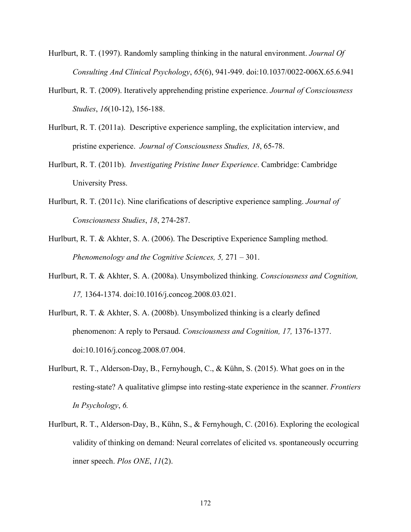- Hurlburt, R. T. (1997). Randomly sampling thinking in the natural environment. *Journal Of Consulting And Clinical Psychology*, *65*(6), 941-949. doi:10.1037/0022-006X.65.6.941
- Hurlburt, R. T. (2009). Iteratively apprehending pristine experience. *Journal of Consciousness Studies*, *16*(10-12), 156-188.
- Hurlburt, R. T. (2011a). Descriptive experience sampling, the explicitation interview, and pristine experience. *Journal of Consciousness Studies, 18*, 65-78.
- Hurlburt, R. T. (2011b). *Investigating Pristine Inner Experience*. Cambridge: Cambridge University Press.
- Hurlburt, R. T. (2011c). Nine clarifications of descriptive experience sampling. *Journal of Consciousness Studies*, *18*, 274-287.
- Hurlburt, R. T. & Akhter, S. A. (2006). The Descriptive Experience Sampling method. *Phenomenology and the Cognitive Sciences, 5,* 271 – 301.
- Hurlburt, R. T. & Akhter, S. A. (2008a). Unsymbolized thinking. *Consciousness and Cognition, 17,* 1364-1374. doi:10.1016/j.concog.2008.03.021.
- Hurlburt, R. T. & Akhter, S. A. (2008b). Unsymbolized thinking is a clearly defined phenomenon: A reply to Persaud. *Consciousness and Cognition, 17,* 1376-1377. doi:10.1016/j.concog.2008.07.004.
- Hurlburt, R. T., Alderson-Day, B., Fernyhough, C., & Kühn, S. (2015). What goes on in the resting-state? A qualitative glimpse into resting-state experience in the scanner. *Frontiers In Psychology*, *6.*
- Hurlburt, R. T., Alderson-Day, B., Kühn, S., & Fernyhough, C. (2016). Exploring the ecological validity of thinking on demand: Neural correlates of elicited vs. spontaneously occurring inner speech. *Plos ONE*, *11*(2).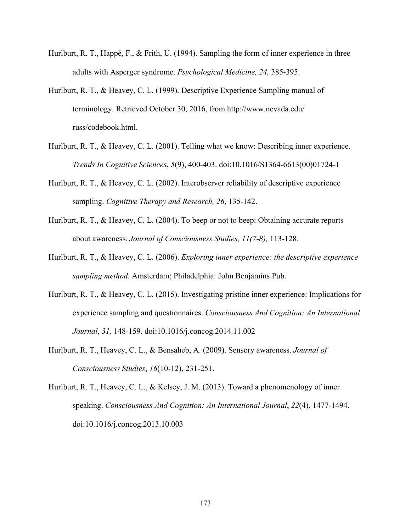- Hurlburt, R. T., Happé, F., & Frith, U. (1994). Sampling the form of inner experience in three adults with Asperger syndrome. *Psychological Medicine, 24,* 385-395.
- Hurlburt, R. T., & Heavey, C. L. (1999). Descriptive Experience Sampling manual of terminology. Retrieved October 30, 2016, from http://www.nevada.edu/ russ/codebook.html.
- Hurlburt, R. T., & Heavey, C. L. (2001). Telling what we know: Describing inner experience. *Trends In Cognitive Sciences*, *5*(9), 400-403. doi:10.1016/S1364-6613(00)01724-1
- Hurlburt, R. T., & Heavey, C. L. (2002). Interobserver reliability of descriptive experience sampling. *Cognitive Therapy and Research, 26*, 135-142.
- Hurlburt, R. T., & Heavey, C. L. (2004). To beep or not to beep: Obtaining accurate reports about awareness. *Journal of Consciousness Studies, 11(7-8),* 113-128.
- Hurlburt, R. T., & Heavey, C. L. (2006). *Exploring inner experience: the descriptive experience sampling method*. Amsterdam; Philadelphia: John Benjamins Pub.
- Hurlburt, R. T., & Heavey, C. L. (2015). Investigating pristine inner experience: Implications for experience sampling and questionnaires. *Consciousness And Cognition: An International Journal*, *31,* 148-159. doi:10.1016/j.concog.2014.11.002
- Hurlburt, R. T., Heavey, C. L., & Bensaheb, A. (2009). Sensory awareness. *Journal of Consciousness Studies*, *16*(10-12), 231-251.
- Hurlburt, R. T., Heavey, C. L., & Kelsey, J. M. (2013). Toward a phenomenology of inner speaking. *Consciousness And Cognition: An International Journal*, *22*(4), 1477-1494. doi:10.1016/j.concog.2013.10.003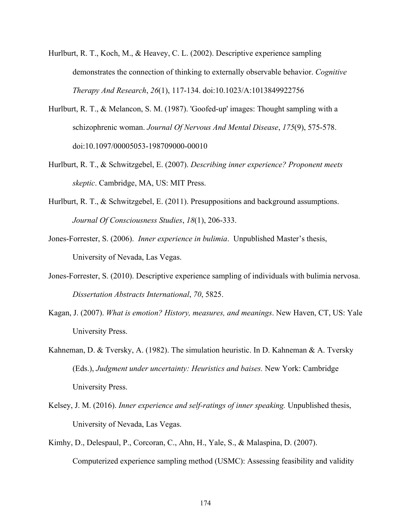- Hurlburt, R. T., Koch, M., & Heavey, C. L. (2002). Descriptive experience sampling demonstrates the connection of thinking to externally observable behavior. *Cognitive Therapy And Research*, *26*(1), 117-134. doi:10.1023/A:1013849922756
- Hurlburt, R. T., & Melancon, S. M. (1987). 'Goofed-up' images: Thought sampling with a schizophrenic woman. *Journal Of Nervous And Mental Disease*, *175*(9), 575-578. doi:10.1097/00005053-198709000-00010
- Hurlburt, R. T., & Schwitzgebel, E. (2007). *Describing inner experience? Proponent meets skeptic*. Cambridge, MA, US: MIT Press.
- Hurlburt, R. T., & Schwitzgebel, E. (2011). Presuppositions and background assumptions. *Journal Of Consciousness Studies*, *18*(1), 206-333.
- Jones-Forrester, S. (2006). *Inner experience in bulimia*. Unpublished Master's thesis, University of Nevada, Las Vegas.
- Jones-Forrester, S. (2010). Descriptive experience sampling of individuals with bulimia nervosa. *Dissertation Abstracts International*, *70*, 5825.
- Kagan, J. (2007). *What is emotion? History, measures, and meanings*. New Haven, CT, US: Yale University Press.
- Kahneman, D. & Tversky, A. (1982). The simulation heuristic. In D. Kahneman & A. Tversky (Eds.), *Judgment under uncertainty: Heuristics and baises.* New York: Cambridge University Press.
- Kelsey, J. M. (2016). *Inner experience and self-ratings of inner speaking.* Unpublished thesis, University of Nevada, Las Vegas.
- Kimhy, D., Delespaul, P., Corcoran, C., Ahn, H., Yale, S., & Malaspina, D. (2007). Computerized experience sampling method (USMC): Assessing feasibility and validity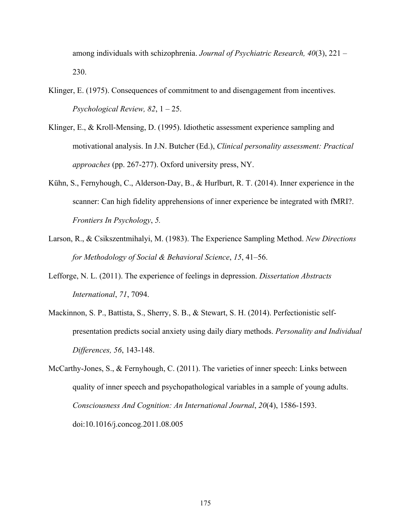among individuals with schizophrenia. *Journal of Psychiatric Research, 40*(3), 221 – 230.

- Klinger, E. (1975). Consequences of commitment to and disengagement from incentives. *Psychological Review, 82*, 1 – 25.
- Klinger, E., & Kroll-Mensing, D. (1995). Idiothetic assessment experience sampling and motivational analysis. In J.N. Butcher (Ed.), *Clinical personality assessment: Practical approaches* (pp. 267-277). Oxford university press, NY.
- Kühn, S., Fernyhough, C., Alderson-Day, B., & Hurlburt, R. T. (2014). Inner experience in the scanner: Can high fidelity apprehensions of inner experience be integrated with fMRI?. *Frontiers In Psychology*, *5.*
- Larson, R., & Csikszentmihalyi, M. (1983). The Experience Sampling Method. *New Directions for Methodology of Social & Behavioral Science*, *15*, 41–56.
- Lefforge, N. L. (2011). The experience of feelings in depression. *Dissertation Abstracts International*, *71*, 7094.
- Mackinnon, S. P., Battista, S., Sherry, S. B., & Stewart, S. H. (2014). Perfectionistic selfpresentation predicts social anxiety using daily diary methods. *Personality and Individual Differences, 56*, 143-148.
- McCarthy-Jones, S., & Fernyhough, C. (2011). The varieties of inner speech: Links between quality of inner speech and psychopathological variables in a sample of young adults. *Consciousness And Cognition: An International Journal*, *20*(4), 1586-1593. doi:10.1016/j.concog.2011.08.005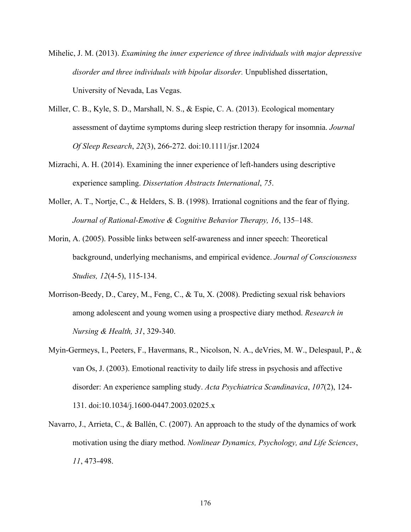- Mihelic, J. M. (2013). *Examining the inner experience of three individuals with major depressive disorder and three individuals with bipolar disorder.* Unpublished dissertation, University of Nevada, Las Vegas.
- Miller, C. B., Kyle, S. D., Marshall, N. S., & Espie, C. A. (2013). Ecological momentary assessment of daytime symptoms during sleep restriction therapy for insomnia. *Journal Of Sleep Research*, *22*(3), 266-272. doi:10.1111/jsr.12024
- Mizrachi, A. H. (2014). Examining the inner experience of left-handers using descriptive experience sampling. *Dissertation Abstracts International*, *75*.
- Moller, A. T., Nortje, C., & Helders, S. B. (1998). Irrational cognitions and the fear of flying. *Journal of Rational-Emotive & Cognitive Behavior Therapy, 16*, 135–148.
- Morin, A. (2005). Possible links between self-awareness and inner speech: Theoretical background, underlying mechanisms, and empirical evidence. *Journal of Consciousness Studies, 12*(4-5), 115-134.
- Morrison-Beedy, D., Carey, M., Feng, C., & Tu, X. (2008). Predicting sexual risk behaviors among adolescent and young women using a prospective diary method. *Research in Nursing & Health, 31*, 329-340.
- Myin-Germeys, I., Peeters, F., Havermans, R., Nicolson, N. A., deVries, M. W., Delespaul, P., & van Os, J. (2003). Emotional reactivity to daily life stress in psychosis and affective disorder: An experience sampling study. *Acta Psychiatrica Scandinavica*, *107*(2), 124- 131. doi:10.1034/j.1600-0447.2003.02025.x
- Navarro, J., Arrieta, C., & Ballén, C. (2007). An approach to the study of the dynamics of work motivation using the diary method. *Nonlinear Dynamics, Psychology, and Life Sciences*, *11*, 473-498.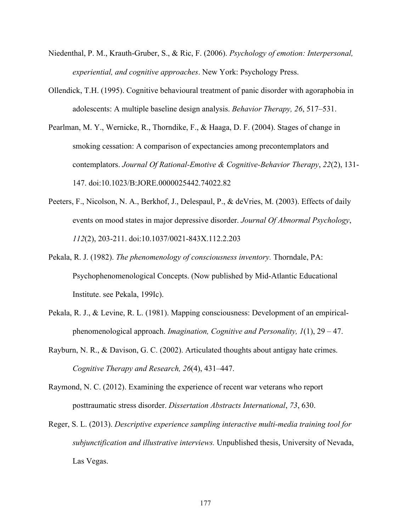- Niedenthal, P. M., Krauth-Gruber, S., & Ric, F. (2006). *Psychology of emotion: Interpersonal, experiential, and cognitive approaches*. New York: Psychology Press.
- Ollendick, T.H. (1995). Cognitive behavioural treatment of panic disorder with agoraphobia in adolescents: A multiple baseline design analysis. *Behavior Therapy, 26*, 517–531.
- Pearlman, M. Y., Wernicke, R., Thorndike, F., & Haaga, D. F. (2004). Stages of change in smoking cessation: A comparison of expectancies among precontemplators and contemplators. *Journal Of Rational-Emotive & Cognitive-Behavior Therapy*, *22*(2), 131- 147. doi:10.1023/B:JORE.0000025442.74022.82
- Peeters, F., Nicolson, N. A., Berkhof, J., Delespaul, P., & deVries, M. (2003). Effects of daily events on mood states in major depressive disorder. *Journal Of Abnormal Psychology*, *112*(2), 203-211. doi:10.1037/0021-843X.112.2.203
- Pekala, R. J. (1982). *The phenomenology of consciousness inventory.* Thorndale, PA: Psychophenomenological Concepts. (Now published by Mid-Atlantic Educational Institute. see Pekala, 199Ic).
- Pekala, R. J., & Levine, R. L. (1981). Mapping consciousness: Development of an empiricalphenomenological approach. *Imagination, Cognitive and Personality, 1*(1), 29 – 47.
- Rayburn, N. R., & Davison, G. C. (2002). Articulated thoughts about antigay hate crimes. *Cognitive Therapy and Research, 26*(4), 431–447.
- Raymond, N. C. (2012). Examining the experience of recent war veterans who report posttraumatic stress disorder. *Dissertation Abstracts International*, *73*, 630.
- Reger, S. L. (2013). *Descriptive experience sampling interactive multi-media training tool for subjunctification and illustrative interviews.* Unpublished thesis, University of Nevada, Las Vegas.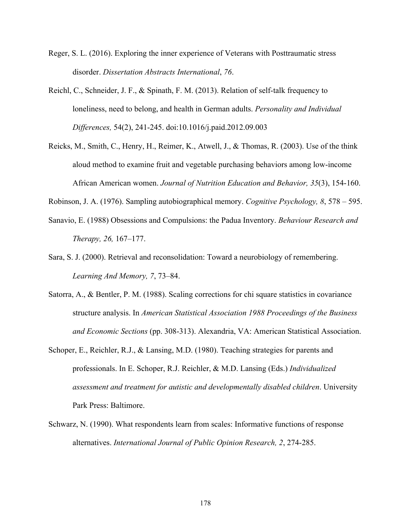- Reger, S. L. (2016). Exploring the inner experience of Veterans with Posttraumatic stress disorder. *Dissertation Abstracts International*, *76*.
- Reichl, C., Schneider, J. F., & Spinath, F. M. (2013). Relation of self-talk frequency to loneliness, need to belong, and health in German adults. *Personality and Individual Differences,* 54(2), 241-245. doi:10.1016/j.paid.2012.09.003
- Reicks, M., Smith, C., Henry, H., Reimer, K., Atwell, J., & Thomas, R. (2003). Use of the think aloud method to examine fruit and vegetable purchasing behaviors among low-income African American women. *Journal of Nutrition Education and Behavior, 35*(3), 154-160.

Robinson, J. A. (1976). Sampling autobiographical memory. *Cognitive Psychology, 8*, 578 – 595.

- Sanavio, E. (1988) Obsessions and Compulsions: the Padua Inventory. *Behaviour Research and Therapy, 26,* 167–177.
- Sara, S. J. (2000). Retrieval and reconsolidation: Toward a neurobiology of remembering. *Learning And Memory, 7*, 73–84.
- Satorra, A., & Bentler, P. M. (1988). Scaling corrections for chi square statistics in covariance structure analysis. In *American Statistical Association 1988 Proceedings of the Business and Economic Sections* (pp. 308-313). Alexandria, VA: American Statistical Association.
- Schoper, E., Reichler, R.J., & Lansing, M.D. (1980). Teaching strategies for parents and professionals. In E. Schoper, R.J. Reichler, & M.D. Lansing (Eds.) *Individualized assessment and treatment for autistic and developmentally disabled children*. University Park Press: Baltimore.
- Schwarz, N. (1990). What respondents learn from scales: Informative functions of response alternatives. *International Journal of Public Opinion Research, 2*, 274-285.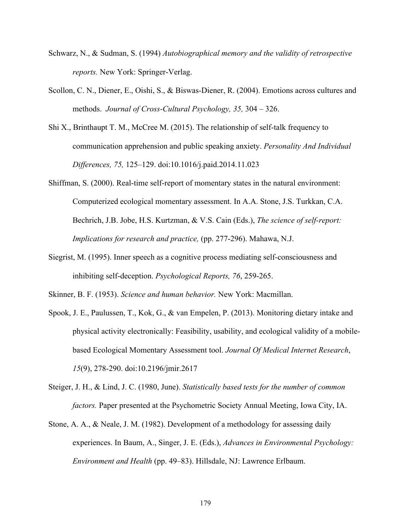- Schwarz, N., & Sudman, S. (1994) *Autobiographical memory and the validity of retrospective reports.* New York: Springer-Verlag.
- Scollon, C. N., Diener, E., Oishi, S., & Biswas-Diener, R. (2004). Emotions across cultures and methods. *Journal of Cross-Cultural Psychology, 35,* 304 – 326.
- Shi X., Brinthaupt T. M., McCree M. (2015). The relationship of self-talk frequency to communication apprehension and public speaking anxiety. *Personality And Individual Differences, 75,* 125–129. doi:10.1016/j.paid.2014.11.023
- Shiffman, S. (2000). Real-time self-report of momentary states in the natural environment: Computerized ecological momentary assessment. In A.A. Stone, J.S. Turkkan, C.A. Bechrich, J.B. Jobe, H.S. Kurtzman, & V.S. Cain (Eds.), *The science of self-report: Implications for research and practice,* (pp. 277-296). Mahawa, N.J.
- Siegrist, M. (1995). Inner speech as a cognitive process mediating self-consciousness and inhibiting self-deception. *Psychological Reports, 76*, 259-265.

Skinner, B. F. (1953). *Science and human behavior.* New York: Macmillan.

- Spook, J. E., Paulussen, T., Kok, G., & van Empelen, P. (2013). Monitoring dietary intake and physical activity electronically: Feasibility, usability, and ecological validity of a mobilebased Ecological Momentary Assessment tool. *Journal Of Medical Internet Research*, *15*(9), 278-290. doi:10.2196/jmir.2617
- Steiger, J. H., & Lind, J. C. (1980, June). *Statistically based tests for the number of common factors.* Paper presented at the Psychometric Society Annual Meeting, Iowa City, IA.
- Stone, A. A., & Neale, J. M. (1982). Development of a methodology for assessing daily experiences. In Baum, A., Singer, J. E. (Eds.), *Advances in Environmental Psychology: Environment and Health* (pp. 49–83). Hillsdale, NJ: Lawrence Erlbaum.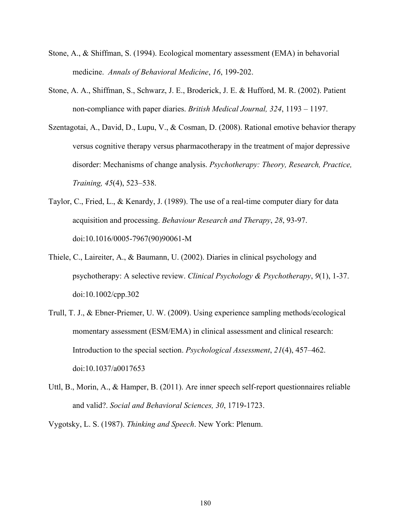- Stone, A., & Shiffman, S. (1994). Ecological momentary assessment (EMA) in behavorial medicine. *Annals of Behavioral Medicine*, *16*, 199-202.
- Stone, A. A., Shiffman, S., Schwarz, J. E., Broderick, J. E. & Hufford, M. R. (2002). Patient non-compliance with paper diaries. *British Medical Journal, 324*, 1193 – 1197.
- Szentagotai, A., David, D., Lupu, V., & Cosman, D. (2008). Rational emotive behavior therapy versus cognitive therapy versus pharmacotherapy in the treatment of major depressive disorder: Mechanisms of change analysis. *Psychotherapy: Theory, Research, Practice, Training, 45*(4), 523–538.
- Taylor, C., Fried, L., & Kenardy, J. (1989). The use of a real-time computer diary for data acquisition and processing. *Behaviour Research and Therapy*, *28*, 93-97. doi:10.1016/0005-7967(90)90061-M
- Thiele, C., Laireiter, A., & Baumann, U. (2002). Diaries in clinical psychology and psychotherapy: A selective review. *Clinical Psychology & Psychotherapy*, *9*(1), 1-37. doi:10.1002/cpp.302
- Trull, T. J., & Ebner-Priemer, U. W. (2009). Using experience sampling methods/ecological momentary assessment (ESM/EMA) in clinical assessment and clinical research: Introduction to the special section. *Psychological Assessment*, *21*(4), 457–462. doi:10.1037/a0017653
- Uttl, B., Morin, A., & Hamper, B. (2011). Are inner speech self-report questionnaires reliable and valid?. *Social and Behavioral Sciences, 30*, 1719-1723.

Vygotsky, L. S. (1987). *Thinking and Speech*. New York: Plenum.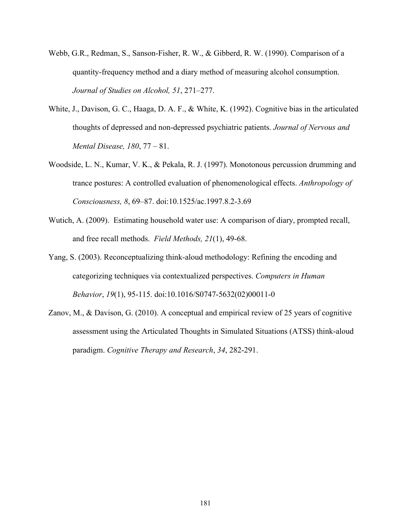- Webb, G.R., Redman, S., Sanson-Fisher, R. W., & Gibberd, R. W. (1990). Comparison of a quantity-frequency method and a diary method of measuring alcohol consumption. *Journal of Studies on Alcohol, 51*, 271–277.
- White, J., Davison, G. C., Haaga, D. A. F., & White, K. (1992). Cognitive bias in the articulated thoughts of depressed and non-depressed psychiatric patients. *Journal of Nervous and Mental Disease, 180*, 77 – 81.
- Woodside, L. N., Kumar, V. K., & Pekala, R. J. (1997). Monotonous percussion drumming and trance postures: A controlled evaluation of phenomenological effects. *Anthropology of Consciousness, 8*, 69–87. doi:10.1525/ac.1997.8.2-3.69
- Wutich, A. (2009). Estimating household water use: A comparison of diary, prompted recall, and free recall methods. *Field Methods, 21*(1), 49-68.
- Yang, S. (2003). Reconceptualizing think-aloud methodology: Refining the encoding and categorizing techniques via contextualized perspectives. *Computers in Human Behavior*, *19*(1), 95-115. doi:10.1016/S0747-5632(02)00011-0
- Zanov, M., & Davison, G. (2010). A conceptual and empirical review of 25 years of cognitive assessment using the Articulated Thoughts in Simulated Situations (ATSS) think-aloud paradigm. *Cognitive Therapy and Research*, *34*, 282-291.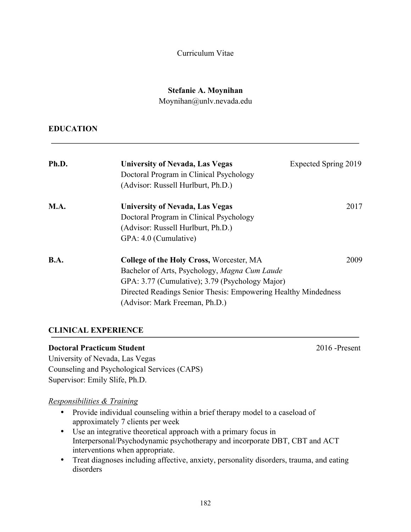## Curriculum Vitae

## **Stefanie A. Moynihan**

Moynihan@unlv.nevada.edu

## **EDUCATION**

| Ph.D.       | <b>University of Nevada, Las Vegas</b><br>Expected Spring 2019<br>Doctoral Program in Clinical Psychology<br>(Advisor: Russell Hurlburt, Ph.D.)                                                                                                  |      |
|-------------|--------------------------------------------------------------------------------------------------------------------------------------------------------------------------------------------------------------------------------------------------|------|
| <b>M.A.</b> | <b>University of Nevada, Las Vegas</b><br>Doctoral Program in Clinical Psychology<br>(Advisor: Russell Hurlburt, Ph.D.)                                                                                                                          | 2017 |
|             | GPA: 4.0 (Cumulative)                                                                                                                                                                                                                            |      |
| <b>B.A.</b> | College of the Holy Cross, Worcester, MA<br>Bachelor of Arts, Psychology, Magna Cum Laude<br>GPA: 3.77 (Cumulative); 3.79 (Psychology Major)<br>Directed Readings Senior Thesis: Empowering Healthy Mindedness<br>(Advisor: Mark Freeman, Ph.D.) | 2009 |

## **CLINICAL EXPERIENCE**

## **Doctoral Practicum Student** 2016 -Present

University of Nevada, Las Vegas Counseling and Psychological Services (CAPS) Supervisor: Emily Slife, Ph.D.

## *Responsibilities & Training*

- Provide individual counseling within a brief therapy model to a caseload of approximately 7 clients per week
- Use an integrative theoretical approach with a primary focus in Interpersonal/Psychodynamic psychotherapy and incorporate DBT, CBT and ACT interventions when appropriate.
- Treat diagnoses including affective, anxiety, personality disorders, trauma, and eating disorders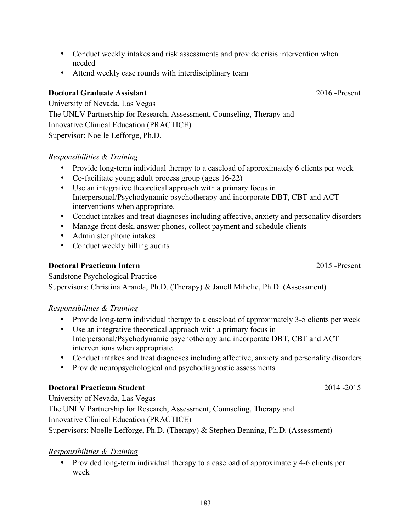- Conduct weekly intakes and risk assessments and provide crisis intervention when needed
- Attend weekly case rounds with interdisciplinary team

## **Doctoral Graduate Assistant** 2016 -Present

University of Nevada, Las Vegas The UNLV Partnership for Research, Assessment, Counseling, Therapy and Innovative Clinical Education (PRACTICE) Supervisor: Noelle Lefforge, Ph.D.

## *Responsibilities & Training*

- Provide long-term individual therapy to a caseload of approximately 6 clients per week
- Co-facilitate young adult process group (ages 16-22)
- Use an integrative theoretical approach with a primary focus in Interpersonal/Psychodynamic psychotherapy and incorporate DBT, CBT and ACT interventions when appropriate.
- Conduct intakes and treat diagnoses including affective, anxiety and personality disorders
- Manage front desk, answer phones, collect payment and schedule clients
- Administer phone intakes
- Conduct weekly billing audits

## **Doctoral Practicum Intern** 2015 -Present

Sandstone Psychological Practice Supervisors: Christina Aranda, Ph.D. (Therapy) & Janell Mihelic, Ph.D. (Assessment)

## *Responsibilities & Training*

- Provide long-term individual therapy to a caseload of approximately 3-5 clients per week
- Use an integrative theoretical approach with a primary focus in Interpersonal/Psychodynamic psychotherapy and incorporate DBT, CBT and ACT interventions when appropriate.
- Conduct intakes and treat diagnoses including affective, anxiety and personality disorders
- Provide neuropsychological and psychodiagnostic assessments

## **Doctoral Practicum Student** 2014 -2015

University of Nevada, Las Vegas The UNLV Partnership for Research, Assessment, Counseling, Therapy and Innovative Clinical Education (PRACTICE) Supervisors: Noelle Lefforge, Ph.D. (Therapy) & Stephen Benning, Ph.D. (Assessment)

## *Responsibilities & Training*

• Provided long-term individual therapy to a caseload of approximately 4-6 clients per week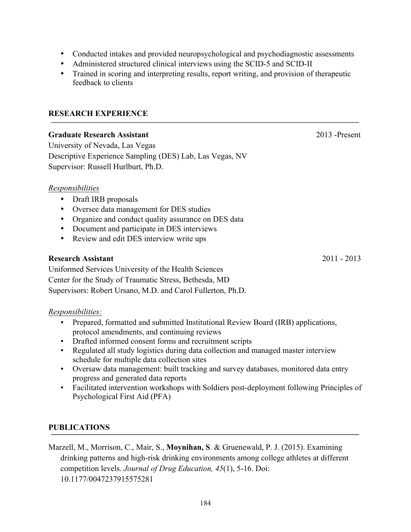- 184
- Marzell, M., Morrison, C., Mair, S., **Moynihan, S**. & Gruenewald, P. J. (2015). Examining drinking patterns and high-risk drinking environments among college athletes at different competition levels. *Journal of Drug Education, 45*(1), 5-16. Doi: 10.1177/0047237915575281

## **PUBLICATIONS**

Psychological First Aid (PFA)

Uniformed Services University of the Health Sciences Center for the Study of Traumatic Stress, Bethesda, MD Supervisors: Robert Ursano, M.D. and Carol Fullerton, Ph.D.

# *Responsibilities:*

• Prepared, formatted and submitted Institutional Review Board (IRB) applications, protocol amendments, and continuing reviews

• Conducted intakes and provided neuropsychological and psychodiagnostic assessments

• Trained in scoring and interpreting results, report writing, and provision of therapeutic

• Administered structured clinical interviews using the SCID-5 and SCID-II

- Drafted informed consent forms and recruitment scripts
- Regulated all study logistics during data collection and managed master interview schedule for multiple data collection sites
- 
- Oversaw data management: built tracking and survey databases, monitored data entry progress and generated data reports

• Facilitated intervention workshops with Soldiers post-deployment following Principles of

**Research Assistant** 2011 - 2013

## *Responsibilities*

• Draft IRB proposals

feedback to clients

**RESEARCH EXPERIENCE**

University of Nevada, Las Vegas

Supervisor: Russell Hurlburt, Ph.D.

- Oversee data management for DES studies
- 
- Organize and conduct quality assurance on DES data

Descriptive Experience Sampling (DES) Lab, Las Vegas, NV

- 
- Document and participate in DES interviews
- Review and edit DES interview write ups

**Graduate Research Assistant** 2013 -Present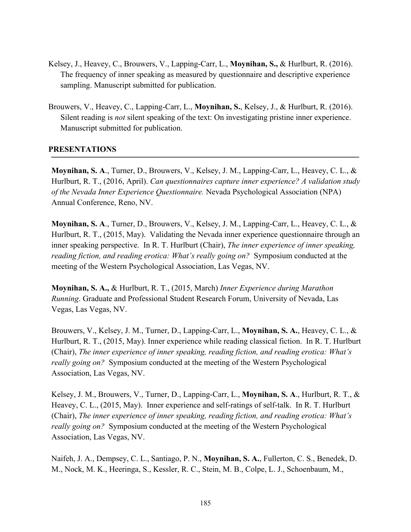- Kelsey, J., Heavey, C., Brouwers, V., Lapping-Carr, L., **Moynihan, S.,** & Hurlburt, R. (2016). The frequency of inner speaking as measured by questionnaire and descriptive experience sampling. Manuscript submitted for publication.
- Brouwers, V., Heavey, C., Lapping-Carr, L., **Moynihan, S.**, Kelsey, J., & Hurlburt, R. (2016). Silent reading is *not* silent speaking of the text: On investigating pristine inner experience. Manuscript submitted for publication.

## **PRESENTATIONS**

**Moynihan, S. A**., Turner, D., Brouwers, V., Kelsey, J. M., Lapping-Carr, L., Heavey, C. L., & Hurlburt, R. T., (2016, April). *Can questionnaires capture inner experience? A validation study of the Nevada Inner Experience Questionnaire.* Nevada Psychological Association (NPA) Annual Conference, Reno, NV.

**Moynihan, S. A**., Turner, D., Brouwers, V., Kelsey, J. M., Lapping-Carr, L., Heavey, C. L., & Hurlburt, R. T., (2015, May). Validating the Nevada inner experience questionnaire through an inner speaking perspective. In R. T. Hurlburt (Chair), *The inner experience of inner speaking, reading fiction, and reading erotica: What's really going on?* Symposium conducted at the meeting of the Western Psychological Association, Las Vegas, NV.

**Moynihan, S. A.,** & Hurlburt, R. T., (2015, March) *Inner Experience during Marathon Running*. Graduate and Professional Student Research Forum, University of Nevada, Las Vegas, Las Vegas, NV.

Brouwers, V., Kelsey, J. M., Turner, D., Lapping-Carr, L., **Moynihan, S. A.**, Heavey, C. L., & Hurlburt, R. T., (2015, May). Inner experience while reading classical fiction. In R. T. Hurlburt (Chair), *The inner experience of inner speaking, reading fiction, and reading erotica: What's really going on?* Symposium conducted at the meeting of the Western Psychological Association, Las Vegas, NV.

Kelsey, J. M., Brouwers, V., Turner, D., Lapping-Carr, L., **Moynihan, S. A**., Hurlburt, R. T., & Heavey, C. L., (2015, May). Inner experience and self-ratings of self-talk. In R. T. Hurlburt (Chair), *The inner experience of inner speaking, reading fiction, and reading erotica: What's really going on?* Symposium conducted at the meeting of the Western Psychological Association, Las Vegas, NV.

Naifeh, J. A., Dempsey, C. L., Santiago, P. N., **Moynihan, S. A.**, Fullerton, C. S., Benedek, D. M., Nock, M. K., Heeringa, S., Kessler, R. C., Stein, M. B., Colpe, L. J., Schoenbaum, M.,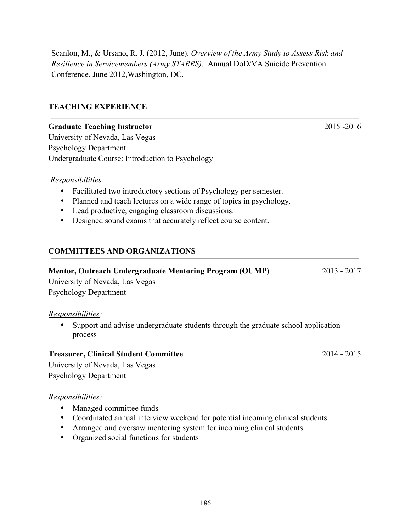Scanlon, M., & Ursano, R. J. (2012, June). *Overview of the Army Study to Assess Risk and Resilience in Servicemembers (Army STARRS)*. Annual DoD/VA Suicide Prevention Conference, June 2012,Washington, DC.

## **TEACHING EXPERIENCE**

## **Graduate Teaching Instructor** 2015 -2016

University of Nevada, Las Vegas Psychology Department Undergraduate Course: Introduction to Psychology

## *Responsibilities*

- Facilitated two introductory sections of Psychology per semester.
- Planned and teach lectures on a wide range of topics in psychology.
- Lead productive, engaging classroom discussions.
- Designed sound exams that accurately reflect course content.

## **COMMITTEES AND ORGANIZATIONS**

## **Mentor, Outreach Undergraduate Mentoring Program (OUMP)** 2013 - 2017

University of Nevada, Las Vegas Psychology Department

## *Responsibilities:*

• Support and advise undergraduate students through the graduate school application process

## **Treasurer, Clinical Student Committee** 2014 - 2015

University of Nevada, Las Vegas Psychology Department

## *Responsibilities:*

- Managed committee funds
- Coordinated annual interview weekend for potential incoming clinical students
- Arranged and oversaw mentoring system for incoming clinical students
- Organized social functions for students